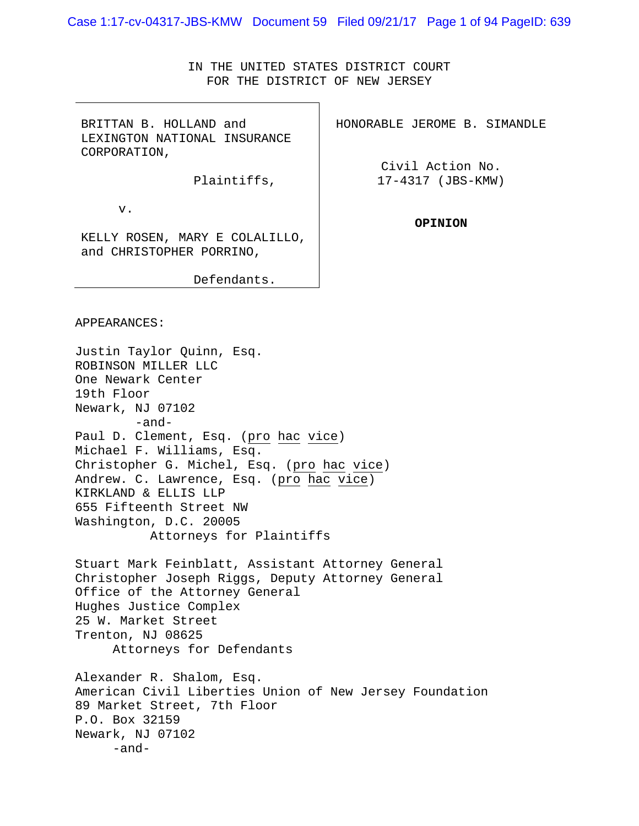Case 1:17-cv-04317-JBS-KMW Document 59 Filed 09/21/17 Page 1 of 94 PageID: 639

IN THE UNITED STATES DISTRICT COURT FOR THE DISTRICT OF NEW JERSEY

BRITTAN B. HOLLAND and LEXINGTON NATIONAL INSURANCE CORPORATION,

Plaintiffs,

v.

KELLY ROSEN, MARY E COLALILLO, and CHRISTOPHER PORRINO,

Defendants.

HONORABLE JEROME B. SIMANDLE

Civil Action No. 17-4317 (JBS-KMW)

**OPINION** 

APPEARANCES:

Justin Taylor Quinn, Esq. ROBINSON MILLER LLC One Newark Center 19th Floor Newark, NJ 07102 -and-Paul D. Clement, Esq. (pro hac vice) Michael F. Williams, Esq. Christopher G. Michel, Esq. (pro hac vice) Andrew. C. Lawrence, Esq. (pro hac vice) KIRKLAND & ELLIS LLP 655 Fifteenth Street NW Washington, D.C. 20005 Attorneys for Plaintiffs Stuart Mark Feinblatt, Assistant Attorney General Christopher Joseph Riggs, Deputy Attorney General Office of the Attorney General Hughes Justice Complex 25 W. Market Street Trenton, NJ 08625 Attorneys for Defendants Alexander R. Shalom, Esq. American Civil Liberties Union of New Jersey Foundation 89 Market Street, 7th Floor P.O. Box 32159 Newark, NJ 07102 -and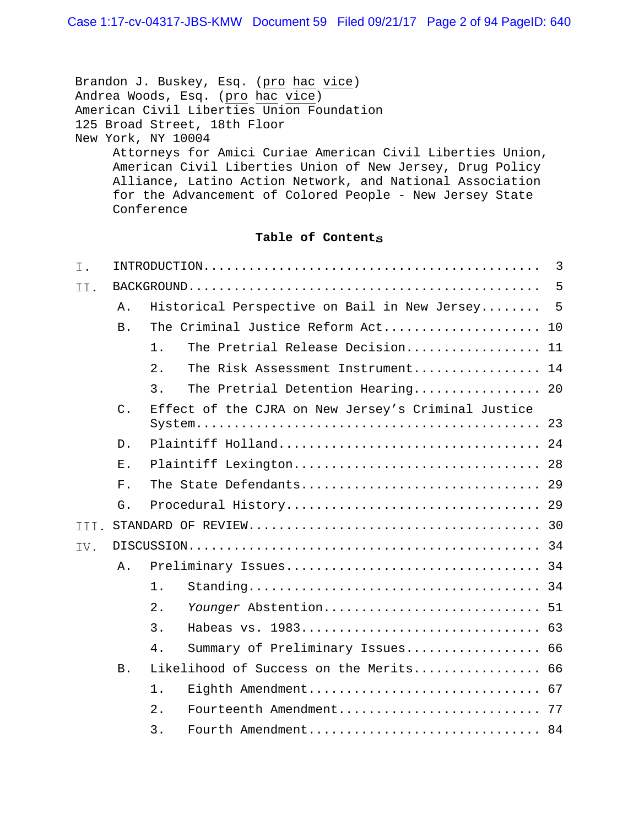Brandon J. Buskey, Esq. (pro hac vice) Andrea Woods, Esq. (pro hac vice) American Civil Liberties Union Foundation 125 Broad Street, 18th Floor New York, NY 10004 Attorneys for Amici Curiae American Civil Liberties Union, American Civil Liberties Union of New Jersey, Drug Policy Alliance, Latino Action Network, and National Association for the Advancement of Colored People - New Jersey State Conference

# **Table of Contents**

| Ι.   |            |                                                     | 3 |
|------|------------|-----------------------------------------------------|---|
| II.  |            |                                                     | 5 |
|      | Α.         | Historical Perspective on Bail in New Jersey        | 5 |
|      | <b>B</b> . | The Criminal Justice Reform Act 10                  |   |
|      |            | The Pretrial Release Decision 11<br>1.              |   |
|      |            | 2.<br>The Risk Assessment Instrument 14             |   |
|      |            | 3.<br>The Pretrial Detention Hearing 20             |   |
|      | $C$ .      | Effect of the CJRA on New Jersey's Criminal Justice |   |
|      | D.         |                                                     |   |
|      | Ε.         | Plaintiff Lexington 28                              |   |
|      | $F$ .      | The State Defendants 29                             |   |
|      | G.         |                                                     |   |
| III. |            |                                                     |   |
| IV.  |            |                                                     |   |
|      | Α.         |                                                     |   |
|      |            | $1$ .                                               |   |
|      |            | 2.<br>Younger Abstention 51                         |   |
|      |            | 3.                                                  |   |
|      |            | $4$ .<br>Summary of Preliminary Issues 66           |   |
|      | <b>B</b> . | Likelihood of Success on the Merits 66              |   |
|      |            | 1.                                                  |   |
|      |            | 2.                                                  |   |
|      |            | 3.<br>Fourth Amendment 84                           |   |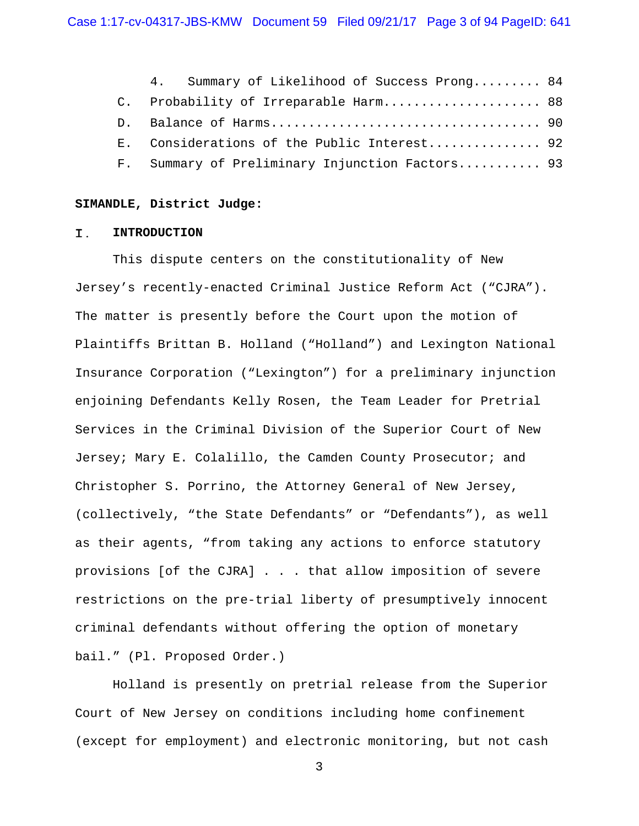| 4. Summary of Likelihood of Success Prong 84    |  |
|-------------------------------------------------|--|
| C. Probability of Irreparable Harm 88           |  |
|                                                 |  |
| E. Considerations of the Public Interest 92     |  |
| F. Summary of Preliminary Injunction Factors 93 |  |

#### **SIMANDLE, District Judge:**

#### Ι. **INTRODUCTION**

This dispute centers on the constitutionality of New Jersey's recently-enacted Criminal Justice Reform Act ("CJRA"). The matter is presently before the Court upon the motion of Plaintiffs Brittan B. Holland ("Holland") and Lexington National Insurance Corporation ("Lexington") for a preliminary injunction enjoining Defendants Kelly Rosen, the Team Leader for Pretrial Services in the Criminal Division of the Superior Court of New Jersey; Mary E. Colalillo, the Camden County Prosecutor; and Christopher S. Porrino, the Attorney General of New Jersey, (collectively, "the State Defendants" or "Defendants"), as well as their agents, "from taking any actions to enforce statutory provisions [of the CJRA] . . . that allow imposition of severe restrictions on the pre-trial liberty of presumptively innocent criminal defendants without offering the option of monetary bail." (Pl. Proposed Order.)

Holland is presently on pretrial release from the Superior Court of New Jersey on conditions including home confinement (except for employment) and electronic monitoring, but not cash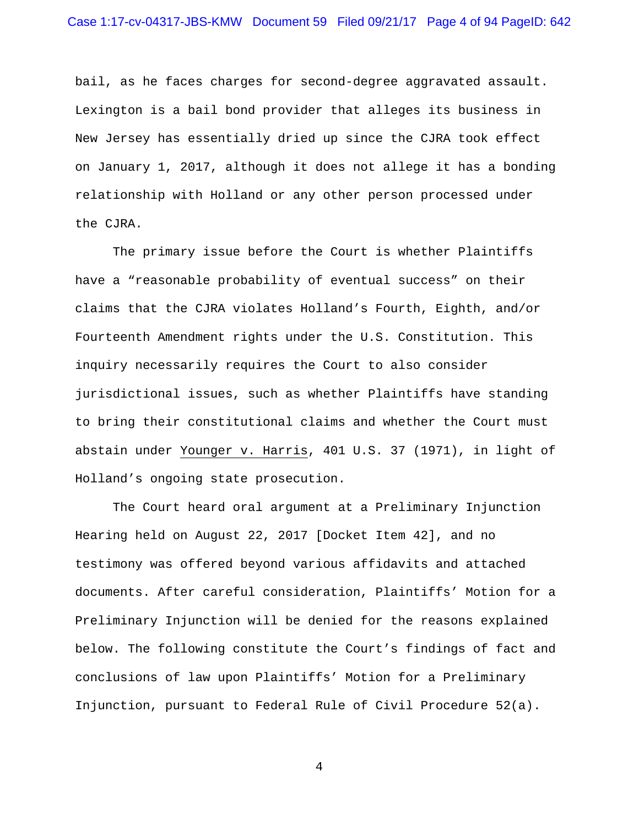bail, as he faces charges for second-degree aggravated assault. Lexington is a bail bond provider that alleges its business in New Jersey has essentially dried up since the CJRA took effect on January 1, 2017, although it does not allege it has a bonding relationship with Holland or any other person processed under the CJRA.

The primary issue before the Court is whether Plaintiffs have a "reasonable probability of eventual success" on their claims that the CJRA violates Holland's Fourth, Eighth, and/or Fourteenth Amendment rights under the U.S. Constitution. This inquiry necessarily requires the Court to also consider jurisdictional issues, such as whether Plaintiffs have standing to bring their constitutional claims and whether the Court must abstain under Younger v. Harris, 401 U.S. 37 (1971), in light of Holland's ongoing state prosecution.

The Court heard oral argument at a Preliminary Injunction Hearing held on August 22, 2017 [Docket Item 42], and no testimony was offered beyond various affidavits and attached documents. After careful consideration, Plaintiffs' Motion for a Preliminary Injunction will be denied for the reasons explained below. The following constitute the Court's findings of fact and conclusions of law upon Plaintiffs' Motion for a Preliminary Injunction, pursuant to Federal Rule of Civil Procedure 52(a).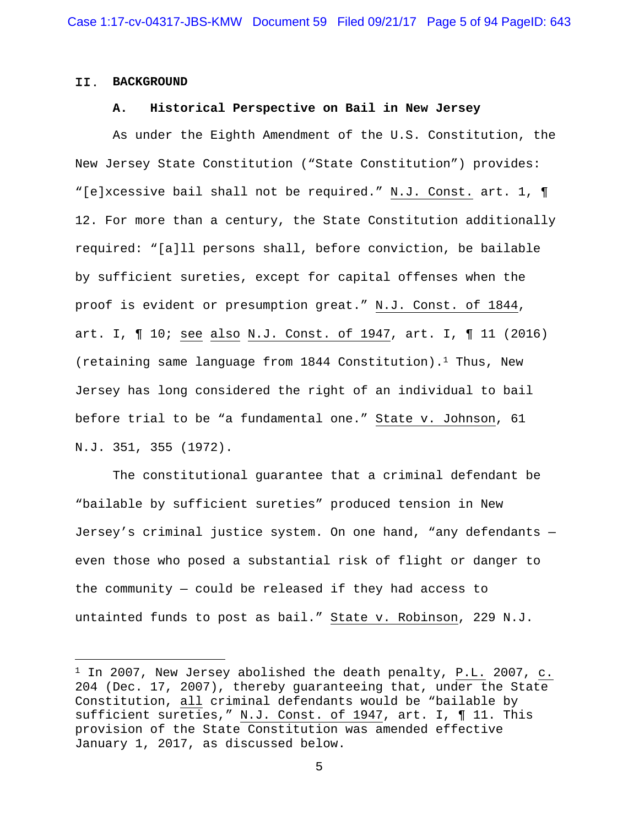#### II. **BACKGROUND**

i<br>Li

#### **A. Historical Perspective on Bail in New Jersey**

 As under the Eighth Amendment of the U.S. Constitution, the New Jersey State Constitution ("State Constitution") provides: "[e]xcessive bail shall not be required." N.J. Const. art. 1, ¶ 12. For more than a century, the State Constitution additionally required: "[a]ll persons shall, before conviction, be bailable by sufficient sureties, except for capital offenses when the proof is evident or presumption great." N.J. Const. of 1844, art. I, ¶ 10; see also N.J. Const. of 1947, art. I, ¶ 11 (2016) (retaining same language from  $1844$  Constitution).<sup>1</sup> Thus, New Jersey has long considered the right of an individual to bail before trial to be "a fundamental one." State v. Johnson, 61 N.J. 351, 355 (1972).

 The constitutional guarantee that a criminal defendant be "bailable by sufficient sureties" produced tension in New Jersey's criminal justice system. On one hand, "any defendants even those who posed a substantial risk of flight or danger to the community — could be released if they had access to untainted funds to post as bail." State v. Robinson, 229 N.J.

 $1$  In 2007, New Jersey abolished the death penalty, P.L. 2007, c. 204 (Dec. 17, 2007), thereby guaranteeing that, under the State Constitution, all criminal defendants would be "bailable by sufficient sureties," N.J. Const. of 1947, art. I, ¶ 11. This provision of the State Constitution was amended effective January 1, 2017, as discussed below.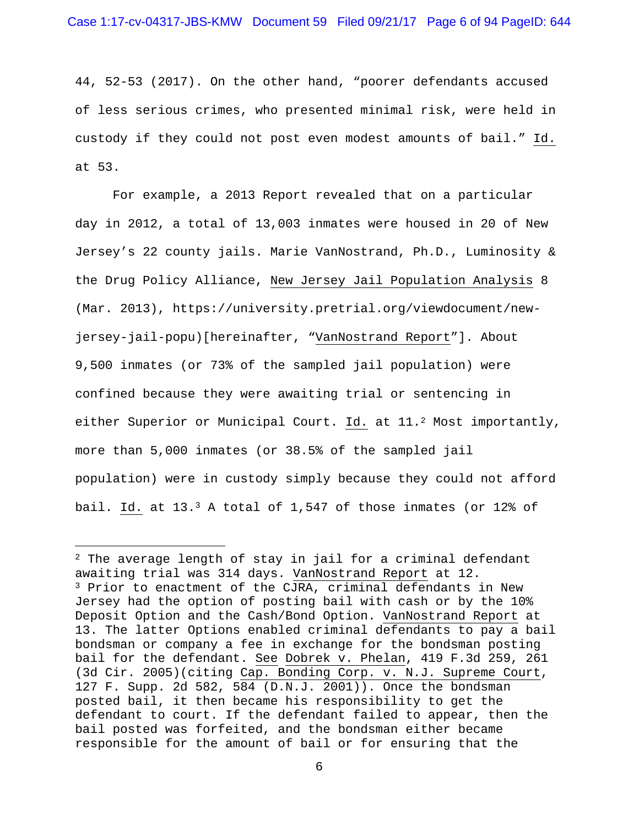44, 52-53 (2017). On the other hand, "poorer defendants accused of less serious crimes, who presented minimal risk, were held in custody if they could not post even modest amounts of bail." Id. at 53.

 For example, a 2013 Report revealed that on a particular day in 2012, a total of 13,003 inmates were housed in 20 of New Jersey's 22 county jails. Marie VanNostrand, Ph.D., Luminosity & the Drug Policy Alliance, New Jersey Jail Population Analysis 8 (Mar. 2013), https://university.pretrial.org/viewdocument/newjersey-jail-popu)[hereinafter, "VanNostrand Report"]. About 9,500 inmates (or 73% of the sampled jail population) were confined because they were awaiting trial or sentencing in either Superior or Municipal Court. Id. at 11.2 Most importantly, more than 5,000 inmates (or 38.5% of the sampled jail population) were in custody simply because they could not afford bail. Id. at  $13.3$  A total of 1,547 of those inmates (or  $12\$  of

i<br>Li

 $2$  The average length of stay in jail for a criminal defendant awaiting trial was 314 days. VanNostrand Report at 12. 3 Prior to enactment of the CJRA, criminal defendants in New Jersey had the option of posting bail with cash or by the 10% Deposit Option and the Cash/Bond Option. VanNostrand Report at 13. The latter Options enabled criminal defendants to pay a bail bondsman or company a fee in exchange for the bondsman posting bail for the defendant. See Dobrek v. Phelan, 419 F.3d 259, 261 (3d Cir. 2005)(citing Cap. Bonding Corp. v. N.J. Supreme Court, 127 F. Supp. 2d 582, 584 (D.N.J. 2001)). Once the bondsman posted bail, it then became his responsibility to get the defendant to court. If the defendant failed to appear, then the bail posted was forfeited, and the bondsman either became responsible for the amount of bail or for ensuring that the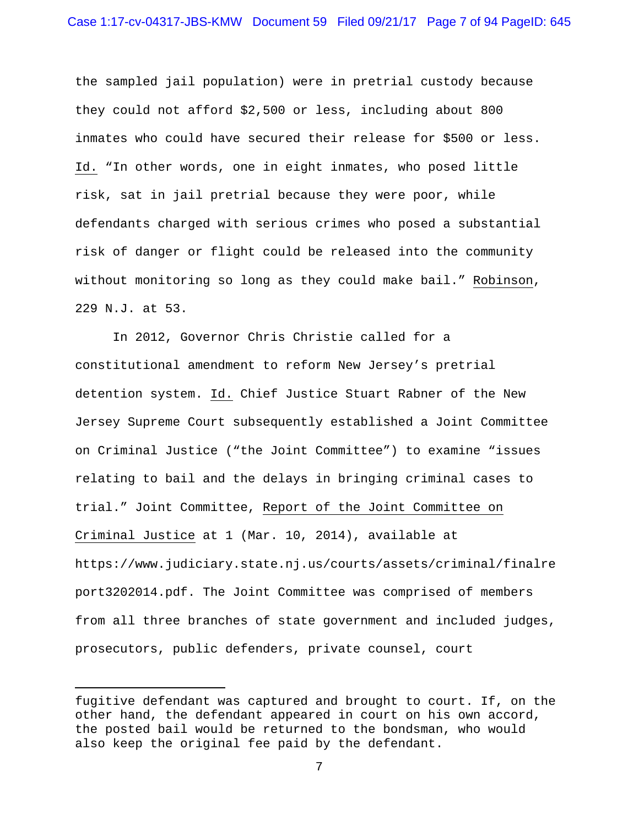the sampled jail population) were in pretrial custody because they could not afford \$2,500 or less, including about 800 inmates who could have secured their release for \$500 or less. Id. "In other words, one in eight inmates, who posed little risk, sat in jail pretrial because they were poor, while defendants charged with serious crimes who posed a substantial risk of danger or flight could be released into the community without monitoring so long as they could make bail." Robinson, 229 N.J. at 53.

 In 2012, Governor Chris Christie called for a constitutional amendment to reform New Jersey's pretrial detention system. Id. Chief Justice Stuart Rabner of the New Jersey Supreme Court subsequently established a Joint Committee on Criminal Justice ("the Joint Committee") to examine "issues relating to bail and the delays in bringing criminal cases to trial." Joint Committee, Report of the Joint Committee on Criminal Justice at 1 (Mar. 10, 2014), available at https://www.judiciary.state.nj.us/courts/assets/criminal/finalre port3202014.pdf. The Joint Committee was comprised of members from all three branches of state government and included judges, prosecutors, public defenders, private counsel, court

i

fugitive defendant was captured and brought to court. If, on the other hand, the defendant appeared in court on his own accord, the posted bail would be returned to the bondsman, who would also keep the original fee paid by the defendant.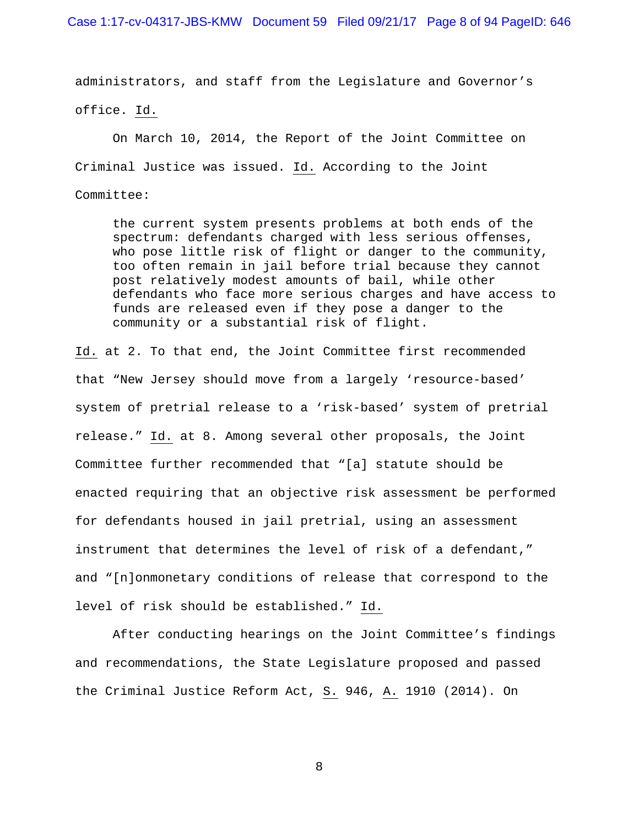administrators, and staff from the Legislature and Governor's office. Id.

 On March 10, 2014, the Report of the Joint Committee on Criminal Justice was issued. Id. According to the Joint Committee:

the current system presents problems at both ends of the spectrum: defendants charged with less serious offenses, who pose little risk of flight or danger to the community, too often remain in jail before trial because they cannot post relatively modest amounts of bail, while other defendants who face more serious charges and have access to funds are released even if they pose a danger to the community or a substantial risk of flight.

Id. at 2. To that end, the Joint Committee first recommended that "New Jersey should move from a largely 'resource-based' system of pretrial release to a 'risk-based' system of pretrial release." Id. at 8. Among several other proposals, the Joint Committee further recommended that "[a] statute should be enacted requiring that an objective risk assessment be performed for defendants housed in jail pretrial, using an assessment instrument that determines the level of risk of a defendant," and "[n]onmonetary conditions of release that correspond to the level of risk should be established." Id.

 After conducting hearings on the Joint Committee's findings and recommendations, the State Legislature proposed and passed the Criminal Justice Reform Act, S. 946, A. 1910 (2014). On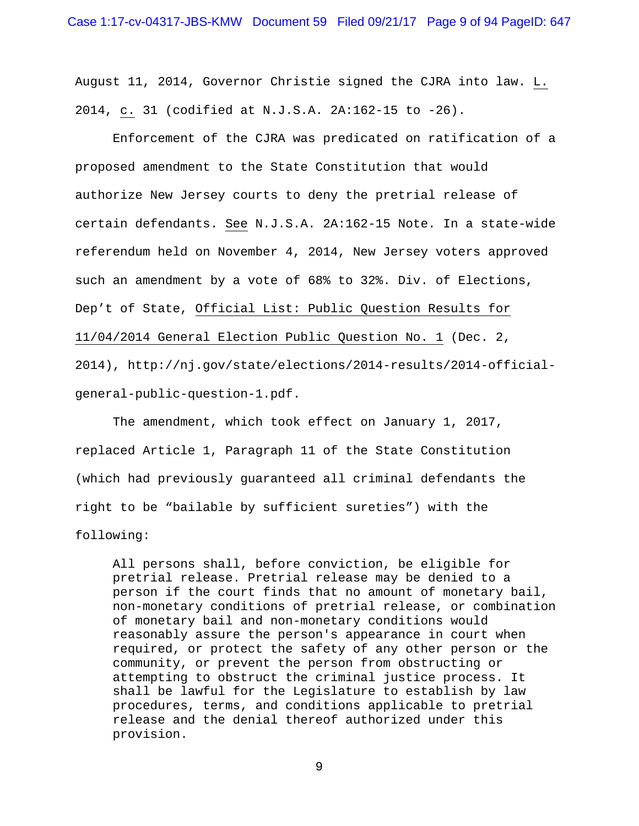August 11, 2014, Governor Christie signed the CJRA into law. L. 2014, c. 31 (codified at N.J.S.A. 2A:162-15 to -26).

 Enforcement of the CJRA was predicated on ratification of a proposed amendment to the State Constitution that would authorize New Jersey courts to deny the pretrial release of certain defendants. See N.J.S.A. 2A:162-15 Note. In a state-wide referendum held on November 4, 2014, New Jersey voters approved such an amendment by a vote of 68% to 32%. Div. of Elections, Dep't of State, Official List: Public Question Results for 11/04/2014 General Election Public Question No. 1 (Dec. 2, 2014), http://nj.gov/state/elections/2014-results/2014-officialgeneral-public-question-1.pdf.

 The amendment, which took effect on January 1, 2017, replaced Article 1, Paragraph 11 of the State Constitution (which had previously guaranteed all criminal defendants the right to be "bailable by sufficient sureties") with the following:

All persons shall, before conviction, be eligible for pretrial release. Pretrial release may be denied to a person if the court finds that no amount of monetary bail, non-monetary conditions of pretrial release, or combination of monetary bail and non-monetary conditions would reasonably assure the person's appearance in court when required, or protect the safety of any other person or the community, or prevent the person from obstructing or attempting to obstruct the criminal justice process. It shall be lawful for the Legislature to establish by law procedures, terms, and conditions applicable to pretrial release and the denial thereof authorized under this provision.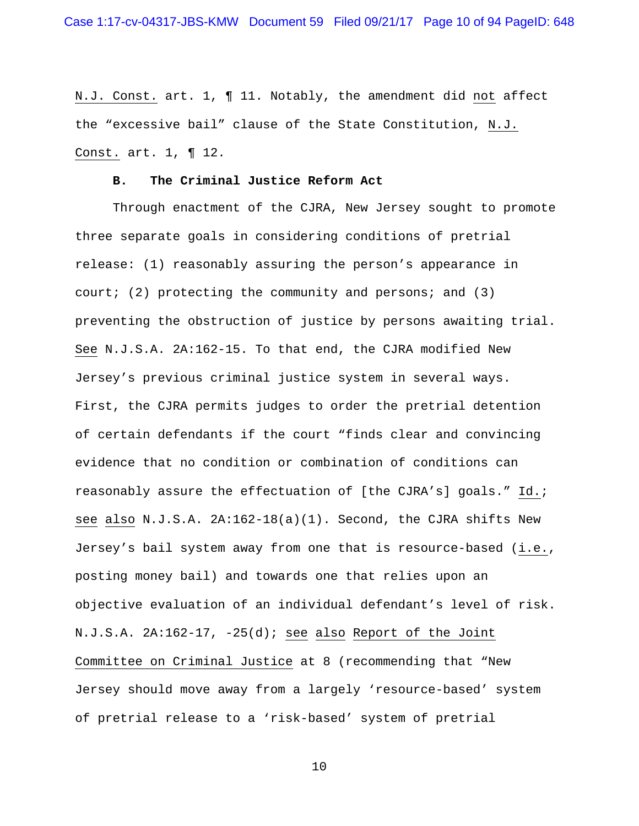N.J. Const. art. 1, ¶ 11. Notably, the amendment did not affect the "excessive bail" clause of the State Constitution, N.J. Const. art. 1, ¶ 12.

#### **B. The Criminal Justice Reform Act**

 Through enactment of the CJRA, New Jersey sought to promote three separate goals in considering conditions of pretrial release: (1) reasonably assuring the person's appearance in court; (2) protecting the community and persons; and (3) preventing the obstruction of justice by persons awaiting trial. See N.J.S.A. 2A:162-15. To that end, the CJRA modified New Jersey's previous criminal justice system in several ways. First, the CJRA permits judges to order the pretrial detention of certain defendants if the court "finds clear and convincing evidence that no condition or combination of conditions can reasonably assure the effectuation of [the CJRA's] goals." Id.; see also N.J.S.A. 2A:162-18(a)(1). Second, the CJRA shifts New Jersey's bail system away from one that is resource-based (i.e., posting money bail) and towards one that relies upon an objective evaluation of an individual defendant's level of risk. N.J.S.A. 2A:162-17, -25(d); see also Report of the Joint Committee on Criminal Justice at 8 (recommending that "New Jersey should move away from a largely 'resource-based' system of pretrial release to a 'risk-based' system of pretrial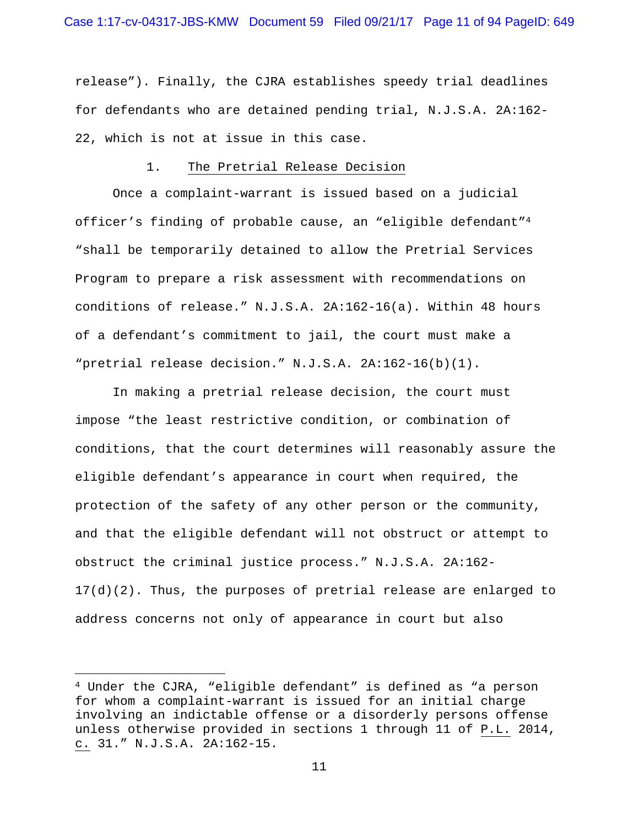release"). Finally, the CJRA establishes speedy trial deadlines for defendants who are detained pending trial, N.J.S.A. 2A:162- 22, which is not at issue in this case.

## 1. The Pretrial Release Decision

 Once a complaint-warrant is issued based on a judicial officer's finding of probable cause, an "eligible defendant"4 "shall be temporarily detained to allow the Pretrial Services Program to prepare a risk assessment with recommendations on conditions of release." N.J.S.A. 2A:162-16(a). Within 48 hours of a defendant's commitment to jail, the court must make a "pretrial release decision." N.J.S.A. 2A:162-16(b)(1).

In making a pretrial release decision, the court must impose "the least restrictive condition, or combination of conditions, that the court determines will reasonably assure the eligible defendant's appearance in court when required, the protection of the safety of any other person or the community, and that the eligible defendant will not obstruct or attempt to obstruct the criminal justice process." N.J.S.A. 2A:162- 17(d)(2). Thus, the purposes of pretrial release are enlarged to address concerns not only of appearance in court but also

 $\overline{\phantom{0}}$ 

<sup>4</sup> Under the CJRA, "eligible defendant" is defined as "a person for whom a complaint-warrant is issued for an initial charge involving an indictable offense or a disorderly persons offense unless otherwise provided in sections 1 through 11 of P.L. 2014, c. 31." N.J.S.A. 2A:162-15.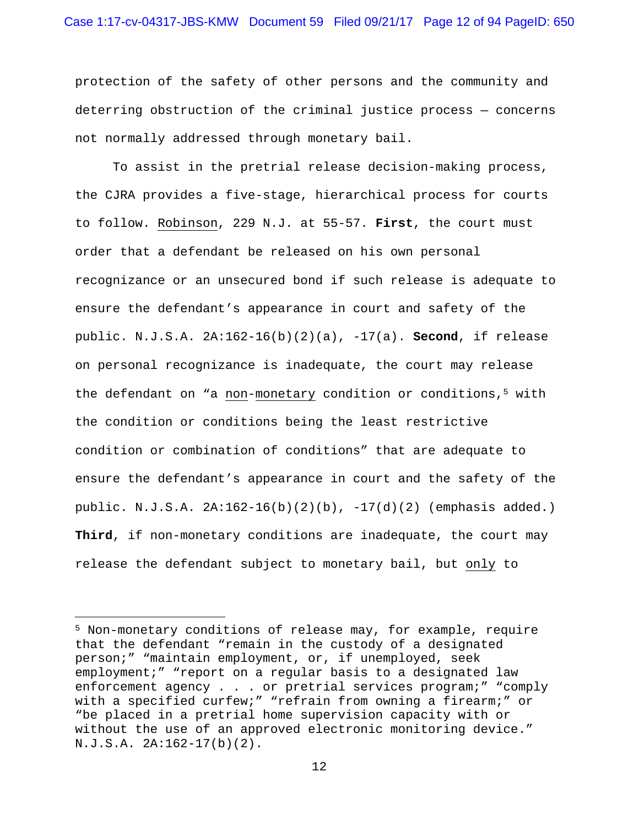protection of the safety of other persons and the community and deterring obstruction of the criminal justice process — concerns not normally addressed through monetary bail.

To assist in the pretrial release decision-making process, the CJRA provides a five-stage, hierarchical process for courts to follow. Robinson, 229 N.J. at 55-57. **First**, the court must order that a defendant be released on his own personal recognizance or an unsecured bond if such release is adequate to ensure the defendant's appearance in court and safety of the public. N.J.S.A. 2A:162-16(b)(2)(a), -17(a). **Second**, if release on personal recognizance is inadequate, the court may release the defendant on "a non-monetary condition or conditions,<sup>5</sup> with the condition or conditions being the least restrictive condition or combination of conditions" that are adequate to ensure the defendant's appearance in court and the safety of the public. N.J.S.A. 2A:162-16(b)(2)(b), -17(d)(2) (emphasis added.) **Third**, if non-monetary conditions are inadequate, the court may release the defendant subject to monetary bail, but only to

i<br>Li

<sup>5</sup> Non-monetary conditions of release may, for example, require that the defendant "remain in the custody of a designated person;" "maintain employment, or, if unemployed, seek employment;" "report on a regular basis to a designated law enforcement agency . . . or pretrial services program;" "comply with a specified curfew;" "refrain from owning a firearm;" or "be placed in a pretrial home supervision capacity with or without the use of an approved electronic monitoring device." N.J.S.A. 2A:162-17(b)(2).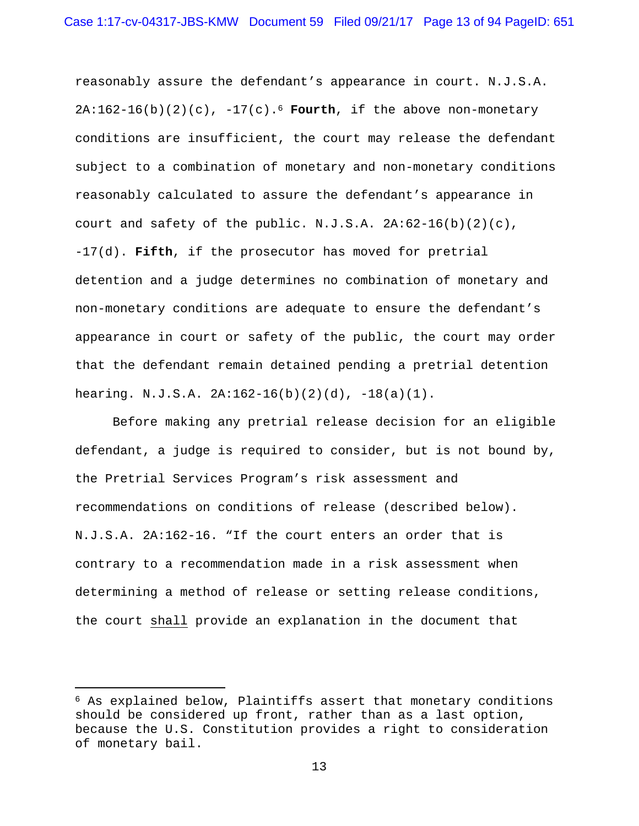reasonably assure the defendant's appearance in court. N.J.S.A. 2A:162-16(b)(2)(c), -17(c).6 **Fourth**, if the above non-monetary conditions are insufficient, the court may release the defendant subject to a combination of monetary and non-monetary conditions reasonably calculated to assure the defendant's appearance in court and safety of the public. N.J.S.A.  $2A:62-16(b)(2)(c)$ , -17(d). **Fifth**, if the prosecutor has moved for pretrial detention and a judge determines no combination of monetary and non-monetary conditions are adequate to ensure the defendant's appearance in court or safety of the public, the court may order that the defendant remain detained pending a pretrial detention hearing. N.J.S.A. 2A:162-16(b)(2)(d), -18(a)(1).

Before making any pretrial release decision for an eligible defendant, a judge is required to consider, but is not bound by, the Pretrial Services Program's risk assessment and recommendations on conditions of release (described below). N.J.S.A. 2A:162-16. "If the court enters an order that is contrary to a recommendation made in a risk assessment when determining a method of release or setting release conditions, the court shall provide an explanation in the document that

i

 $6$  As explained below, Plaintiffs assert that monetary conditions should be considered up front, rather than as a last option, because the U.S. Constitution provides a right to consideration of monetary bail.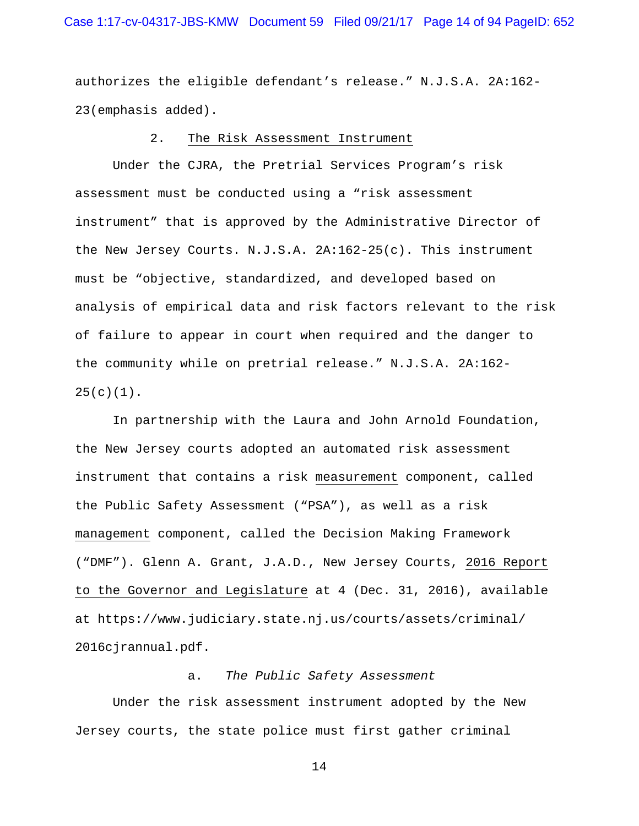## Case 1:17-cv-04317-JBS-KMW Document 59 Filed 09/21/17 Page 14 of 94 PageID: 652

authorizes the eligible defendant's release." N.J.S.A. 2A:162- 23(emphasis added).

### 2. The Risk Assessment Instrument

 Under the CJRA, the Pretrial Services Program's risk assessment must be conducted using a "risk assessment instrument" that is approved by the Administrative Director of the New Jersey Courts. N.J.S.A. 2A:162-25(c). This instrument must be "objective, standardized, and developed based on analysis of empirical data and risk factors relevant to the risk of failure to appear in court when required and the danger to the community while on pretrial release." N.J.S.A. 2A:162-  $25(c)(1)$ .

 In partnership with the Laura and John Arnold Foundation, the New Jersey courts adopted an automated risk assessment instrument that contains a risk measurement component, called the Public Safety Assessment ("PSA"), as well as a risk management component, called the Decision Making Framework ("DMF"). Glenn A. Grant, J.A.D., New Jersey Courts, 2016 Report to the Governor and Legislature at 4 (Dec. 31, 2016), available at https://www.judiciary.state.nj.us/courts/assets/criminal/ 2016cjrannual.pdf.

#### a. *The Public Safety Assessment*

 Under the risk assessment instrument adopted by the New Jersey courts, the state police must first gather criminal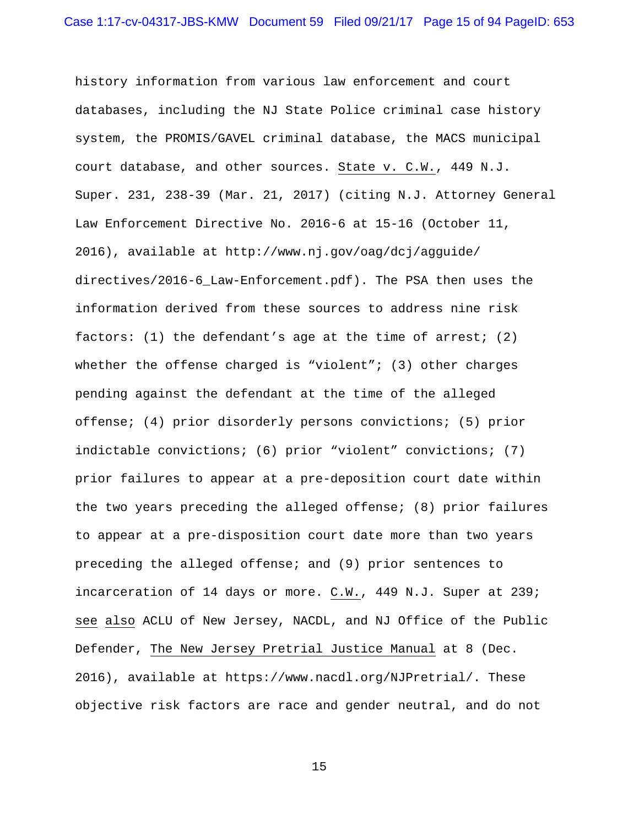history information from various law enforcement and court databases, including the NJ State Police criminal case history system, the PROMIS/GAVEL criminal database, the MACS municipal court database, and other sources. State v. C.W., 449 N.J. Super. 231, 238-39 (Mar. 21, 2017) (citing N.J. Attorney General Law Enforcement Directive No. 2016-6 at 15-16 (October 11, 2016), available at http://www.nj.gov/oag/dcj/agguide/ directives/2016-6\_Law-Enforcement.pdf). The PSA then uses the information derived from these sources to address nine risk factors: (1) the defendant's age at the time of arrest; (2) whether the offense charged is "violent";  $(3)$  other charges pending against the defendant at the time of the alleged offense; (4) prior disorderly persons convictions; (5) prior indictable convictions; (6) prior "violent" convictions; (7) prior failures to appear at a pre-deposition court date within the two years preceding the alleged offense; (8) prior failures to appear at a pre-disposition court date more than two years preceding the alleged offense; and (9) prior sentences to incarceration of 14 days or more. C.W., 449 N.J. Super at 239; see also ACLU of New Jersey, NACDL, and NJ Office of the Public Defender, The New Jersey Pretrial Justice Manual at 8 (Dec. 2016), available at https://www.nacdl.org/NJPretrial/. These objective risk factors are race and gender neutral, and do not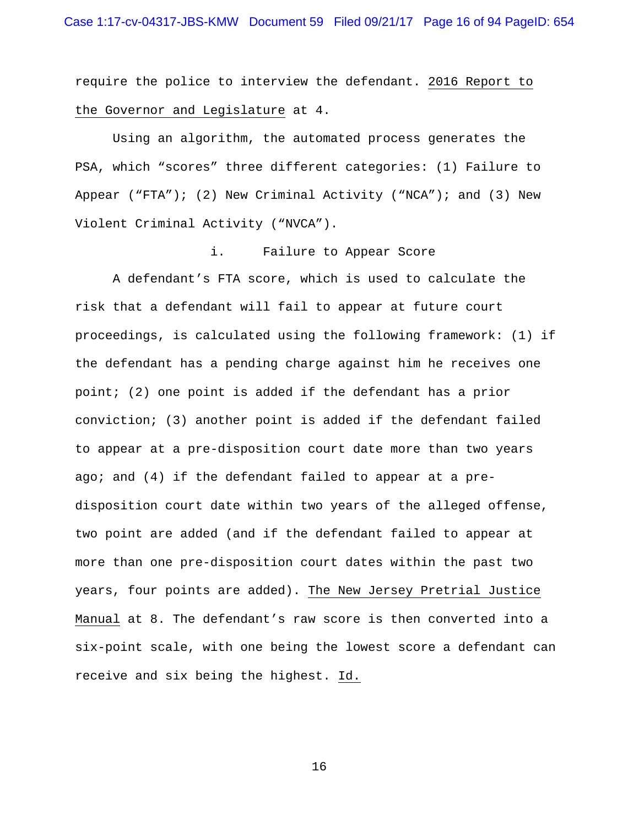require the police to interview the defendant. 2016 Report to the Governor and Legislature at 4.

 Using an algorithm, the automated process generates the PSA, which "scores" three different categories: (1) Failure to Appear  $(\n\text{``FTA''})$ ; (2) New Criminal Activity  $(\n\text{``NCA''})$ ; and (3) New Violent Criminal Activity ("NVCA").

## i. Failure to Appear Score

 A defendant's FTA score, which is used to calculate the risk that a defendant will fail to appear at future court proceedings, is calculated using the following framework: (1) if the defendant has a pending charge against him he receives one point; (2) one point is added if the defendant has a prior conviction; (3) another point is added if the defendant failed to appear at a pre-disposition court date more than two years ago; and (4) if the defendant failed to appear at a predisposition court date within two years of the alleged offense, two point are added (and if the defendant failed to appear at more than one pre-disposition court dates within the past two years, four points are added). The New Jersey Pretrial Justice Manual at 8. The defendant's raw score is then converted into a six-point scale, with one being the lowest score a defendant can receive and six being the highest. Id.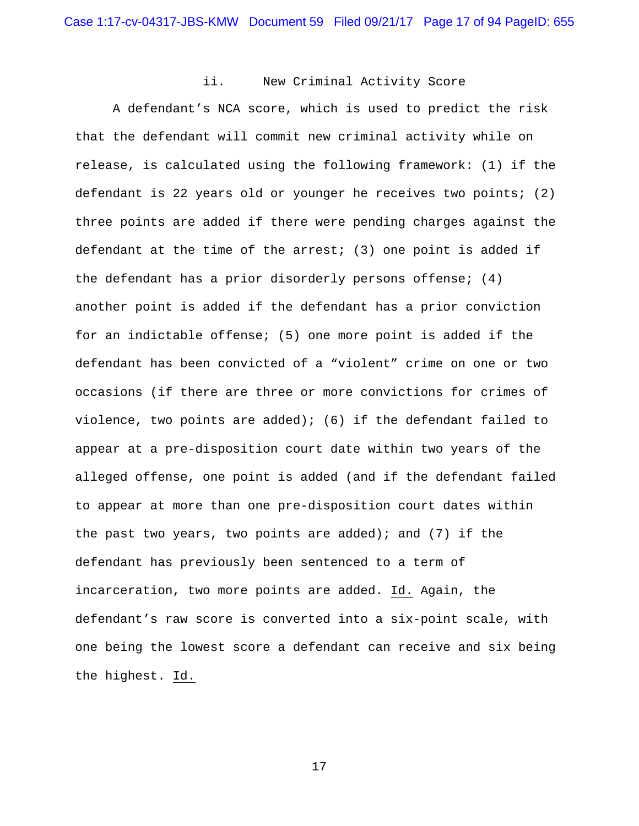## ii. New Criminal Activity Score

 A defendant's NCA score, which is used to predict the risk that the defendant will commit new criminal activity while on release, is calculated using the following framework: (1) if the defendant is 22 years old or younger he receives two points; (2) three points are added if there were pending charges against the defendant at the time of the arrest; (3) one point is added if the defendant has a prior disorderly persons offense; (4) another point is added if the defendant has a prior conviction for an indictable offense; (5) one more point is added if the defendant has been convicted of a "violent" crime on one or two occasions (if there are three or more convictions for crimes of violence, two points are added); (6) if the defendant failed to appear at a pre-disposition court date within two years of the alleged offense, one point is added (and if the defendant failed to appear at more than one pre-disposition court dates within the past two years, two points are added); and  $(7)$  if the defendant has previously been sentenced to a term of incarceration, two more points are added. Id. Again, the defendant's raw score is converted into a six-point scale, with one being the lowest score a defendant can receive and six being the highest. Id.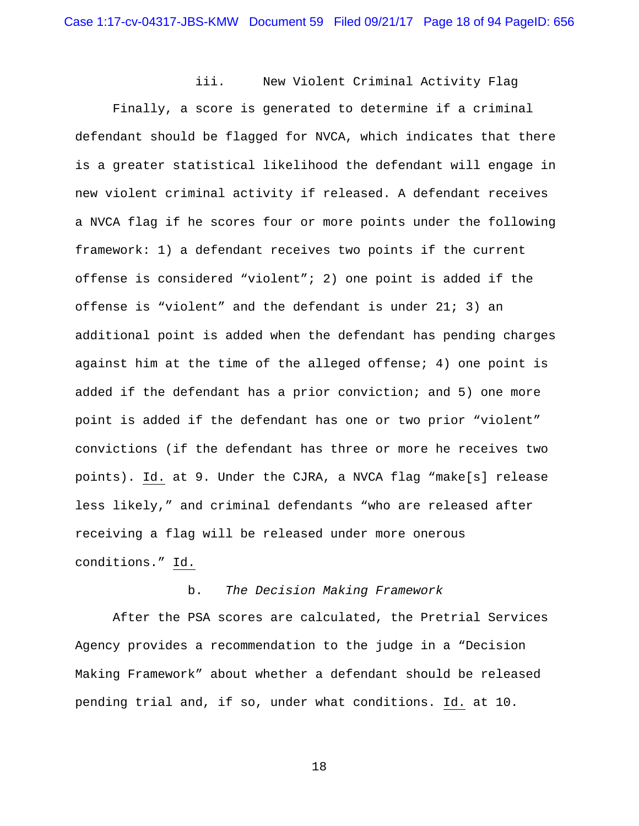iii. New Violent Criminal Activity Flag

 Finally, a score is generated to determine if a criminal defendant should be flagged for NVCA, which indicates that there is a greater statistical likelihood the defendant will engage in new violent criminal activity if released. A defendant receives a NVCA flag if he scores four or more points under the following framework: 1) a defendant receives two points if the current offense is considered "violent"; 2) one point is added if the offense is "violent" and the defendant is under 21; 3) an additional point is added when the defendant has pending charges against him at the time of the alleged offense; 4) one point is added if the defendant has a prior conviction; and 5) one more point is added if the defendant has one or two prior "violent" convictions (if the defendant has three or more he receives two points). Id. at 9. Under the CJRA, a NVCA flag "make[s] release less likely," and criminal defendants "who are released after receiving a flag will be released under more onerous conditions." Id.

# b. *The Decision Making Framework*

 After the PSA scores are calculated, the Pretrial Services Agency provides a recommendation to the judge in a "Decision Making Framework" about whether a defendant should be released pending trial and, if so, under what conditions. Id. at 10.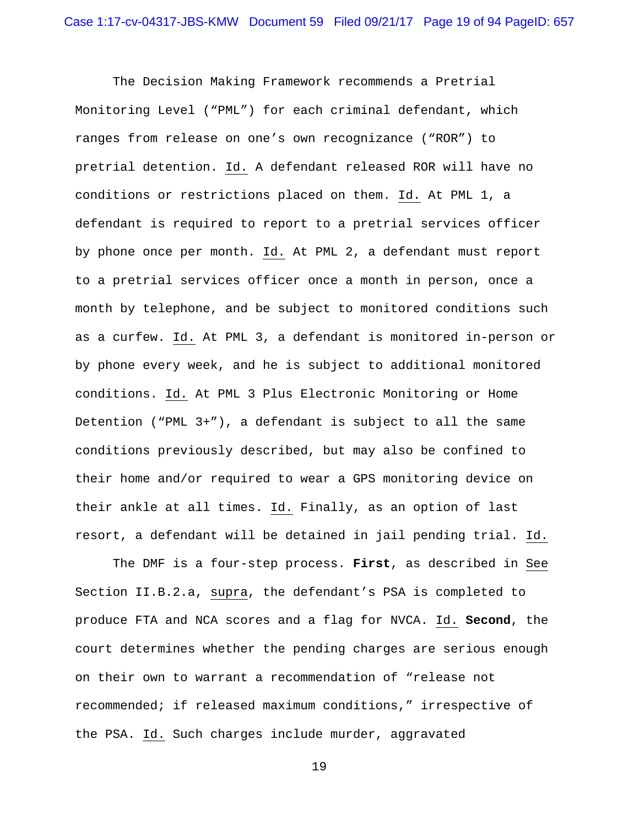The Decision Making Framework recommends a Pretrial Monitoring Level ("PML") for each criminal defendant, which ranges from release on one's own recognizance ("ROR") to pretrial detention. Id. A defendant released ROR will have no conditions or restrictions placed on them. Id. At PML 1, a defendant is required to report to a pretrial services officer by phone once per month. Id. At PML 2, a defendant must report to a pretrial services officer once a month in person, once a month by telephone, and be subject to monitored conditions such as a curfew. Id. At PML 3, a defendant is monitored in-person or by phone every week, and he is subject to additional monitored conditions. Id. At PML 3 Plus Electronic Monitoring or Home Detention ("PML 3+"), a defendant is subject to all the same conditions previously described, but may also be confined to their home and/or required to wear a GPS monitoring device on their ankle at all times. Id. Finally, as an option of last resort, a defendant will be detained in jail pending trial. Id.

 The DMF is a four-step process. **First**, as described in See Section II.B.2.a, supra, the defendant's PSA is completed to produce FTA and NCA scores and a flag for NVCA. Id. **Second**, the court determines whether the pending charges are serious enough on their own to warrant a recommendation of "release not recommended; if released maximum conditions," irrespective of the PSA. Id. Such charges include murder, aggravated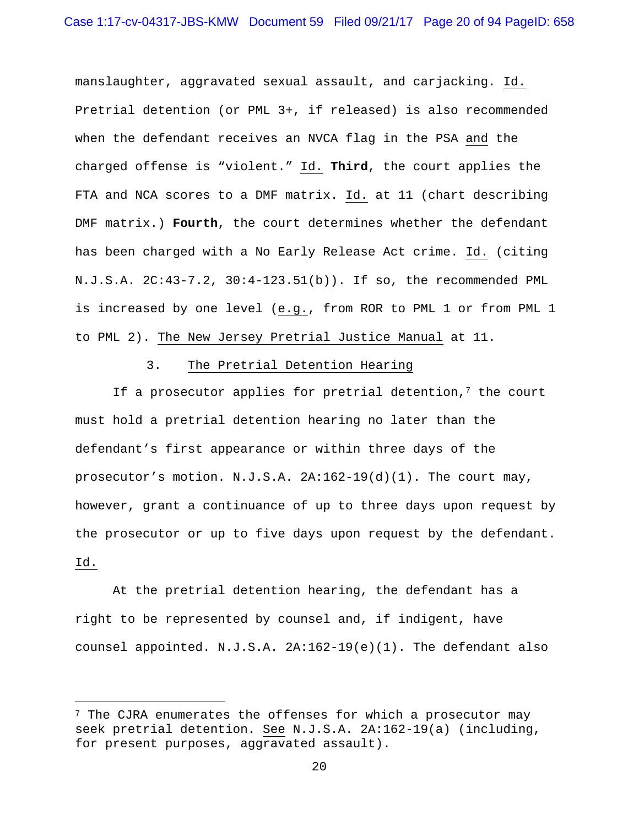manslaughter, aggravated sexual assault, and carjacking. Id. Pretrial detention (or PML 3+, if released) is also recommended when the defendant receives an NVCA flag in the PSA and the charged offense is "violent." Id. **Third**, the court applies the FTA and NCA scores to a DMF matrix. Id. at 11 (chart describing DMF matrix.) **Fourth**, the court determines whether the defendant has been charged with a No Early Release Act crime. Id. (citing N.J.S.A. 2C:43-7.2, 30:4-123.51(b)). If so, the recommended PML is increased by one level (e.g., from ROR to PML 1 or from PML 1 to PML 2). The New Jersey Pretrial Justice Manual at 11.

#### 3. The Pretrial Detention Hearing

If a prosecutor applies for pretrial detention,<sup>7</sup> the court must hold a pretrial detention hearing no later than the defendant's first appearance or within three days of the prosecutor's motion. N.J.S.A. 2A:162-19(d)(1). The court may, however, grant a continuance of up to three days upon request by the prosecutor or up to five days upon request by the defendant. Id.

 At the pretrial detention hearing, the defendant has a right to be represented by counsel and, if indigent, have counsel appointed. N.J.S.A. 2A:162-19(e)(1). The defendant also

i

 $7$  The CJRA enumerates the offenses for which a prosecutor may seek pretrial detention. See N.J.S.A. 2A:162-19(a) (including, for present purposes, aggravated assault).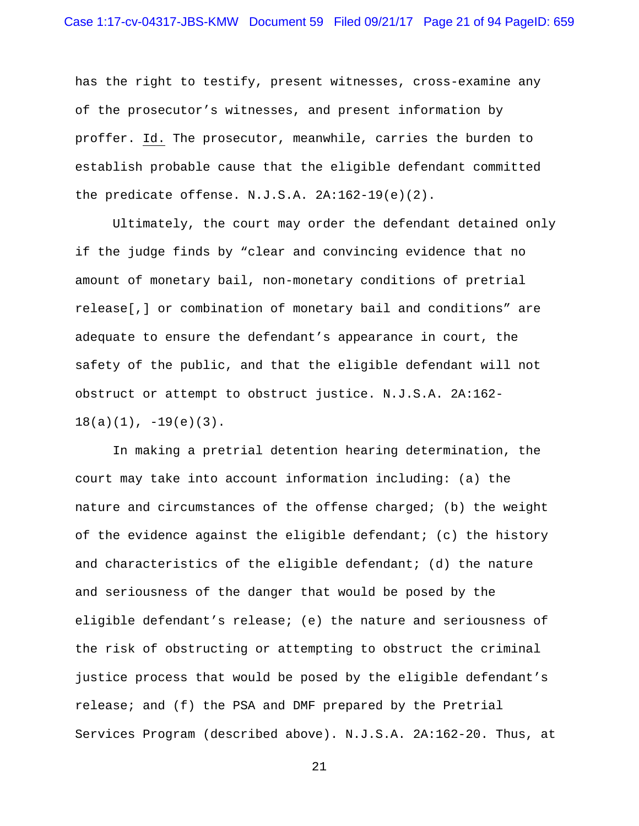## Case 1:17-cv-04317-JBS-KMW Document 59 Filed 09/21/17 Page 21 of 94 PageID: 659

has the right to testify, present witnesses, cross-examine any of the prosecutor's witnesses, and present information by proffer. Id. The prosecutor, meanwhile, carries the burden to establish probable cause that the eligible defendant committed the predicate offense. N.J.S.A. 2A:162-19(e)(2).

 Ultimately, the court may order the defendant detained only if the judge finds by "clear and convincing evidence that no amount of monetary bail, non-monetary conditions of pretrial release[,] or combination of monetary bail and conditions" are adequate to ensure the defendant's appearance in court, the safety of the public, and that the eligible defendant will not obstruct or attempt to obstruct justice. N.J.S.A. 2A:162-  $18(a)(1)$ ,  $-19(e)(3)$ .

 In making a pretrial detention hearing determination, the court may take into account information including: (a) the nature and circumstances of the offense charged; (b) the weight of the evidence against the eligible defendant; (c) the history and characteristics of the eligible defendant; (d) the nature and seriousness of the danger that would be posed by the eligible defendant's release; (e) the nature and seriousness of the risk of obstructing or attempting to obstruct the criminal justice process that would be posed by the eligible defendant's release; and (f) the PSA and DMF prepared by the Pretrial Services Program (described above). N.J.S.A. 2A:162-20. Thus, at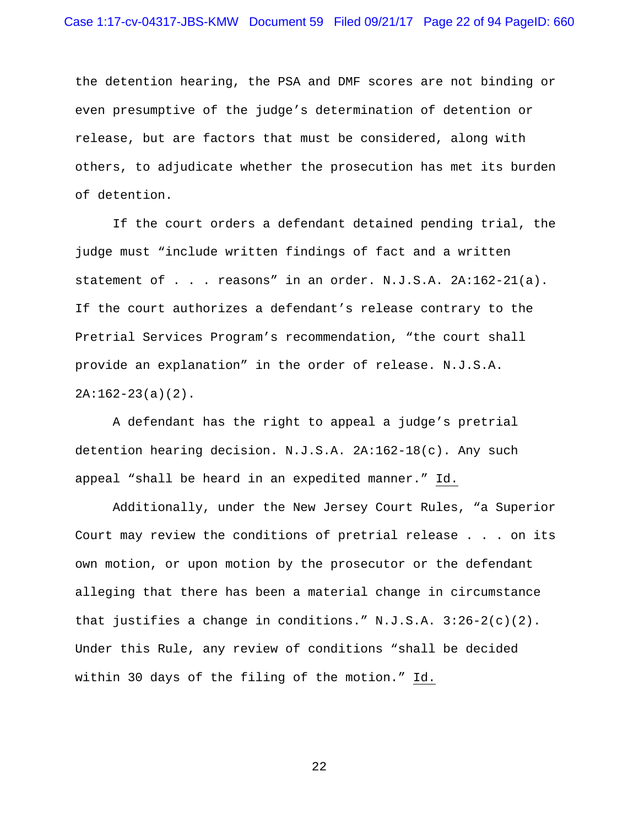the detention hearing, the PSA and DMF scores are not binding or even presumptive of the judge's determination of detention or release, but are factors that must be considered, along with others, to adjudicate whether the prosecution has met its burden of detention.

 If the court orders a defendant detained pending trial, the judge must "include written findings of fact and a written statement of . . . reasons" in an order. N.J.S.A. 2A:162-21(a). If the court authorizes a defendant's release contrary to the Pretrial Services Program's recommendation, "the court shall provide an explanation" in the order of release. N.J.S.A.  $2A:162-23(a)(2)$ .

 A defendant has the right to appeal a judge's pretrial detention hearing decision. N.J.S.A. 2A:162-18(c). Any such appeal "shall be heard in an expedited manner." Id.

 Additionally, under the New Jersey Court Rules, "a Superior Court may review the conditions of pretrial release . . . on its own motion, or upon motion by the prosecutor or the defendant alleging that there has been a material change in circumstance that justifies a change in conditions." N.J.S.A. 3:26-2(c)(2). Under this Rule, any review of conditions "shall be decided within 30 days of the filing of the motion." Id.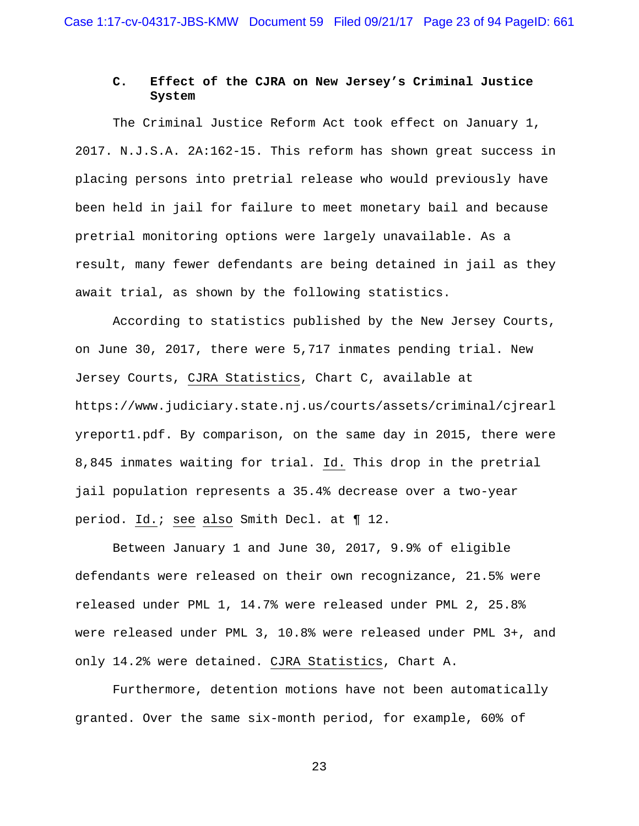# **C. Effect of the CJRA on New Jersey's Criminal Justice System**

 The Criminal Justice Reform Act took effect on January 1, 2017. N.J.S.A. 2A:162-15. This reform has shown great success in placing persons into pretrial release who would previously have been held in jail for failure to meet monetary bail and because pretrial monitoring options were largely unavailable. As a result, many fewer defendants are being detained in jail as they await trial, as shown by the following statistics.

 According to statistics published by the New Jersey Courts, on June 30, 2017, there were 5,717 inmates pending trial. New Jersey Courts, CJRA Statistics, Chart C, available at https://www.judiciary.state.nj.us/courts/assets/criminal/cjrearl yreport1.pdf. By comparison, on the same day in 2015, there were 8,845 inmates waiting for trial. Id. This drop in the pretrial jail population represents a 35.4% decrease over a two-year period. Id.; see also Smith Decl. at ¶ 12.

 Between January 1 and June 30, 2017, 9.9% of eligible defendants were released on their own recognizance, 21.5% were released under PML 1, 14.7% were released under PML 2, 25.8% were released under PML 3, 10.8% were released under PML 3+, and only 14.2% were detained. CJRA Statistics, Chart A.

 Furthermore, detention motions have not been automatically granted. Over the same six-month period, for example, 60% of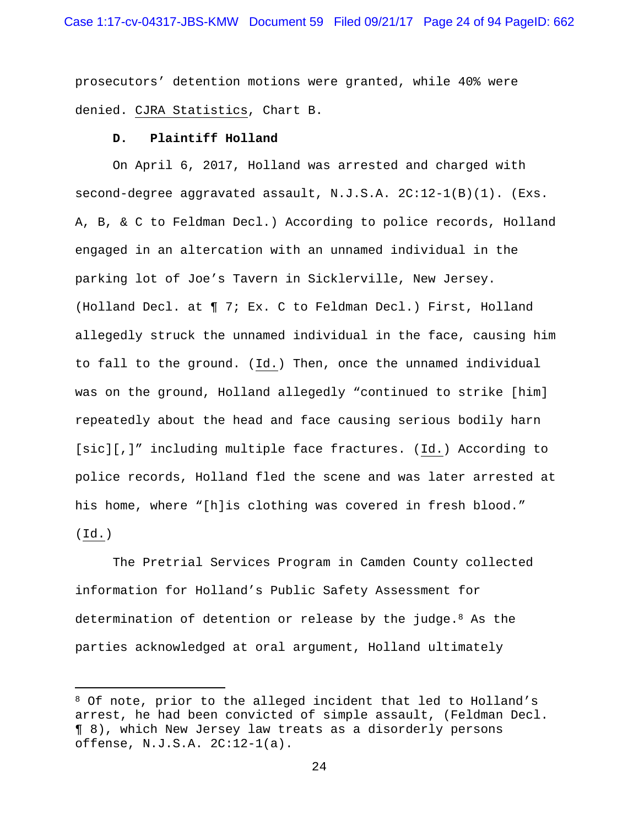prosecutors' detention motions were granted, while 40% were denied. CJRA Statistics, Chart B.

#### **D. Plaintiff Holland**

i

 On April 6, 2017, Holland was arrested and charged with second-degree aggravated assault, N.J.S.A. 2C:12-1(B)(1). (Exs. A, B, & C to Feldman Decl.) According to police records, Holland engaged in an altercation with an unnamed individual in the parking lot of Joe's Tavern in Sicklerville, New Jersey. (Holland Decl. at ¶ 7; Ex. C to Feldman Decl.) First, Holland allegedly struck the unnamed individual in the face, causing him to fall to the ground. (Id.) Then, once the unnamed individual was on the ground, Holland allegedly "continued to strike [him] repeatedly about the head and face causing serious bodily harn [sic][,]" including multiple face fractures. (Id.) According to police records, Holland fled the scene and was later arrested at his home, where "[h]is clothing was covered in fresh blood." (Id.)

 The Pretrial Services Program in Camden County collected information for Holland's Public Safety Assessment for determination of detention or release by the judge.  $8$  As the parties acknowledged at oral argument, Holland ultimately

<sup>8</sup> Of note, prior to the alleged incident that led to Holland's arrest, he had been convicted of simple assault, (Feldman Decl. ¶ 8), which New Jersey law treats as a disorderly persons offense, N.J.S.A. 2C:12-1(a).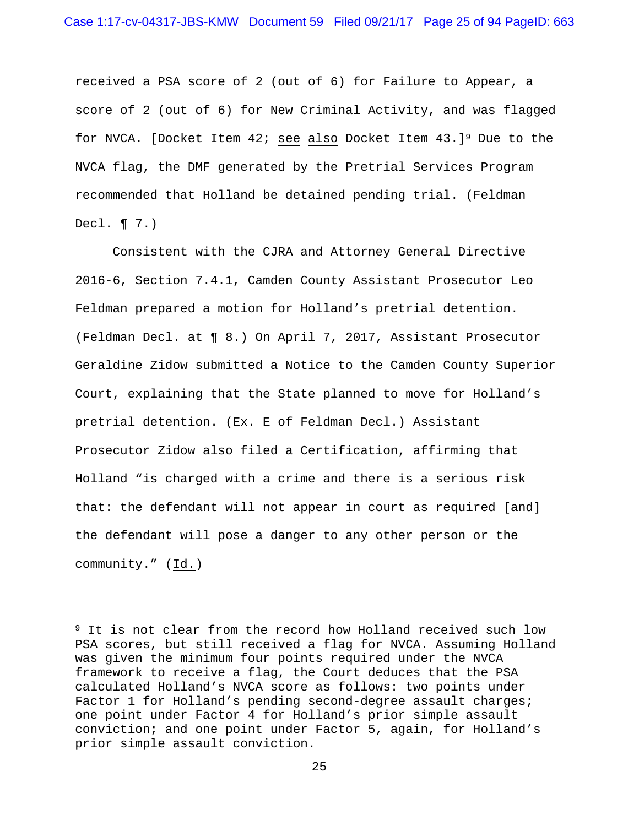received a PSA score of 2 (out of 6) for Failure to Appear, a score of 2 (out of 6) for New Criminal Activity, and was flagged for NVCA. [Docket Item 42; see also Docket Item 43.]9 Due to the NVCA flag, the DMF generated by the Pretrial Services Program recommended that Holland be detained pending trial. (Feldman Decl. ¶ 7.)

 Consistent with the CJRA and Attorney General Directive 2016-6, Section 7.4.1, Camden County Assistant Prosecutor Leo Feldman prepared a motion for Holland's pretrial detention. (Feldman Decl. at ¶ 8.) On April 7, 2017, Assistant Prosecutor Geraldine Zidow submitted a Notice to the Camden County Superior Court, explaining that the State planned to move for Holland's pretrial detention. (Ex. E of Feldman Decl.) Assistant Prosecutor Zidow also filed a Certification, affirming that Holland "is charged with a crime and there is a serious risk that: the defendant will not appear in court as required [and] the defendant will pose a danger to any other person or the community." (Id.)

i<br>Li

<sup>&</sup>lt;sup>9</sup> It is not clear from the record how Holland received such low PSA scores, but still received a flag for NVCA. Assuming Holland was given the minimum four points required under the NVCA framework to receive a flag, the Court deduces that the PSA calculated Holland's NVCA score as follows: two points under Factor 1 for Holland's pending second-degree assault charges; one point under Factor 4 for Holland's prior simple assault conviction; and one point under Factor 5, again, for Holland's prior simple assault conviction.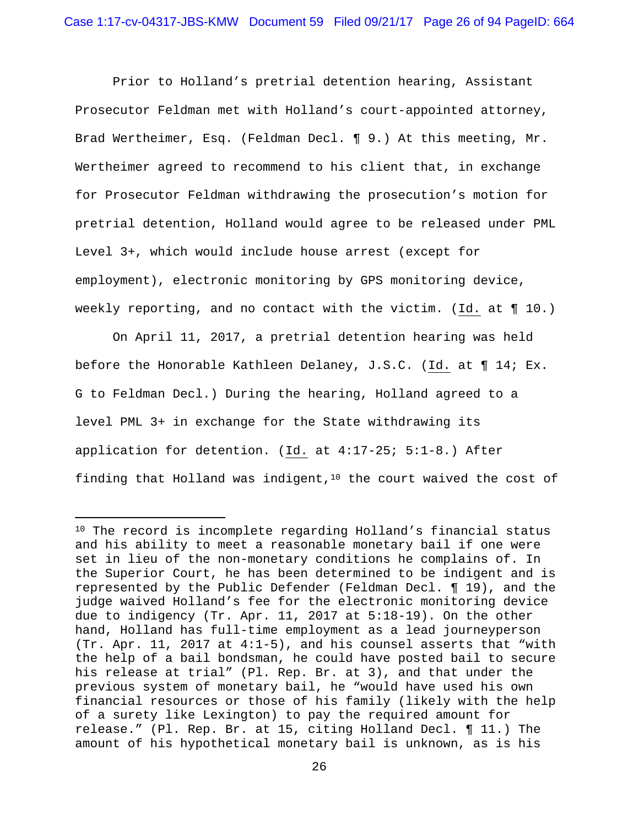Prior to Holland's pretrial detention hearing, Assistant Prosecutor Feldman met with Holland's court-appointed attorney, Brad Wertheimer, Esq. (Feldman Decl. ¶ 9.) At this meeting, Mr. Wertheimer agreed to recommend to his client that, in exchange for Prosecutor Feldman withdrawing the prosecution's motion for pretrial detention, Holland would agree to be released under PML Level 3+, which would include house arrest (except for employment), electronic monitoring by GPS monitoring device, weekly reporting, and no contact with the victim. (Id. at ¶ 10.)

 On April 11, 2017, a pretrial detention hearing was held before the Honorable Kathleen Delaney, J.S.C. (Id. at ¶ 14; Ex. G to Feldman Decl.) During the hearing, Holland agreed to a level PML 3+ in exchange for the State withdrawing its application for detention. (Id. at 4:17-25; 5:1-8.) After finding that Holland was indigent,  $10$  the court waived the cost of

 $\overline{\phantom{0}}$ 

<sup>&</sup>lt;sup>10</sup> The record is incomplete regarding Holland's financial status and his ability to meet a reasonable monetary bail if one were set in lieu of the non-monetary conditions he complains of. In the Superior Court, he has been determined to be indigent and is represented by the Public Defender (Feldman Decl. ¶ 19), and the judge waived Holland's fee for the electronic monitoring device due to indigency (Tr. Apr. 11, 2017 at 5:18-19). On the other hand, Holland has full-time employment as a lead journeyperson (Tr. Apr. 11, 2017 at 4:1-5), and his counsel asserts that "with the help of a bail bondsman, he could have posted bail to secure his release at trial" (Pl. Rep. Br. at 3), and that under the previous system of monetary bail, he "would have used his own financial resources or those of his family (likely with the help of a surety like Lexington) to pay the required amount for release." (Pl. Rep. Br. at 15, citing Holland Decl. ¶ 11.) The amount of his hypothetical monetary bail is unknown, as is his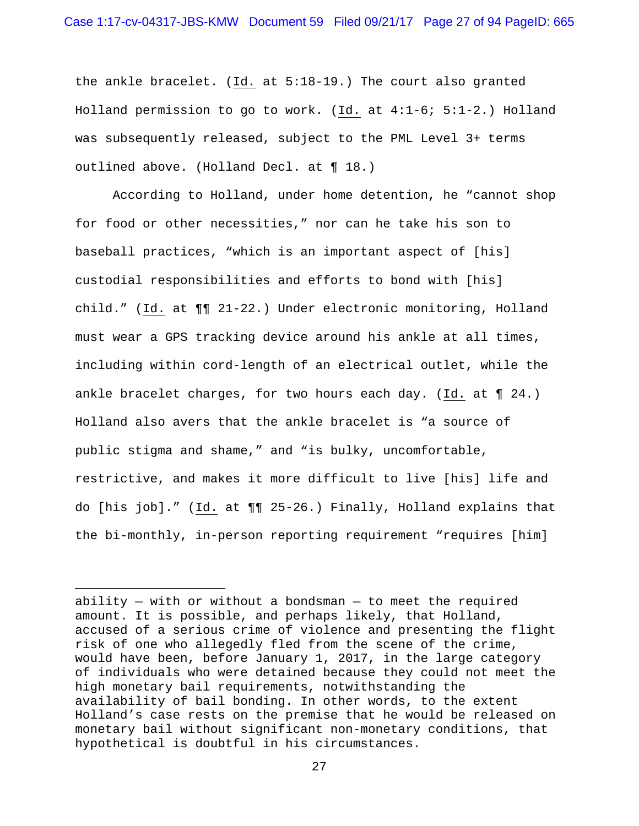the ankle bracelet. (Id. at 5:18-19.) The court also granted Holland permission to go to work. (Id. at 4:1-6; 5:1-2.) Holland was subsequently released, subject to the PML Level 3+ terms outlined above. (Holland Decl. at ¶ 18.)

 According to Holland, under home detention, he "cannot shop for food or other necessities," nor can he take his son to baseball practices, "which is an important aspect of [his] custodial responsibilities and efforts to bond with [his] child." (Id. at ¶¶ 21-22.) Under electronic monitoring, Holland must wear a GPS tracking device around his ankle at all times, including within cord-length of an electrical outlet, while the ankle bracelet charges, for two hours each day. (Id. at ¶ 24.) Holland also avers that the ankle bracelet is "a source of public stigma and shame," and "is bulky, uncomfortable, restrictive, and makes it more difficult to live [his] life and do [his job]." (Id. at ¶¶ 25-26.) Finally, Holland explains that the bi-monthly, in-person reporting requirement "requires [him]

i

ability  $-$  with or without a bondsman  $-$  to meet the required amount. It is possible, and perhaps likely, that Holland, accused of a serious crime of violence and presenting the flight risk of one who allegedly fled from the scene of the crime, would have been, before January 1, 2017, in the large category of individuals who were detained because they could not meet the high monetary bail requirements, notwithstanding the availability of bail bonding. In other words, to the extent Holland's case rests on the premise that he would be released on monetary bail without significant non-monetary conditions, that hypothetical is doubtful in his circumstances.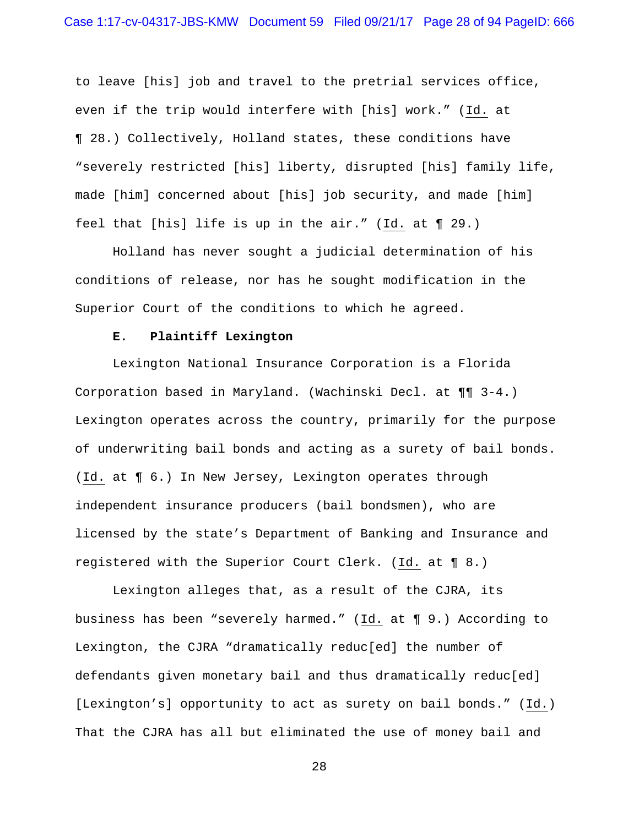to leave [his] job and travel to the pretrial services office, even if the trip would interfere with [his] work." (Id. at ¶ 28.) Collectively, Holland states, these conditions have "severely restricted [his] liberty, disrupted [his] family life, made [him] concerned about [his] job security, and made [him] feel that [his] life is up in the air." (Id. at ¶ 29.)

 Holland has never sought a judicial determination of his conditions of release, nor has he sought modification in the Superior Court of the conditions to which he agreed.

#### **E. Plaintiff Lexington**

 Lexington National Insurance Corporation is a Florida Corporation based in Maryland. (Wachinski Decl. at ¶¶ 3-4.) Lexington operates across the country, primarily for the purpose of underwriting bail bonds and acting as a surety of bail bonds. (Id. at ¶ 6.) In New Jersey, Lexington operates through independent insurance producers (bail bondsmen), who are licensed by the state's Department of Banking and Insurance and registered with the Superior Court Clerk. (Id. at ¶ 8.)

 Lexington alleges that, as a result of the CJRA, its business has been "severely harmed." (Id. at ¶ 9.) According to Lexington, the CJRA "dramatically reduc[ed] the number of defendants given monetary bail and thus dramatically reduc[ed] [Lexington's] opportunity to act as surety on bail bonds." (Id.) That the CJRA has all but eliminated the use of money bail and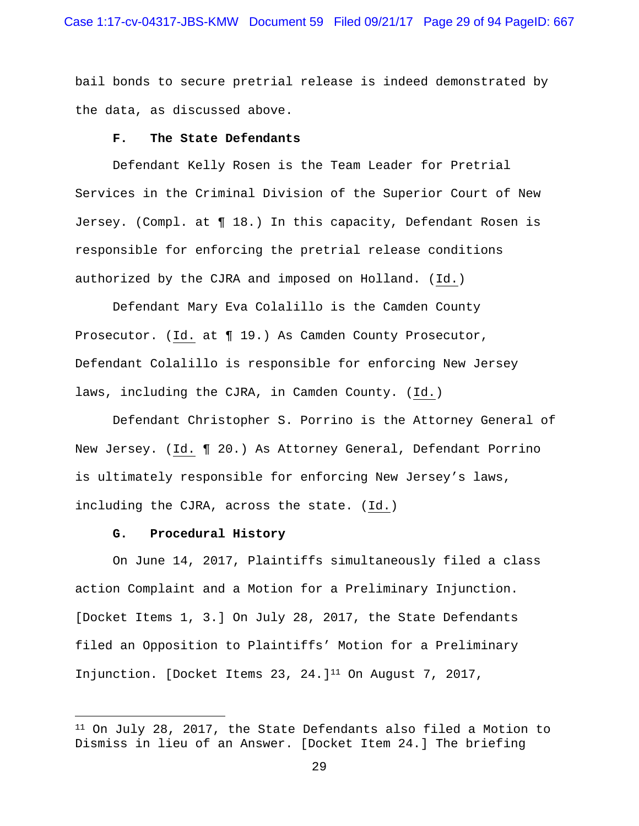bail bonds to secure pretrial release is indeed demonstrated by the data, as discussed above.

#### **F. The State Defendants**

 Defendant Kelly Rosen is the Team Leader for Pretrial Services in the Criminal Division of the Superior Court of New Jersey. (Compl. at ¶ 18.) In this capacity, Defendant Rosen is responsible for enforcing the pretrial release conditions authorized by the CJRA and imposed on Holland. (Id.)

 Defendant Mary Eva Colalillo is the Camden County Prosecutor. (Id. at ¶ 19.) As Camden County Prosecutor, Defendant Colalillo is responsible for enforcing New Jersey laws, including the CJRA, in Camden County. (Id.)

 Defendant Christopher S. Porrino is the Attorney General of New Jersey. (Id. ¶ 20.) As Attorney General, Defendant Porrino is ultimately responsible for enforcing New Jersey's laws, including the CJRA, across the state. (Id.)

#### **G. Procedural History**

 $\overline{\phantom{0}}$ 

 On June 14, 2017, Plaintiffs simultaneously filed a class action Complaint and a Motion for a Preliminary Injunction. [Docket Items 1, 3.] On July 28, 2017, the State Defendants filed an Opposition to Plaintiffs' Motion for a Preliminary Injunction. [Docket Items 23, 24.]11 On August 7, 2017,

<sup>11</sup> On July 28, 2017, the State Defendants also filed a Motion to Dismiss in lieu of an Answer. [Docket Item 24.] The briefing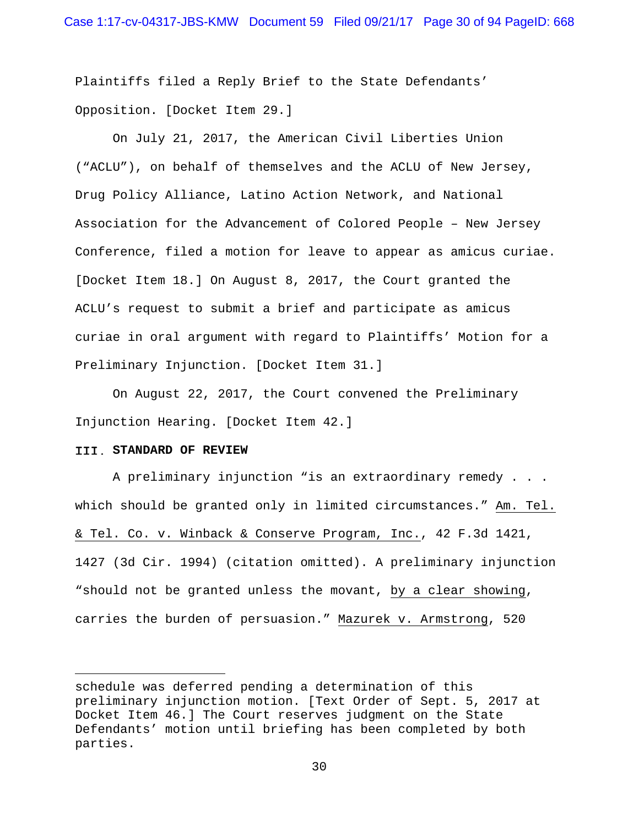Plaintiffs filed a Reply Brief to the State Defendants' Opposition. [Docket Item 29.]

 On July 21, 2017, the American Civil Liberties Union ("ACLU"), on behalf of themselves and the ACLU of New Jersey, Drug Policy Alliance, Latino Action Network, and National Association for the Advancement of Colored People – New Jersey Conference, filed a motion for leave to appear as amicus curiae. [Docket Item 18.] On August 8, 2017, the Court granted the ACLU's request to submit a brief and participate as amicus curiae in oral argument with regard to Plaintiffs' Motion for a Preliminary Injunction. [Docket Item 31.]

 On August 22, 2017, the Court convened the Preliminary Injunction Hearing. [Docket Item 42.]

#### **STANDARD OF REVIEW**

i<br>Li

A preliminary injunction "is an extraordinary remedy . . . which should be granted only in limited circumstances." Am. Tel. & Tel. Co. v. Winback & Conserve Program, Inc., 42 F.3d 1421, 1427 (3d Cir. 1994) (citation omitted). A preliminary injunction "should not be granted unless the movant, by a clear showing, carries the burden of persuasion." Mazurek v. Armstrong, 520

schedule was deferred pending a determination of this preliminary injunction motion. [Text Order of Sept. 5, 2017 at Docket Item 46.] The Court reserves judgment on the State Defendants' motion until briefing has been completed by both parties.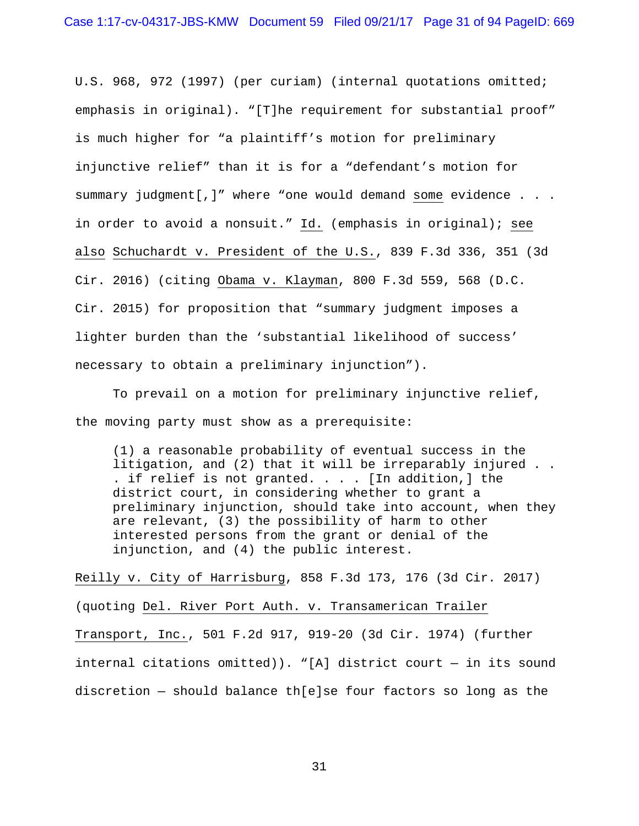U.S. 968, 972 (1997) (per curiam) (internal quotations omitted; emphasis in original). "[T]he requirement for substantial proof" is much higher for "a plaintiff's motion for preliminary injunctive relief" than it is for a "defendant's motion for summary judgment[,]" where "one would demand some evidence . . . in order to avoid a nonsuit." Id. (emphasis in original); see also Schuchardt v. President of the U.S., 839 F.3d 336, 351 (3d Cir. 2016) (citing Obama v. Klayman, 800 F.3d 559, 568 (D.C. Cir. 2015) for proposition that "summary judgment imposes a lighter burden than the 'substantial likelihood of success' necessary to obtain a preliminary injunction").

To prevail on a motion for preliminary injunctive relief, the moving party must show as a prerequisite:

(1) a reasonable probability of eventual success in the litigation, and (2) that it will be irreparably injured . . . if relief is not granted. . . . [In addition,] the district court, in considering whether to grant a preliminary injunction, should take into account, when they are relevant, (3) the possibility of harm to other interested persons from the grant or denial of the injunction, and (4) the public interest.

Reilly v. City of Harrisburg, 858 F.3d 173, 176 (3d Cir. 2017) (quoting Del. River Port Auth. v. Transamerican Trailer Transport, Inc., 501 F.2d 917, 919-20 (3d Cir. 1974) (further internal citations omitted)). "[A] district court — in its sound discretion — should balance th[e]se four factors so long as the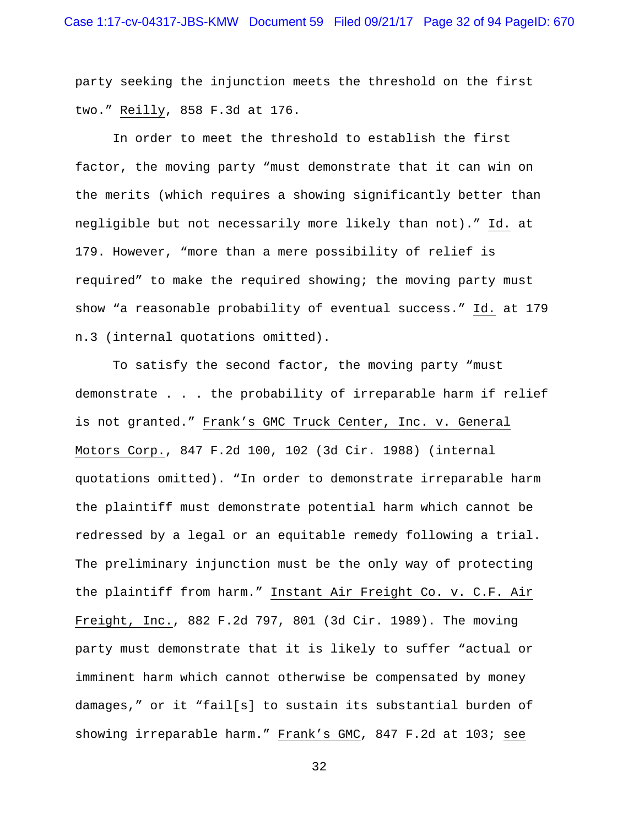party seeking the injunction meets the threshold on the first two." Reilly, 858 F.3d at 176.

In order to meet the threshold to establish the first factor, the moving party "must demonstrate that it can win on the merits (which requires a showing significantly better than negligible but not necessarily more likely than not)." Id. at 179. However, "more than a mere possibility of relief is required" to make the required showing; the moving party must show "a reasonable probability of eventual success." Id. at 179 n.3 (internal quotations omitted).

To satisfy the second factor, the moving party "must demonstrate . . . the probability of irreparable harm if relief is not granted." Frank's GMC Truck Center, Inc. v. General Motors Corp., 847 F.2d 100, 102 (3d Cir. 1988) (internal quotations omitted). "In order to demonstrate irreparable harm the plaintiff must demonstrate potential harm which cannot be redressed by a legal or an equitable remedy following a trial. The preliminary injunction must be the only way of protecting the plaintiff from harm." Instant Air Freight Co. v. C.F. Air Freight, Inc., 882 F.2d 797, 801 (3d Cir. 1989). The moving party must demonstrate that it is likely to suffer "actual or imminent harm which cannot otherwise be compensated by money damages," or it "fail[s] to sustain its substantial burden of showing irreparable harm." Frank's GMC, 847 F.2d at 103; see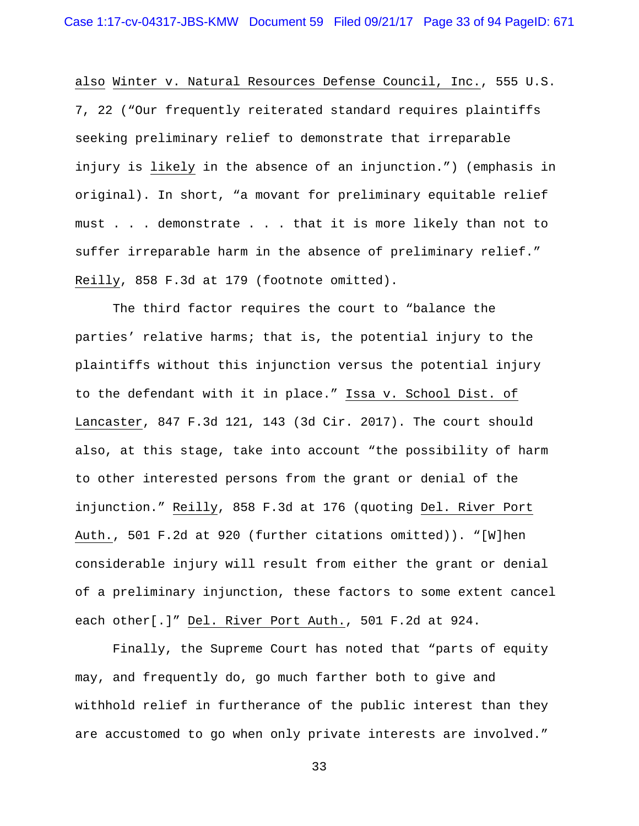also Winter v. Natural Resources Defense Council, Inc., 555 U.S. 7, 22 ("Our frequently reiterated standard requires plaintiffs seeking preliminary relief to demonstrate that irreparable injury is likely in the absence of an injunction.") (emphasis in original). In short, "a movant for preliminary equitable relief must . . . demonstrate . . . that it is more likely than not to suffer irreparable harm in the absence of preliminary relief." Reilly, 858 F.3d at 179 (footnote omitted).

The third factor requires the court to "balance the parties' relative harms; that is, the potential injury to the plaintiffs without this injunction versus the potential injury to the defendant with it in place." Issa v. School Dist. of Lancaster, 847 F.3d 121, 143 (3d Cir. 2017). The court should also, at this stage, take into account "the possibility of harm to other interested persons from the grant or denial of the injunction." Reilly, 858 F.3d at 176 (quoting Del. River Port Auth., 501 F.2d at 920 (further citations omitted)). "[W]hen considerable injury will result from either the grant or denial of a preliminary injunction, these factors to some extent cancel each other[.]" Del. River Port Auth., 501 F.2d at 924.

Finally, the Supreme Court has noted that "parts of equity may, and frequently do, go much farther both to give and withhold relief in furtherance of the public interest than they are accustomed to go when only private interests are involved."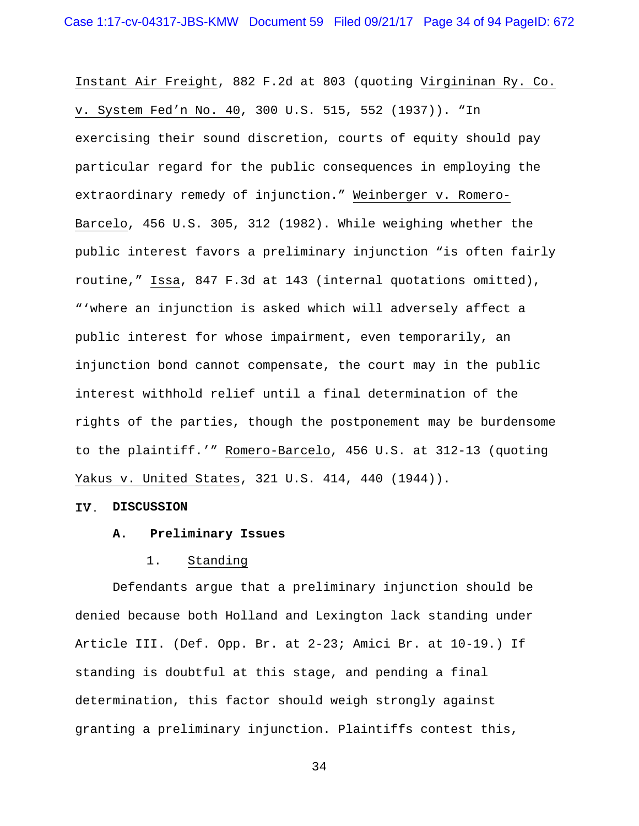Instant Air Freight, 882 F.2d at 803 (quoting Virgininan Ry. Co. v. System Fed'n No. 40, 300 U.S. 515, 552 (1937)). "In exercising their sound discretion, courts of equity should pay particular regard for the public consequences in employing the extraordinary remedy of injunction." Weinberger v. Romero-Barcelo, 456 U.S. 305, 312 (1982). While weighing whether the public interest favors a preliminary injunction "is often fairly routine," Issa, 847 F.3d at 143 (internal quotations omitted), "'where an injunction is asked which will adversely affect a public interest for whose impairment, even temporarily, an injunction bond cannot compensate, the court may in the public interest withhold relief until a final determination of the rights of the parties, though the postponement may be burdensome to the plaintiff.'" Romero-Barcelo, 456 U.S. at 312-13 (quoting Yakus v. United States, 321 U.S. 414, 440 (1944)).

#### **DISCUSSION**

#### **A. Preliminary Issues**

## 1. Standing

 Defendants argue that a preliminary injunction should be denied because both Holland and Lexington lack standing under Article III. (Def. Opp. Br. at 2-23; Amici Br. at 10-19.) If standing is doubtful at this stage, and pending a final determination, this factor should weigh strongly against granting a preliminary injunction. Plaintiffs contest this,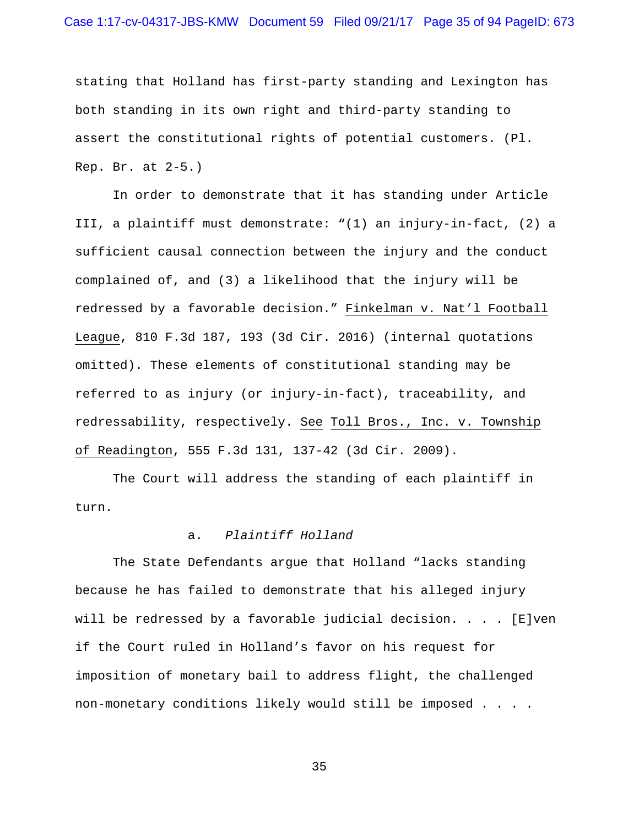## Case 1:17-cv-04317-JBS-KMW Document 59 Filed 09/21/17 Page 35 of 94 PageID: 673

stating that Holland has first-party standing and Lexington has both standing in its own right and third-party standing to assert the constitutional rights of potential customers. (Pl. Rep. Br. at 2-5.)

 In order to demonstrate that it has standing under Article III, a plaintiff must demonstrate: "(1) an injury-in-fact, (2) a sufficient causal connection between the injury and the conduct complained of, and (3) a likelihood that the injury will be redressed by a favorable decision." Finkelman v. Nat'l Football League, 810 F.3d 187, 193 (3d Cir. 2016) (internal quotations omitted). These elements of constitutional standing may be referred to as injury (or injury-in-fact), traceability, and redressability, respectively. See Toll Bros., Inc. v. Township of Readington, 555 F.3d 131, 137-42 (3d Cir. 2009).

The Court will address the standing of each plaintiff in turn.

## a. *Plaintiff Holland*

 The State Defendants argue that Holland "lacks standing because he has failed to demonstrate that his alleged injury will be redressed by a favorable judicial decision. . . . [E]ven if the Court ruled in Holland's favor on his request for imposition of monetary bail to address flight, the challenged non-monetary conditions likely would still be imposed . . . .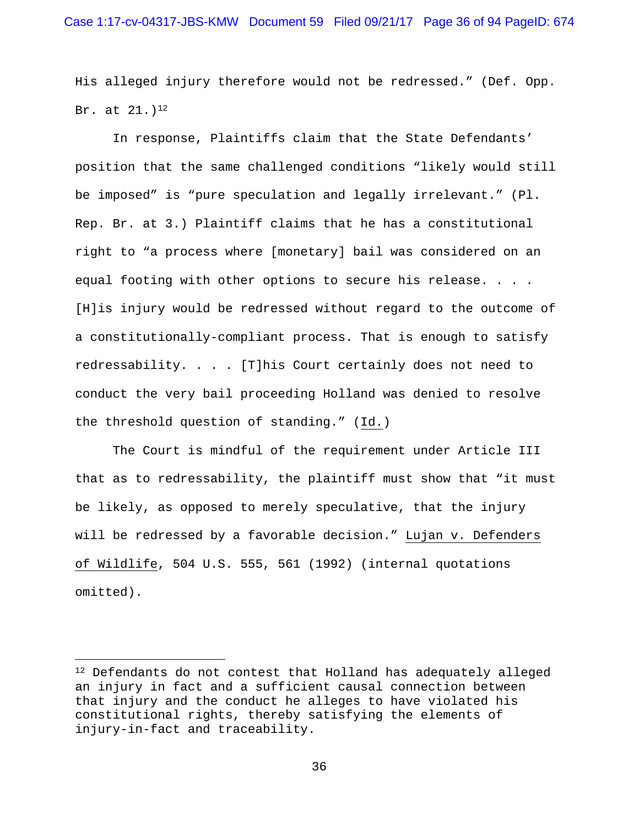His alleged injury therefore would not be redressed." (Def. Opp. Br. at  $21.$ )<sup>12</sup>

In response, Plaintiffs claim that the State Defendants' position that the same challenged conditions "likely would still be imposed" is "pure speculation and legally irrelevant." (Pl. Rep. Br. at 3.) Plaintiff claims that he has a constitutional right to "a process where [monetary] bail was considered on an equal footing with other options to secure his release. . . . [H]is injury would be redressed without regard to the outcome of a constitutionally-compliant process. That is enough to satisfy redressability. . . . [T]his Court certainly does not need to conduct the very bail proceeding Holland was denied to resolve the threshold question of standing." (Id.)

The Court is mindful of the requirement under Article III that as to redressability, the plaintiff must show that "it must be likely, as opposed to merely speculative, that the injury will be redressed by a favorable decision." Lujan v. Defenders of Wildlife, 504 U.S. 555, 561 (1992) (internal quotations omitted).

i<br>Li

 $12$  Defendants do not contest that Holland has adequately alleged an injury in fact and a sufficient causal connection between that injury and the conduct he alleges to have violated his constitutional rights, thereby satisfying the elements of injury-in-fact and traceability.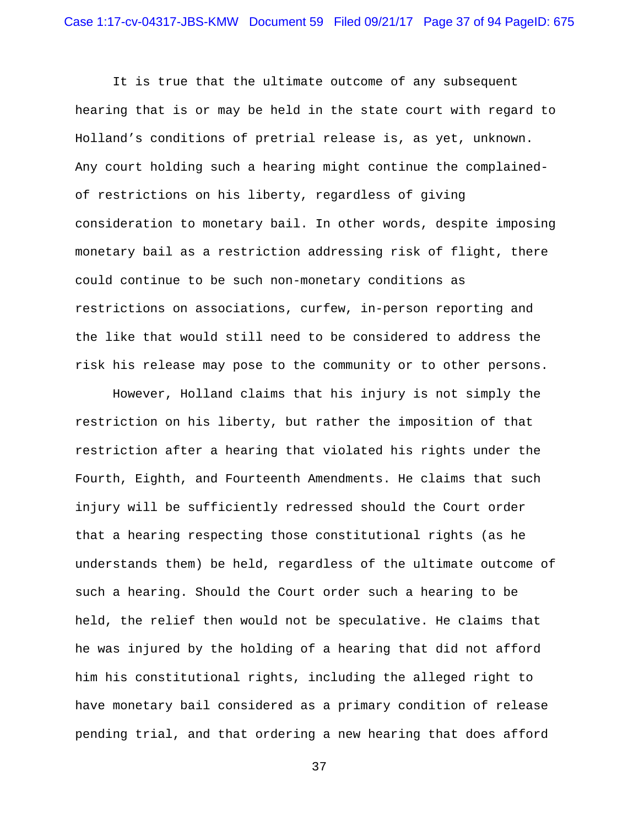It is true that the ultimate outcome of any subsequent hearing that is or may be held in the state court with regard to Holland's conditions of pretrial release is, as yet, unknown. Any court holding such a hearing might continue the complainedof restrictions on his liberty, regardless of giving consideration to monetary bail. In other words, despite imposing monetary bail as a restriction addressing risk of flight, there could continue to be such non-monetary conditions as restrictions on associations, curfew, in-person reporting and the like that would still need to be considered to address the risk his release may pose to the community or to other persons.

However, Holland claims that his injury is not simply the restriction on his liberty, but rather the imposition of that restriction after a hearing that violated his rights under the Fourth, Eighth, and Fourteenth Amendments. He claims that such injury will be sufficiently redressed should the Court order that a hearing respecting those constitutional rights (as he understands them) be held, regardless of the ultimate outcome of such a hearing. Should the Court order such a hearing to be held, the relief then would not be speculative. He claims that he was injured by the holding of a hearing that did not afford him his constitutional rights, including the alleged right to have monetary bail considered as a primary condition of release pending trial, and that ordering a new hearing that does afford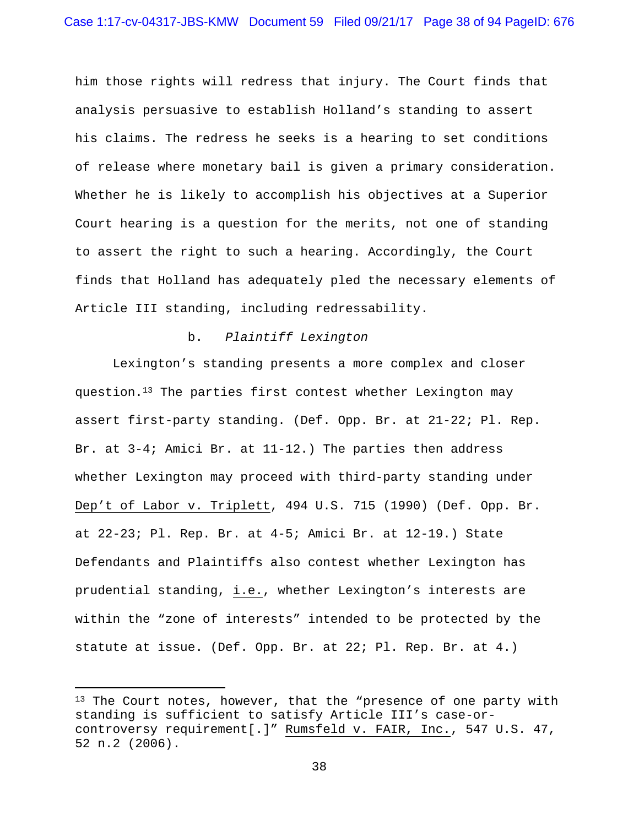him those rights will redress that injury. The Court finds that analysis persuasive to establish Holland's standing to assert his claims. The redress he seeks is a hearing to set conditions of release where monetary bail is given a primary consideration. Whether he is likely to accomplish his objectives at a Superior Court hearing is a question for the merits, not one of standing to assert the right to such a hearing. Accordingly, the Court finds that Holland has adequately pled the necessary elements of Article III standing, including redressability.

#### b. *Plaintiff Lexington*

 Lexington's standing presents a more complex and closer question.13 The parties first contest whether Lexington may assert first-party standing. (Def. Opp. Br. at 21-22; Pl. Rep. Br. at 3-4; Amici Br. at 11-12.) The parties then address whether Lexington may proceed with third-party standing under Dep't of Labor v. Triplett, 494 U.S. 715 (1990) (Def. Opp. Br. at 22-23; Pl. Rep. Br. at 4-5; Amici Br. at 12-19.) State Defendants and Plaintiffs also contest whether Lexington has prudential standing, i.e., whether Lexington's interests are within the "zone of interests" intended to be protected by the statute at issue. (Def. Opp. Br. at 22; Pl. Rep. Br. at 4.)

i

<sup>&</sup>lt;sup>13</sup> The Court notes, however, that the "presence of one party with standing is sufficient to satisfy Article III's case-orcontroversy requirement[.]" Rumsfeld v. FAIR, Inc., 547 U.S. 47, 52 n.2 (2006).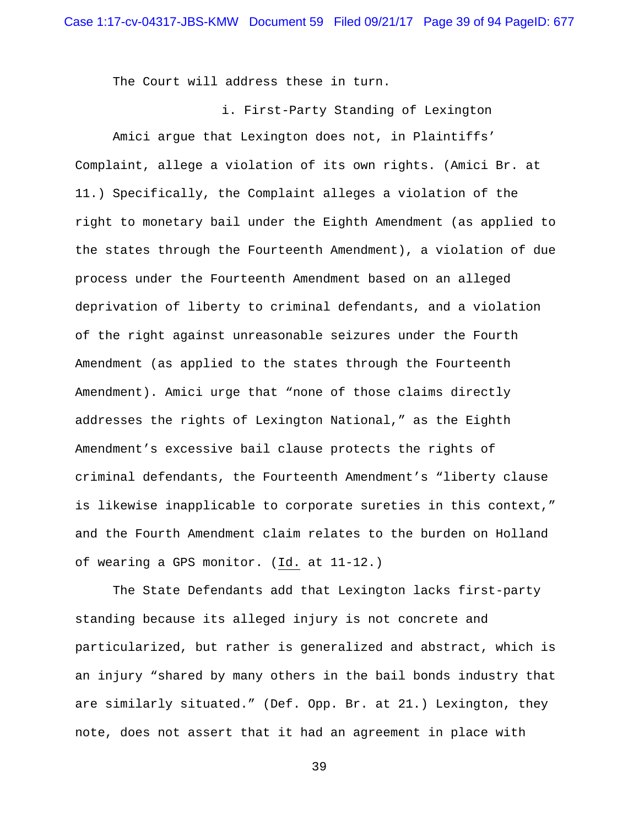The Court will address these in turn.

i. First-Party Standing of Lexington

 Amici argue that Lexington does not, in Plaintiffs' Complaint, allege a violation of its own rights. (Amici Br. at 11.) Specifically, the Complaint alleges a violation of the right to monetary bail under the Eighth Amendment (as applied to the states through the Fourteenth Amendment), a violation of due process under the Fourteenth Amendment based on an alleged deprivation of liberty to criminal defendants, and a violation of the right against unreasonable seizures under the Fourth Amendment (as applied to the states through the Fourteenth Amendment). Amici urge that "none of those claims directly addresses the rights of Lexington National," as the Eighth Amendment's excessive bail clause protects the rights of criminal defendants, the Fourteenth Amendment's "liberty clause is likewise inapplicable to corporate sureties in this context," and the Fourth Amendment claim relates to the burden on Holland of wearing a GPS monitor. (Id. at 11-12.)

 The State Defendants add that Lexington lacks first-party standing because its alleged injury is not concrete and particularized, but rather is generalized and abstract, which is an injury "shared by many others in the bail bonds industry that are similarly situated." (Def. Opp. Br. at 21.) Lexington, they note, does not assert that it had an agreement in place with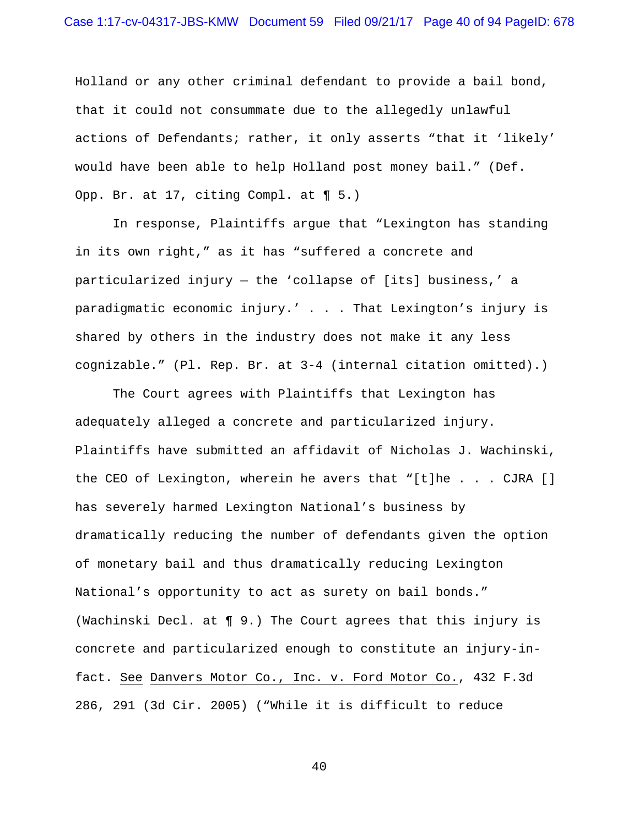Holland or any other criminal defendant to provide a bail bond, that it could not consummate due to the allegedly unlawful actions of Defendants; rather, it only asserts "that it 'likely' would have been able to help Holland post money bail." (Def. Opp. Br. at 17, citing Compl. at ¶ 5.)

 In response, Plaintiffs argue that "Lexington has standing in its own right," as it has "suffered a concrete and particularized injury — the 'collapse of [its] business,' a paradigmatic economic injury.' . . . That Lexington's injury is shared by others in the industry does not make it any less cognizable." (Pl. Rep. Br. at 3-4 (internal citation omitted).)

 The Court agrees with Plaintiffs that Lexington has adequately alleged a concrete and particularized injury. Plaintiffs have submitted an affidavit of Nicholas J. Wachinski, the CEO of Lexington, wherein he avers that "[t]he . . . CJRA [] has severely harmed Lexington National's business by dramatically reducing the number of defendants given the option of monetary bail and thus dramatically reducing Lexington National's opportunity to act as surety on bail bonds." (Wachinski Decl. at ¶ 9.) The Court agrees that this injury is concrete and particularized enough to constitute an injury-infact. See Danvers Motor Co., Inc. v. Ford Motor Co., 432 F.3d 286, 291 (3d Cir. 2005) ("While it is difficult to reduce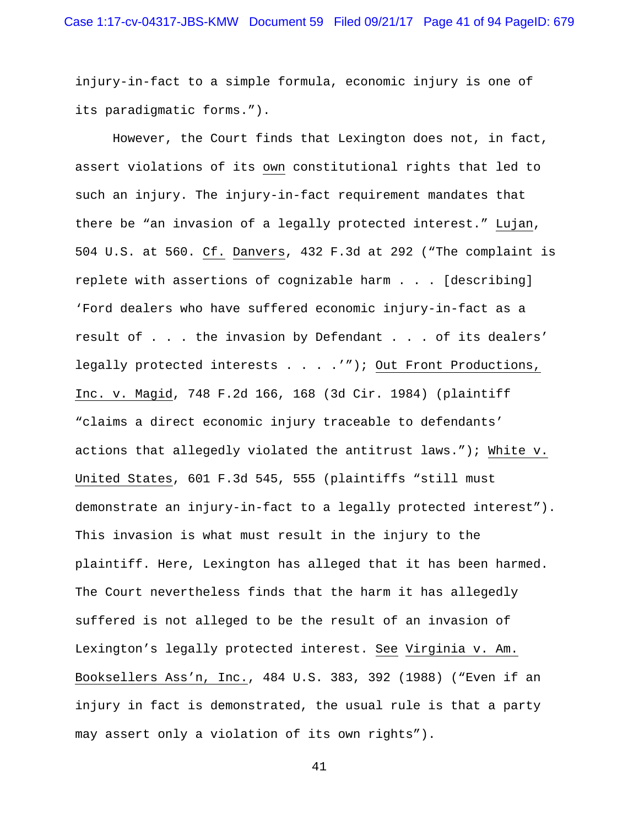injury-in-fact to a simple formula, economic injury is one of its paradigmatic forms.").

 However, the Court finds that Lexington does not, in fact, assert violations of its own constitutional rights that led to such an injury. The injury-in-fact requirement mandates that there be "an invasion of a legally protected interest." Lujan, 504 U.S. at 560. Cf. Danvers, 432 F.3d at 292 ("The complaint is replete with assertions of cognizable harm . . . [describing] 'Ford dealers who have suffered economic injury-in-fact as a result of . . . the invasion by Defendant . . . of its dealers' legally protected interests . . . . ""); Out Front Productions, Inc. v. Magid, 748 F.2d 166, 168 (3d Cir. 1984) (plaintiff "claims a direct economic injury traceable to defendants' actions that allegedly violated the antitrust laws."); White v. United States, 601 F.3d 545, 555 (plaintiffs "still must demonstrate an injury-in-fact to a legally protected interest"). This invasion is what must result in the injury to the plaintiff. Here, Lexington has alleged that it has been harmed. The Court nevertheless finds that the harm it has allegedly suffered is not alleged to be the result of an invasion of Lexington's legally protected interest. See Virginia v. Am. Booksellers Ass'n, Inc., 484 U.S. 383, 392 (1988) ("Even if an injury in fact is demonstrated, the usual rule is that a party may assert only a violation of its own rights").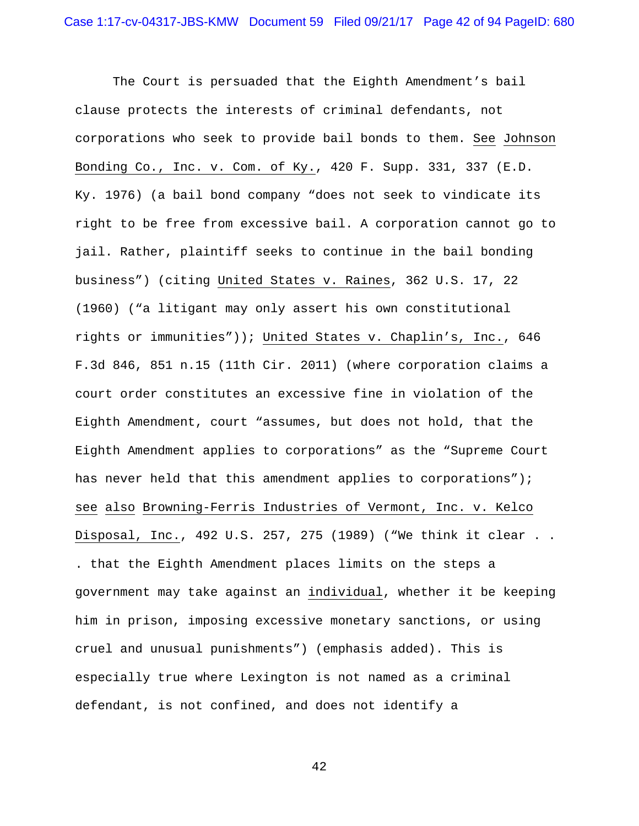The Court is persuaded that the Eighth Amendment's bail clause protects the interests of criminal defendants, not corporations who seek to provide bail bonds to them. See Johnson Bonding Co., Inc. v. Com. of Ky., 420 F. Supp. 331, 337 (E.D. Ky. 1976) (a bail bond company "does not seek to vindicate its right to be free from excessive bail. A corporation cannot go to jail. Rather, plaintiff seeks to continue in the bail bonding business") (citing United States v. Raines, 362 U.S. 17, 22 (1960) ("a litigant may only assert his own constitutional rights or immunities")); United States v. Chaplin's, Inc., 646 F.3d 846, 851 n.15 (11th Cir. 2011) (where corporation claims a court order constitutes an excessive fine in violation of the Eighth Amendment, court "assumes, but does not hold, that the Eighth Amendment applies to corporations" as the "Supreme Court has never held that this amendment applies to corporations"); see also Browning-Ferris Industries of Vermont, Inc. v. Kelco Disposal, Inc., 492 U.S. 257, 275 (1989) ("We think it clear . . . that the Eighth Amendment places limits on the steps a government may take against an individual, whether it be keeping him in prison, imposing excessive monetary sanctions, or using cruel and unusual punishments") (emphasis added). This is especially true where Lexington is not named as a criminal defendant, is not confined, and does not identify a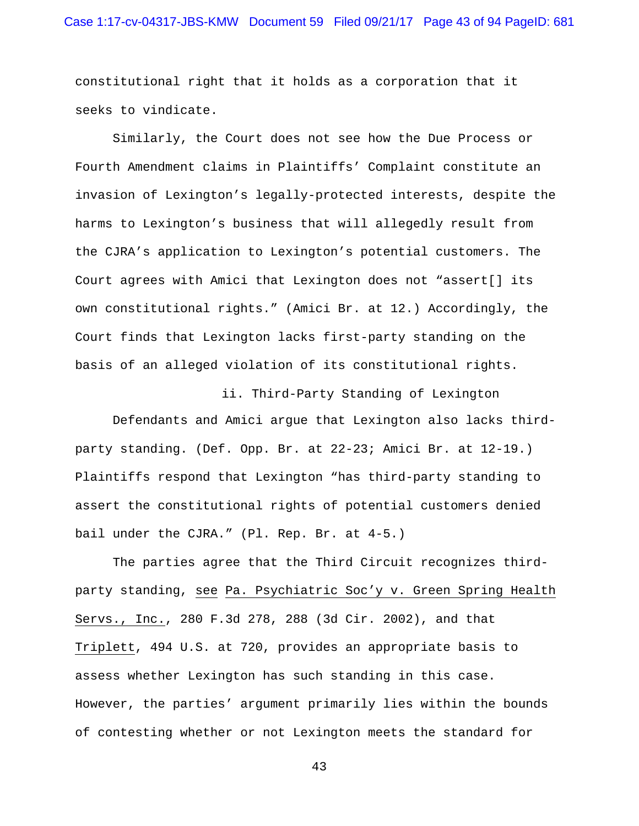## Case 1:17-cv-04317-JBS-KMW Document 59 Filed 09/21/17 Page 43 of 94 PageID: 681

constitutional right that it holds as a corporation that it seeks to vindicate.

 Similarly, the Court does not see how the Due Process or Fourth Amendment claims in Plaintiffs' Complaint constitute an invasion of Lexington's legally-protected interests, despite the harms to Lexington's business that will allegedly result from the CJRA's application to Lexington's potential customers. The Court agrees with Amici that Lexington does not "assert[] its own constitutional rights." (Amici Br. at 12.) Accordingly, the Court finds that Lexington lacks first-party standing on the basis of an alleged violation of its constitutional rights.

ii. Third-Party Standing of Lexington

 Defendants and Amici argue that Lexington also lacks thirdparty standing. (Def. Opp. Br. at 22-23; Amici Br. at 12-19.) Plaintiffs respond that Lexington "has third-party standing to assert the constitutional rights of potential customers denied bail under the CJRA." (Pl. Rep. Br. at 4-5.)

 The parties agree that the Third Circuit recognizes thirdparty standing, see Pa. Psychiatric Soc'y v. Green Spring Health Servs., Inc., 280 F.3d 278, 288 (3d Cir. 2002), and that Triplett, 494 U.S. at 720, provides an appropriate basis to assess whether Lexington has such standing in this case. However, the parties' argument primarily lies within the bounds of contesting whether or not Lexington meets the standard for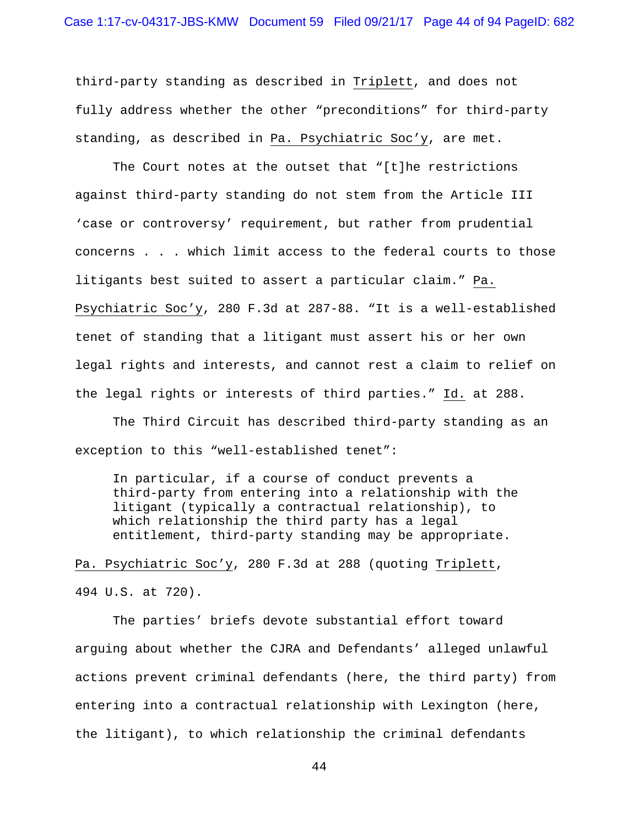third-party standing as described in Triplett, and does not fully address whether the other "preconditions" for third-party standing, as described in Pa. Psychiatric Soc'y, are met.

 The Court notes at the outset that "[t]he restrictions against third-party standing do not stem from the Article III 'case or controversy' requirement, but rather from prudential concerns . . . which limit access to the federal courts to those litigants best suited to assert a particular claim." Pa. Psychiatric Soc'y, 280 F.3d at 287-88. "It is a well-established tenet of standing that a litigant must assert his or her own legal rights and interests, and cannot rest a claim to relief on the legal rights or interests of third parties." Id. at 288.

 The Third Circuit has described third-party standing as an exception to this "well-established tenet":

In particular, if a course of conduct prevents a third-party from entering into a relationship with the litigant (typically a contractual relationship), to which relationship the third party has a legal entitlement, third-party standing may be appropriate.

Pa. Psychiatric Soc'y, 280 F.3d at 288 (quoting Triplett, 494 U.S. at 720).

 The parties' briefs devote substantial effort toward arguing about whether the CJRA and Defendants' alleged unlawful actions prevent criminal defendants (here, the third party) from entering into a contractual relationship with Lexington (here, the litigant), to which relationship the criminal defendants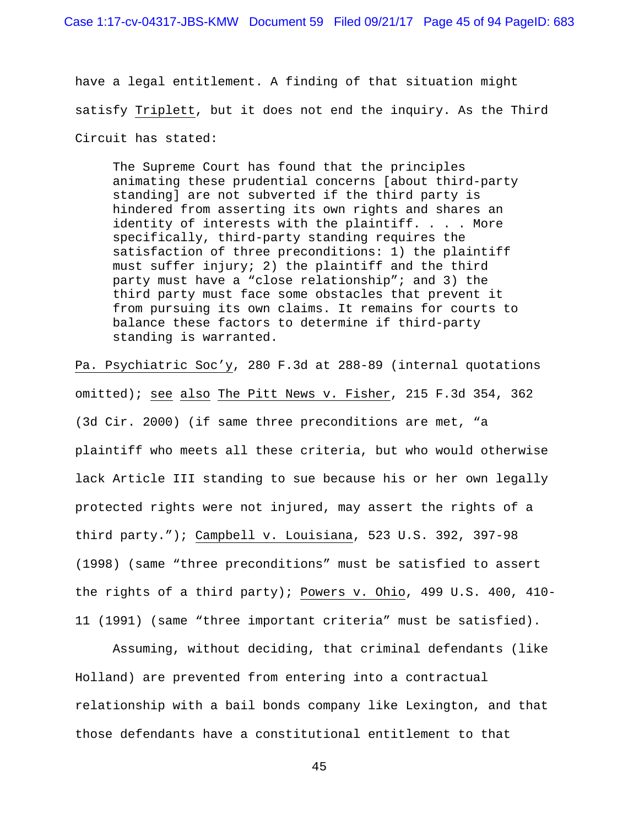have a legal entitlement. A finding of that situation might satisfy Triplett, but it does not end the inquiry. As the Third Circuit has stated:

The Supreme Court has found that the principles animating these prudential concerns [about third-party standing] are not subverted if the third party is hindered from asserting its own rights and shares an identity of interests with the plaintiff. . . . More specifically, third-party standing requires the satisfaction of three preconditions: 1) the plaintiff must suffer injury; 2) the plaintiff and the third party must have a "close relationship"; and 3) the third party must face some obstacles that prevent it from pursuing its own claims. It remains for courts to balance these factors to determine if third-party standing is warranted.

Pa. Psychiatric Soc'y, 280 F.3d at 288-89 (internal quotations omitted); see also The Pitt News v. Fisher, 215 F.3d 354, 362 (3d Cir. 2000) (if same three preconditions are met, "a plaintiff who meets all these criteria, but who would otherwise lack Article III standing to sue because his or her own legally protected rights were not injured, may assert the rights of a third party."); Campbell v. Louisiana, 523 U.S. 392, 397-98 (1998) (same "three preconditions" must be satisfied to assert the rights of a third party); Powers v. Ohio, 499 U.S. 400, 410- 11 (1991) (same "three important criteria" must be satisfied).

 Assuming, without deciding, that criminal defendants (like Holland) are prevented from entering into a contractual relationship with a bail bonds company like Lexington, and that those defendants have a constitutional entitlement to that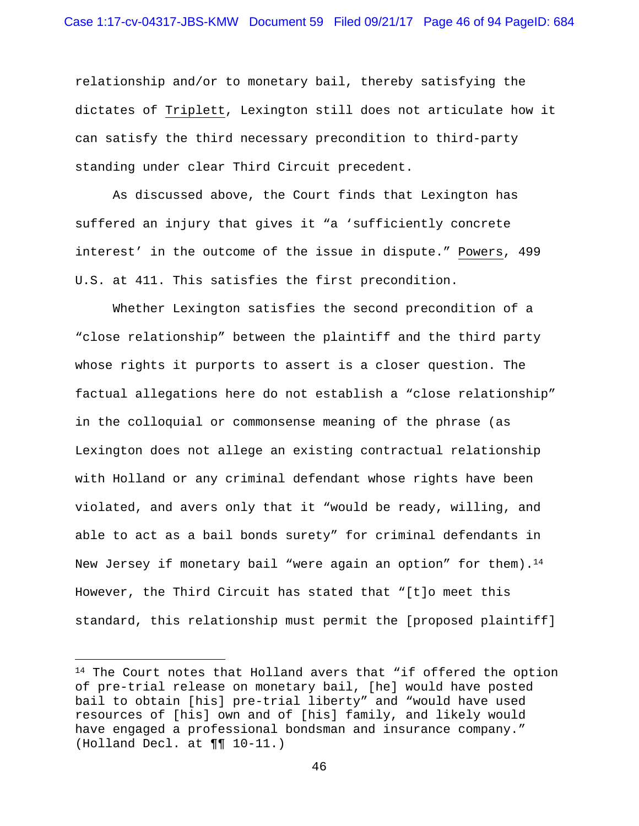relationship and/or to monetary bail, thereby satisfying the dictates of Triplett, Lexington still does not articulate how it can satisfy the third necessary precondition to third-party standing under clear Third Circuit precedent.

 As discussed above, the Court finds that Lexington has suffered an injury that gives it "a 'sufficiently concrete interest' in the outcome of the issue in dispute." Powers, 499 U.S. at 411. This satisfies the first precondition.

 Whether Lexington satisfies the second precondition of a "close relationship" between the plaintiff and the third party whose rights it purports to assert is a closer question. The factual allegations here do not establish a "close relationship" in the colloquial or commonsense meaning of the phrase (as Lexington does not allege an existing contractual relationship with Holland or any criminal defendant whose rights have been violated, and avers only that it "would be ready, willing, and able to act as a bail bonds surety" for criminal defendants in New Jersey if monetary bail "were again an option" for them).<sup>14</sup> However, the Third Circuit has stated that "[t]o meet this standard, this relationship must permit the [proposed plaintiff]

 $\overline{\phantom{0}}$ 

 $14$  The Court notes that Holland avers that "if offered the option of pre-trial release on monetary bail, [he] would have posted bail to obtain [his] pre-trial liberty" and "would have used resources of [his] own and of [his] family, and likely would have engaged a professional bondsman and insurance company." (Holland Decl. at ¶¶ 10-11.)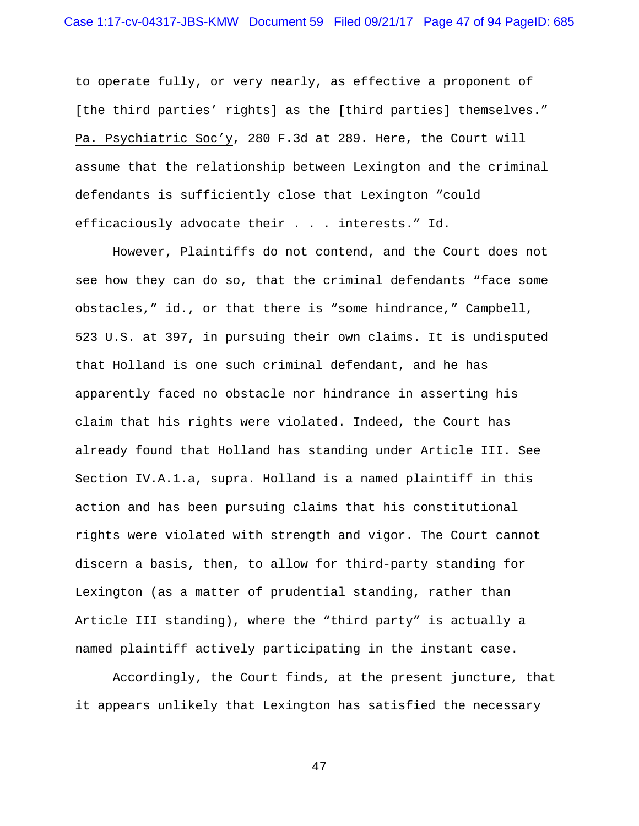to operate fully, or very nearly, as effective a proponent of [the third parties' rights] as the [third parties] themselves." Pa. Psychiatric Soc'y, 280 F.3d at 289. Here, the Court will assume that the relationship between Lexington and the criminal defendants is sufficiently close that Lexington "could efficaciously advocate their . . . interests." Id.

 However, Plaintiffs do not contend, and the Court does not see how they can do so, that the criminal defendants "face some obstacles," id., or that there is "some hindrance," Campbell, 523 U.S. at 397, in pursuing their own claims. It is undisputed that Holland is one such criminal defendant, and he has apparently faced no obstacle nor hindrance in asserting his claim that his rights were violated. Indeed, the Court has already found that Holland has standing under Article III. See Section IV.A.1.a, supra. Holland is a named plaintiff in this action and has been pursuing claims that his constitutional rights were violated with strength and vigor. The Court cannot discern a basis, then, to allow for third-party standing for Lexington (as a matter of prudential standing, rather than Article III standing), where the "third party" is actually a named plaintiff actively participating in the instant case.

 Accordingly, the Court finds, at the present juncture, that it appears unlikely that Lexington has satisfied the necessary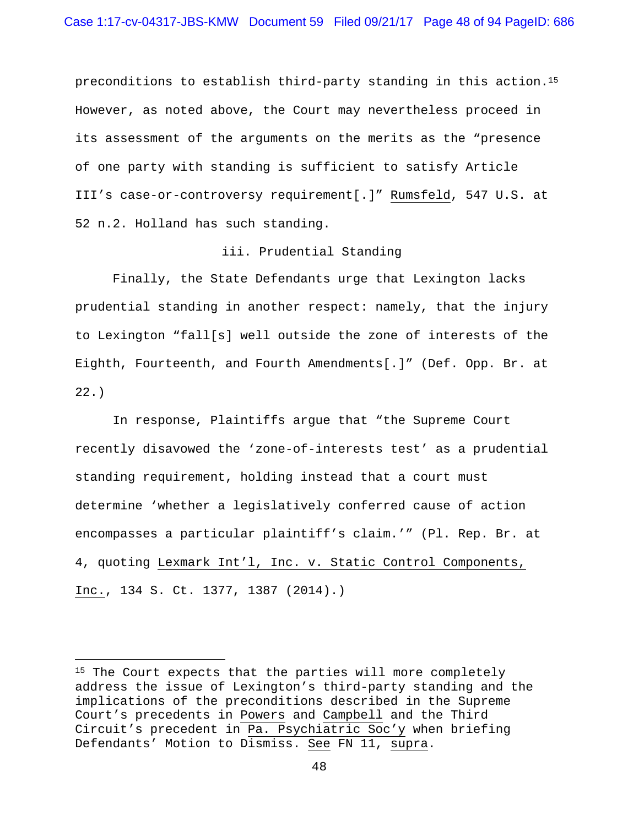preconditions to establish third-party standing in this action.15 However, as noted above, the Court may nevertheless proceed in its assessment of the arguments on the merits as the "presence of one party with standing is sufficient to satisfy Article III's case-or-controversy requirement[.]" Rumsfeld, 547 U.S. at 52 n.2. Holland has such standing.

# iii. Prudential Standing

 Finally, the State Defendants urge that Lexington lacks prudential standing in another respect: namely, that the injury to Lexington "fall[s] well outside the zone of interests of the Eighth, Fourteenth, and Fourth Amendments[.]" (Def. Opp. Br. at 22.)

 In response, Plaintiffs argue that "the Supreme Court recently disavowed the 'zone-of-interests test' as a prudential standing requirement, holding instead that a court must determine 'whether a legislatively conferred cause of action encompasses a particular plaintiff's claim.'" (Pl. Rep. Br. at 4, quoting Lexmark Int'l, Inc. v. Static Control Components, Inc., 134 S. Ct. 1377, 1387 (2014).)

i<br>Li

<sup>&</sup>lt;sup>15</sup> The Court expects that the parties will more completely address the issue of Lexington's third-party standing and the implications of the preconditions described in the Supreme Court's precedents in Powers and Campbell and the Third Circuit's precedent in Pa. Psychiatric Soc'y when briefing Defendants' Motion to Dismiss. See FN 11, supra.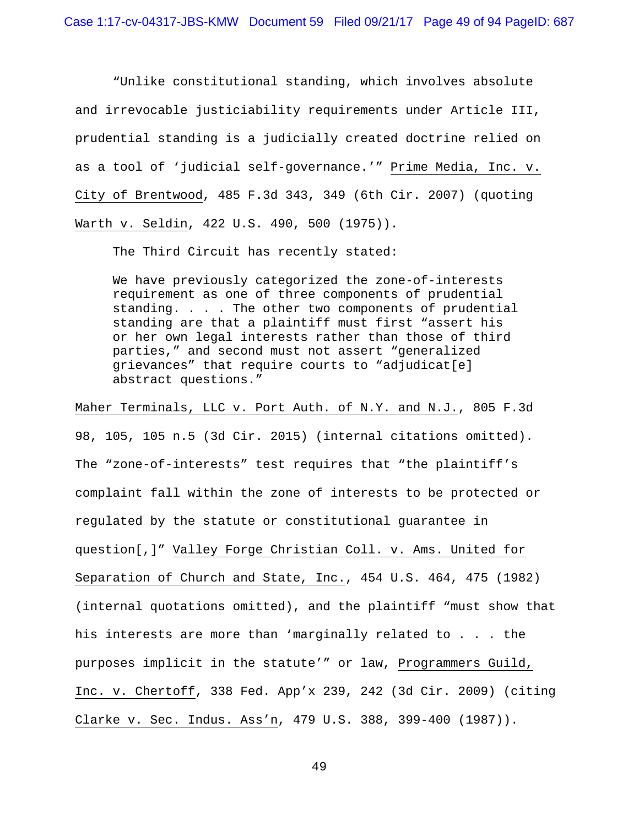"Unlike constitutional standing, which involves absolute and irrevocable justiciability requirements under Article III, prudential standing is a judicially created doctrine relied on as a tool of 'judicial self-governance.'" Prime Media, Inc. v. City of Brentwood, 485 F.3d 343, 349 (6th Cir. 2007) (quoting Warth v. Seldin, 422 U.S. 490, 500 (1975)).

The Third Circuit has recently stated:

We have previously categorized the zone-of-interests requirement as one of three components of prudential standing. . . . The other two components of prudential standing are that a plaintiff must first "assert his or her own legal interests rather than those of third parties," and second must not assert "generalized grievances" that require courts to "adjudicat[e] abstract questions."

Maher Terminals, LLC v. Port Auth. of N.Y. and N.J., 805 F.3d

98, 105, 105 n.5 (3d Cir. 2015) (internal citations omitted). The "zone-of-interests" test requires that "the plaintiff's complaint fall within the zone of interests to be protected or regulated by the statute or constitutional guarantee in question[,]" Valley Forge Christian Coll. v. Ams. United for Separation of Church and State, Inc., 454 U.S. 464, 475 (1982) (internal quotations omitted), and the plaintiff "must show that his interests are more than 'marginally related to . . . the purposes implicit in the statute'" or law, Programmers Guild, Inc. v. Chertoff, 338 Fed. App'x 239, 242 (3d Cir. 2009) (citing Clarke v. Sec. Indus. Ass'n, 479 U.S. 388, 399-400 (1987)).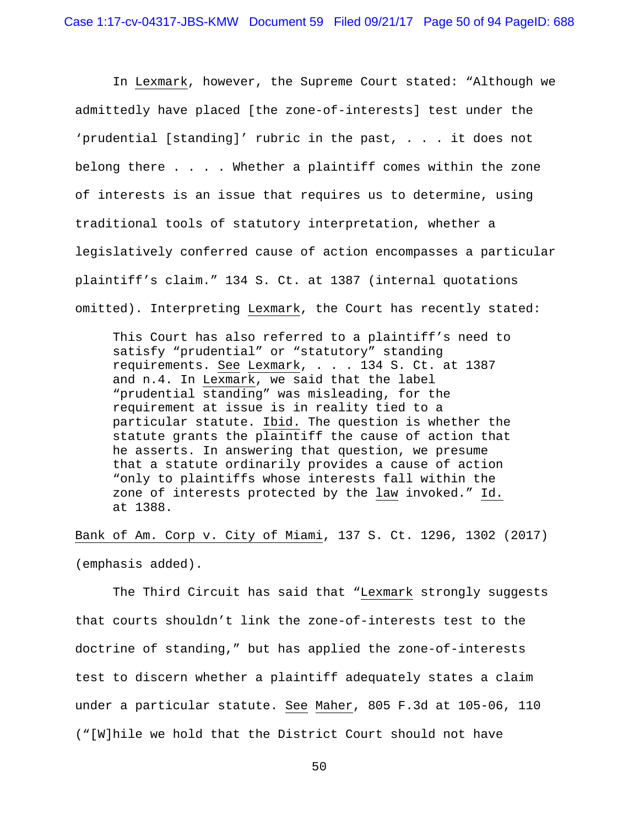In Lexmark, however, the Supreme Court stated: "Although we admittedly have placed [the zone-of-interests] test under the 'prudential [standing]' rubric in the past, . . . it does not belong there . . . . Whether a plaintiff comes within the zone of interests is an issue that requires us to determine, using traditional tools of statutory interpretation, whether a legislatively conferred cause of action encompasses a particular plaintiff's claim." 134 S. Ct. at 1387 (internal quotations omitted). Interpreting Lexmark, the Court has recently stated:

This Court has also referred to a plaintiff's need to satisfy "prudential" or "statutory" standing requirements. See Lexmark, . . . 134 S. Ct. at 1387 and n.4. In Lexmark, we said that the label "prudential standing" was misleading, for the requirement at issue is in reality tied to a particular statute. Ibid. The question is whether the statute grants the plaintiff the cause of action that he asserts. In answering that question, we presume that a statute ordinarily provides a cause of action "only to plaintiffs whose interests fall within the zone of interests protected by the law invoked." Id. at 1388.

Bank of Am. Corp v. City of Miami, 137 S. Ct. 1296, 1302 (2017) (emphasis added).

 The Third Circuit has said that "Lexmark strongly suggests that courts shouldn't link the zone-of-interests test to the doctrine of standing," but has applied the zone-of-interests test to discern whether a plaintiff adequately states a claim under a particular statute. See Maher, 805 F.3d at 105-06, 110 ("[W]hile we hold that the District Court should not have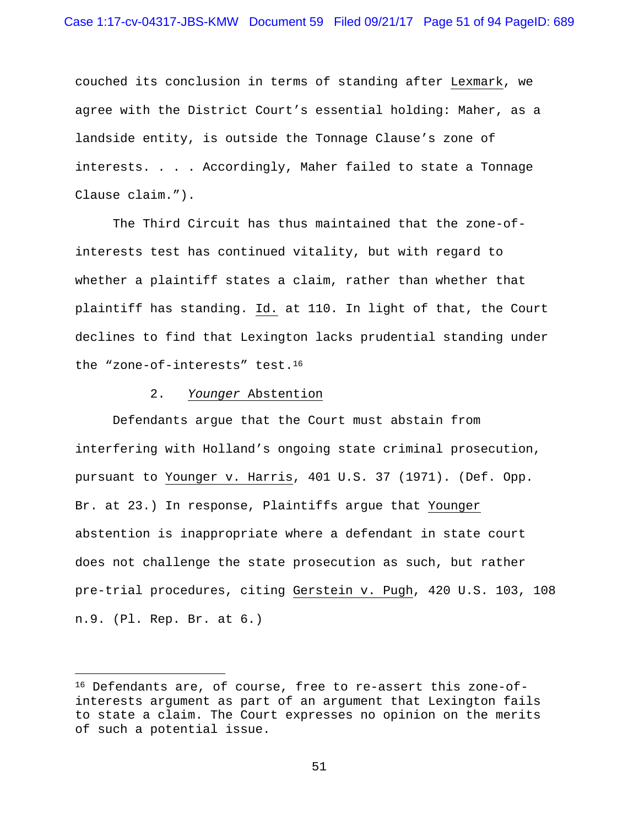couched its conclusion in terms of standing after Lexmark, we agree with the District Court's essential holding: Maher, as a landside entity, is outside the Tonnage Clause's zone of interests. . . . Accordingly, Maher failed to state a Tonnage Clause claim.").

 The Third Circuit has thus maintained that the zone-ofinterests test has continued vitality, but with regard to whether a plaintiff states a claim, rather than whether that plaintiff has standing. Id. at 110. In light of that, the Court declines to find that Lexington lacks prudential standing under the "zone-of-interests" test.16

### 2. *Younger* Abstention

i<br>Li

 Defendants argue that the Court must abstain from interfering with Holland's ongoing state criminal prosecution, pursuant to Younger v. Harris, 401 U.S. 37 (1971). (Def. Opp. Br. at 23.) In response, Plaintiffs argue that Younger abstention is inappropriate where a defendant in state court does not challenge the state prosecution as such, but rather pre-trial procedures, citing Gerstein v. Pugh, 420 U.S. 103, 108 n.9. (Pl. Rep. Br. at 6.)

<sup>16</sup> Defendants are, of course, free to re-assert this zone-ofinterests argument as part of an argument that Lexington fails to state a claim. The Court expresses no opinion on the merits of such a potential issue.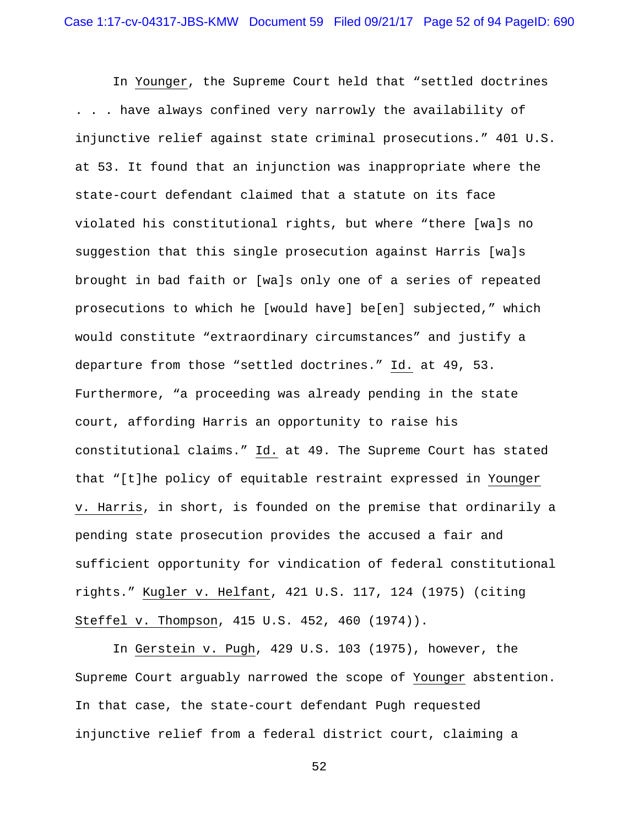In Younger, the Supreme Court held that "settled doctrines . . . have always confined very narrowly the availability of injunctive relief against state criminal prosecutions." 401 U.S. at 53. It found that an injunction was inappropriate where the state-court defendant claimed that a statute on its face violated his constitutional rights, but where "there [wa]s no suggestion that this single prosecution against Harris [wa]s brought in bad faith or [wa]s only one of a series of repeated prosecutions to which he [would have] be[en] subjected," which would constitute "extraordinary circumstances" and justify a departure from those "settled doctrines." Id. at 49, 53. Furthermore, "a proceeding was already pending in the state court, affording Harris an opportunity to raise his constitutional claims." Id. at 49. The Supreme Court has stated that "[t]he policy of equitable restraint expressed in Younger v. Harris, in short, is founded on the premise that ordinarily a pending state prosecution provides the accused a fair and sufficient opportunity for vindication of federal constitutional rights." Kugler v. Helfant, 421 U.S. 117, 124 (1975) (citing Steffel v. Thompson, 415 U.S. 452, 460 (1974)).

 In Gerstein v. Pugh, 429 U.S. 103 (1975), however, the Supreme Court arguably narrowed the scope of Younger abstention. In that case, the state-court defendant Pugh requested injunctive relief from a federal district court, claiming a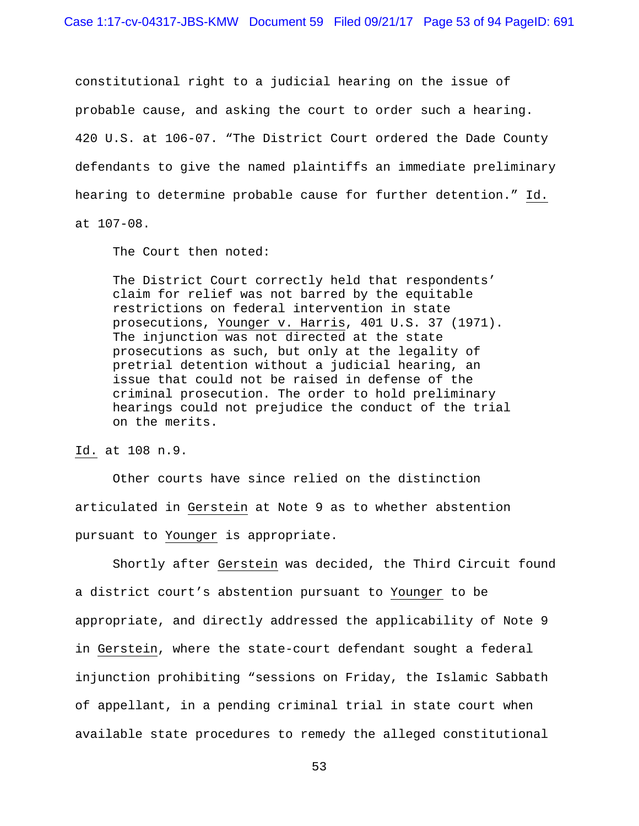constitutional right to a judicial hearing on the issue of probable cause, and asking the court to order such a hearing. 420 U.S. at 106-07. "The District Court ordered the Dade County defendants to give the named plaintiffs an immediate preliminary hearing to determine probable cause for further detention." Id. at 107-08.

The Court then noted:

The District Court correctly held that respondents' claim for relief was not barred by the equitable restrictions on federal intervention in state prosecutions, Younger v. Harris, 401 U.S. 37 (1971). The injunction was not directed at the state prosecutions as such, but only at the legality of pretrial detention without a judicial hearing, an issue that could not be raised in defense of the criminal prosecution. The order to hold preliminary hearings could not prejudice the conduct of the trial on the merits.

Id. at 108 n.9.

 Other courts have since relied on the distinction articulated in Gerstein at Note 9 as to whether abstention pursuant to Younger is appropriate.

 Shortly after Gerstein was decided, the Third Circuit found a district court's abstention pursuant to Younger to be appropriate, and directly addressed the applicability of Note 9 in Gerstein, where the state-court defendant sought a federal injunction prohibiting "sessions on Friday, the Islamic Sabbath of appellant, in a pending criminal trial in state court when available state procedures to remedy the alleged constitutional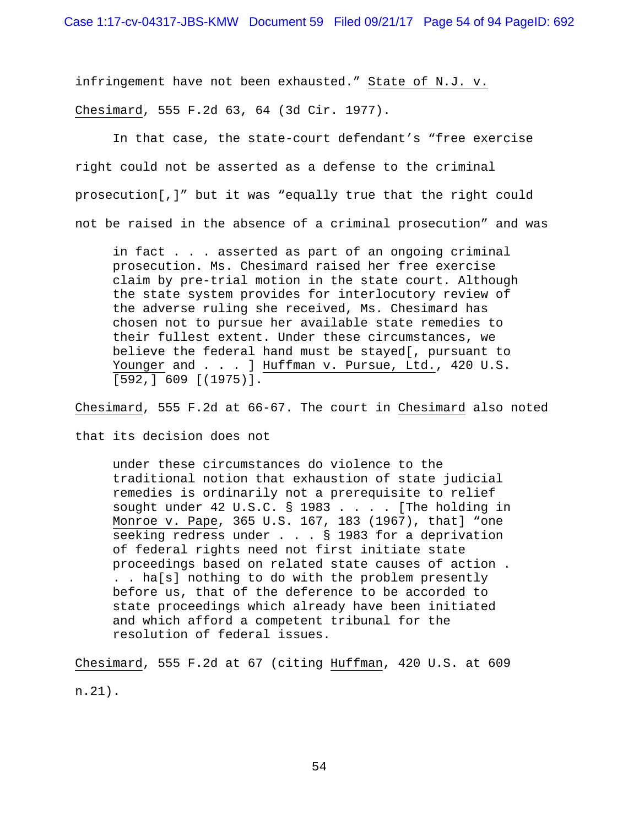infringement have not been exhausted." State of N.J. v.

Chesimard, 555 F.2d 63, 64 (3d Cir. 1977).

In that case, the state-court defendant's "free exercise right could not be asserted as a defense to the criminal prosecution[,]" but it was "equally true that the right could not be raised in the absence of a criminal prosecution" and was

in fact . . . asserted as part of an ongoing criminal prosecution. Ms. Chesimard raised her free exercise claim by pre-trial motion in the state court. Although the state system provides for interlocutory review of the adverse ruling she received, Ms. Chesimard has chosen not to pursue her available state remedies to their fullest extent. Under these circumstances, we believe the federal hand must be stayed[, pursuant to Younger and . . . ] Huffman v. Pursue, Ltd., 420 U.S. [592,] 609 [(1975)].

Chesimard, 555 F.2d at 66-67. The court in Chesimard also noted

that its decision does not

under these circumstances do violence to the traditional notion that exhaustion of state judicial remedies is ordinarily not a prerequisite to relief sought under 42 U.S.C. § 1983 . . . . [The holding in Monroe v. Pape, 365 U.S. 167, 183 (1967), that] "one seeking redress under . . . § 1983 for a deprivation of federal rights need not first initiate state proceedings based on related state causes of action . . . ha[s] nothing to do with the problem presently before us, that of the deference to be accorded to state proceedings which already have been initiated and which afford a competent tribunal for the resolution of federal issues.

Chesimard, 555 F.2d at 67 (citing Huffman, 420 U.S. at 609 n.21).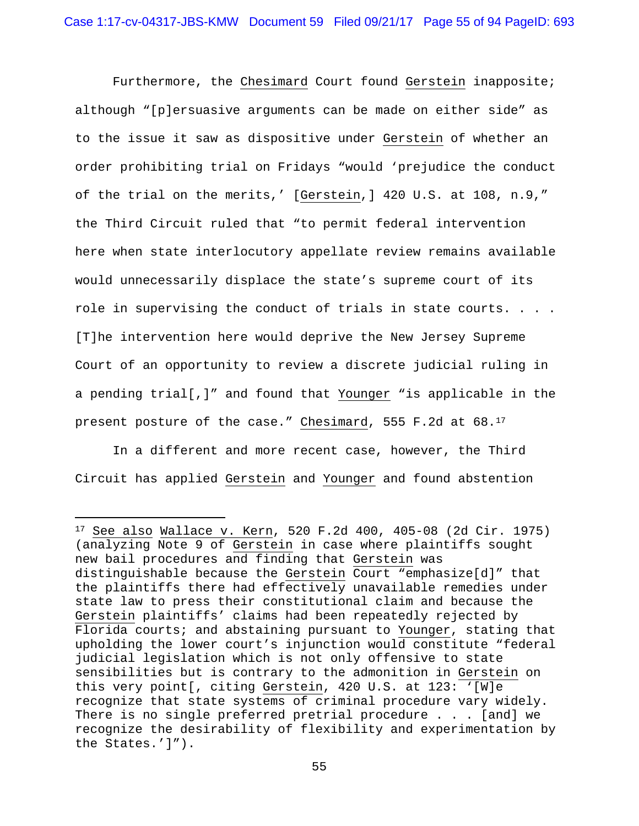Furthermore, the Chesimard Court found Gerstein inapposite; although "[p]ersuasive arguments can be made on either side" as to the issue it saw as dispositive under Gerstein of whether an order prohibiting trial on Fridays "would 'prejudice the conduct of the trial on the merits,' [Gerstein,] 420 U.S. at 108, n.9," the Third Circuit ruled that "to permit federal intervention here when state interlocutory appellate review remains available would unnecessarily displace the state's supreme court of its role in supervising the conduct of trials in state courts. . . . [T]he intervention here would deprive the New Jersey Supreme Court of an opportunity to review a discrete judicial ruling in a pending trial[,]" and found that Younger "is applicable in the present posture of the case." Chesimard, 555 F.2d at 68.17

In a different and more recent case, however, the Third Circuit has applied Gerstein and Younger and found abstention

i

<sup>17</sup> See also Wallace v. Kern, 520 F.2d 400, 405-08 (2d Cir. 1975) (analyzing Note 9 of Gerstein in case where plaintiffs sought new bail procedures and finding that Gerstein was distinguishable because the Gerstein Court "emphasize[d]" that the plaintiffs there had effectively unavailable remedies under state law to press their constitutional claim and because the Gerstein plaintiffs' claims had been repeatedly rejected by Florida courts; and abstaining pursuant to Younger, stating that upholding the lower court's injunction would constitute "federal judicial legislation which is not only offensive to state sensibilities but is contrary to the admonition in Gerstein on this very point[, citing Gerstein, 420 U.S. at 123: '[W]e recognize that state systems of criminal procedure vary widely. There is no single preferred pretrial procedure . . . [and] we recognize the desirability of flexibility and experimentation by the States.']").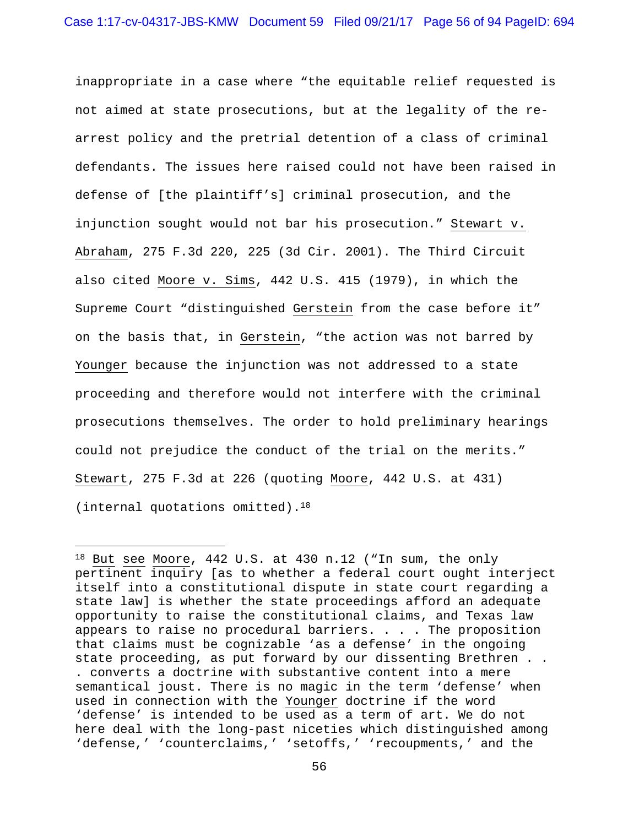inappropriate in a case where "the equitable relief requested is not aimed at state prosecutions, but at the legality of the rearrest policy and the pretrial detention of a class of criminal defendants. The issues here raised could not have been raised in defense of [the plaintiff's] criminal prosecution, and the injunction sought would not bar his prosecution." Stewart v. Abraham, 275 F.3d 220, 225 (3d Cir. 2001). The Third Circuit also cited Moore v. Sims, 442 U.S. 415 (1979), in which the Supreme Court "distinguished Gerstein from the case before it" on the basis that, in Gerstein, "the action was not barred by Younger because the injunction was not addressed to a state proceeding and therefore would not interfere with the criminal prosecutions themselves. The order to hold preliminary hearings could not prejudice the conduct of the trial on the merits." Stewart, 275 F.3d at 226 (quoting Moore, 442 U.S. at 431) (internal quotations omitted).18

i<br>Li

<sup>18</sup> But see Moore, 442 U.S. at 430 n.12 ("In sum, the only pertinent inquiry [as to whether a federal court ought interject itself into a constitutional dispute in state court regarding a state law] is whether the state proceedings afford an adequate opportunity to raise the constitutional claims, and Texas law appears to raise no procedural barriers. . . . The proposition that claims must be cognizable 'as a defense' in the ongoing state proceeding, as put forward by our dissenting Brethren . . . converts a doctrine with substantive content into a mere semantical joust. There is no magic in the term 'defense' when used in connection with the Younger doctrine if the word 'defense' is intended to be used as a term of art. We do not here deal with the long-past niceties which distinguished among 'defense,' 'counterclaims,' 'setoffs,' 'recoupments,' and the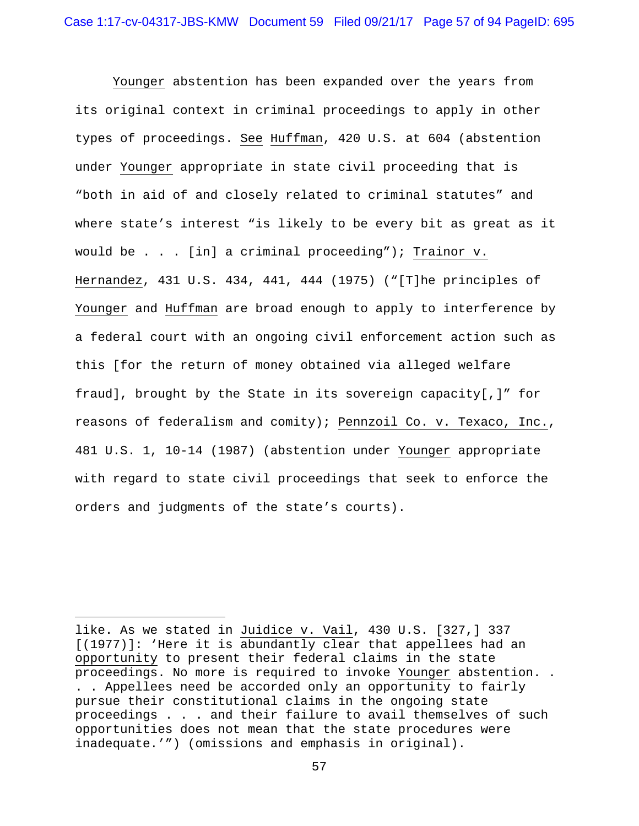Younger abstention has been expanded over the years from its original context in criminal proceedings to apply in other types of proceedings. See Huffman, 420 U.S. at 604 (abstention under Younger appropriate in state civil proceeding that is "both in aid of and closely related to criminal statutes" and where state's interest "is likely to be every bit as great as it would be . . . [in] a criminal proceeding"); Trainor v. Hernandez, 431 U.S. 434, 441, 444 (1975) ("[T]he principles of Younger and Huffman are broad enough to apply to interference by a federal court with an ongoing civil enforcement action such as this [for the return of money obtained via alleged welfare fraud], brought by the State in its sovereign capacity[,]" for reasons of federalism and comity); Pennzoil Co. v. Texaco, Inc., 481 U.S. 1, 10-14 (1987) (abstention under Younger appropriate with regard to state civil proceedings that seek to enforce the orders and judgments of the state's courts).

i<br>Li

like. As we stated in Juidice v. Vail, 430 U.S. [327,] 337 [(1977)]: 'Here it is abundantly clear that appellees had an opportunity to present their federal claims in the state proceedings. No more is required to invoke Younger abstention. . . . Appellees need be accorded only an opportunity to fairly pursue their constitutional claims in the ongoing state proceedings . . . and their failure to avail themselves of such opportunities does not mean that the state procedures were inadequate.'") (omissions and emphasis in original).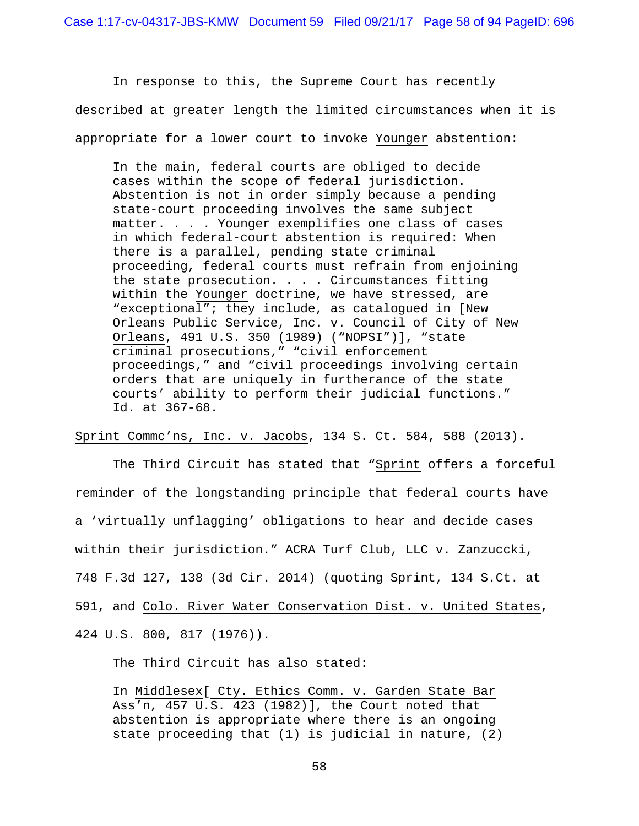In response to this, the Supreme Court has recently described at greater length the limited circumstances when it is appropriate for a lower court to invoke Younger abstention:

In the main, federal courts are obliged to decide cases within the scope of federal jurisdiction. Abstention is not in order simply because a pending state-court proceeding involves the same subject matter. . . . Younger exemplifies one class of cases in which federal-court abstention is required: When there is a parallel, pending state criminal proceeding, federal courts must refrain from enjoining the state prosecution. . . . Circumstances fitting within the Younger doctrine, we have stressed, are "exceptional"; they include, as catalogued in [New Orleans Public Service, Inc. v. Council of City of New Orleans, 491 U.S. 350 (1989) ("NOPSI")], "state criminal prosecutions," "civil enforcement proceedings," and "civil proceedings involving certain orders that are uniquely in furtherance of the state courts' ability to perform their judicial functions." Id. at 367-68.

Sprint Commc'ns, Inc. v. Jacobs, 134 S. Ct. 584, 588 (2013).

The Third Circuit has stated that "Sprint offers a forceful reminder of the longstanding principle that federal courts have a 'virtually unflagging' obligations to hear and decide cases within their jurisdiction." ACRA Turf Club, LLC v. Zanzuccki, 748 F.3d 127, 138 (3d Cir. 2014) (quoting Sprint, 134 S.Ct. at 591, and Colo. River Water Conservation Dist. v. United States, 424 U.S. 800, 817 (1976)).

The Third Circuit has also stated:

In Middlesex[ Cty. Ethics Comm. v. Garden State Bar Ass'n, 457 U.S. 423 (1982)], the Court noted that abstention is appropriate where there is an ongoing state proceeding that (1) is judicial in nature, (2)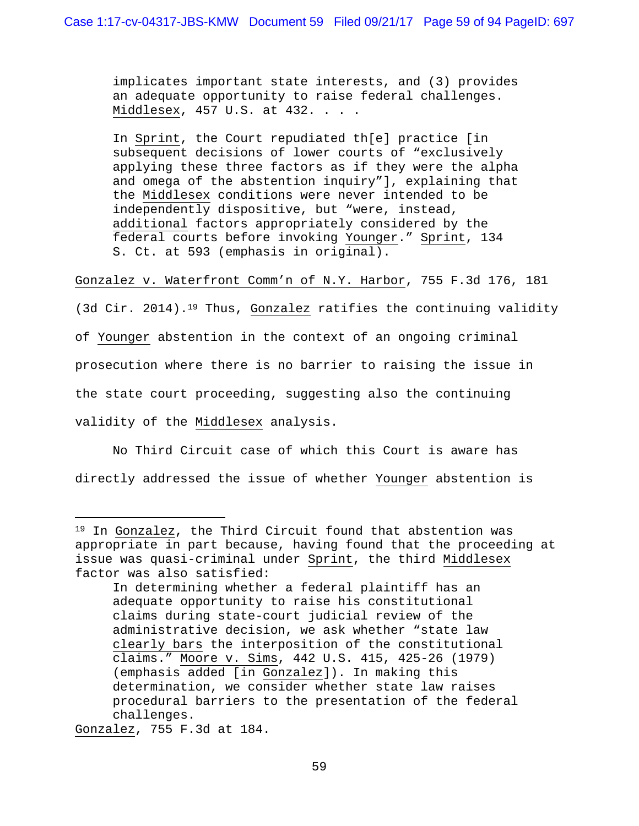implicates important state interests, and (3) provides an adequate opportunity to raise federal challenges. Middlesex, 457 U.S. at 432. . . .

In Sprint, the Court repudiated th[e] practice [in subsequent decisions of lower courts of "exclusively applying these three factors as if they were the alpha and omega of the abstention inquiry"], explaining that the Middlesex conditions were never intended to be independently dispositive, but "were, instead, additional factors appropriately considered by the federal courts before invoking Younger." Sprint, 134 S. Ct. at 593 (emphasis in original).

Gonzalez v. Waterfront Comm'n of N.Y. Harbor, 755 F.3d 176, 181

(3d Cir. 2014).19 Thus, Gonzalez ratifies the continuing validity of Younger abstention in the context of an ongoing criminal prosecution where there is no barrier to raising the issue in the state court proceeding, suggesting also the continuing validity of the Middlesex analysis.

No Third Circuit case of which this Court is aware has directly addressed the issue of whether Younger abstention is

Gonzalez, 755 F.3d at 184.

i

<sup>19</sup> In Gonzalez, the Third Circuit found that abstention was appropriate in part because, having found that the proceeding at issue was quasi-criminal under Sprint, the third Middlesex factor was also satisfied:

In determining whether a federal plaintiff has an adequate opportunity to raise his constitutional claims during state-court judicial review of the administrative decision, we ask whether "state law clearly bars the interposition of the constitutional claims." Moore v. Sims, 442 U.S. 415, 425-26 (1979) (emphasis added [in Gonzalez]). In making this determination, we consider whether state law raises procedural barriers to the presentation of the federal challenges.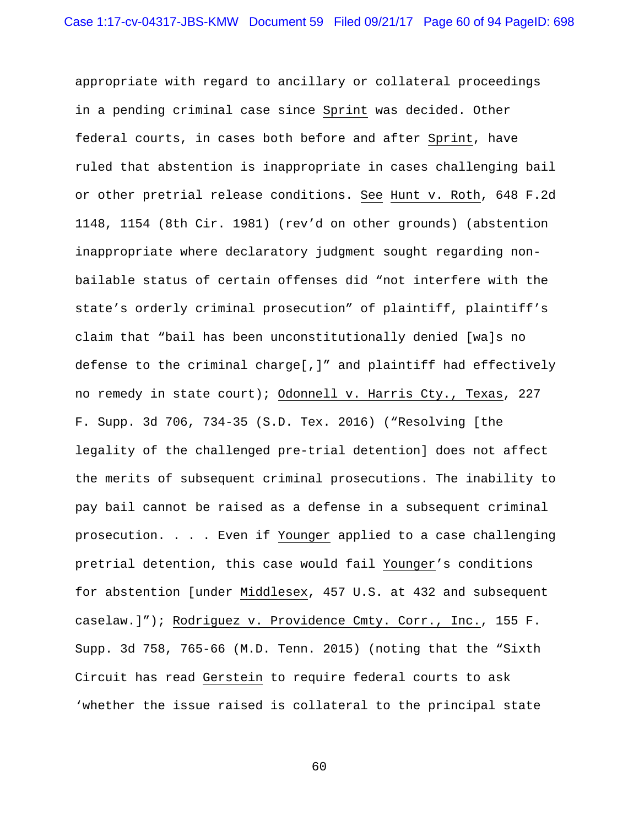appropriate with regard to ancillary or collateral proceedings in a pending criminal case since Sprint was decided. Other federal courts, in cases both before and after Sprint, have ruled that abstention is inappropriate in cases challenging bail or other pretrial release conditions. See Hunt v. Roth, 648 F.2d 1148, 1154 (8th Cir. 1981) (rev'd on other grounds) (abstention inappropriate where declaratory judgment sought regarding nonbailable status of certain offenses did "not interfere with the state's orderly criminal prosecution" of plaintiff, plaintiff's claim that "bail has been unconstitutionally denied [wa]s no defense to the criminal charge[,]" and plaintiff had effectively no remedy in state court); Odonnell v. Harris Cty., Texas, 227 F. Supp. 3d 706, 734-35 (S.D. Tex. 2016) ("Resolving [the legality of the challenged pre-trial detention] does not affect the merits of subsequent criminal prosecutions. The inability to pay bail cannot be raised as a defense in a subsequent criminal prosecution. . . . Even if Younger applied to a case challenging pretrial detention, this case would fail Younger's conditions for abstention [under Middlesex, 457 U.S. at 432 and subsequent caselaw.]"); Rodriguez v. Providence Cmty. Corr., Inc., 155 F. Supp. 3d 758, 765-66 (M.D. Tenn. 2015) (noting that the "Sixth Circuit has read Gerstein to require federal courts to ask 'whether the issue raised is collateral to the principal state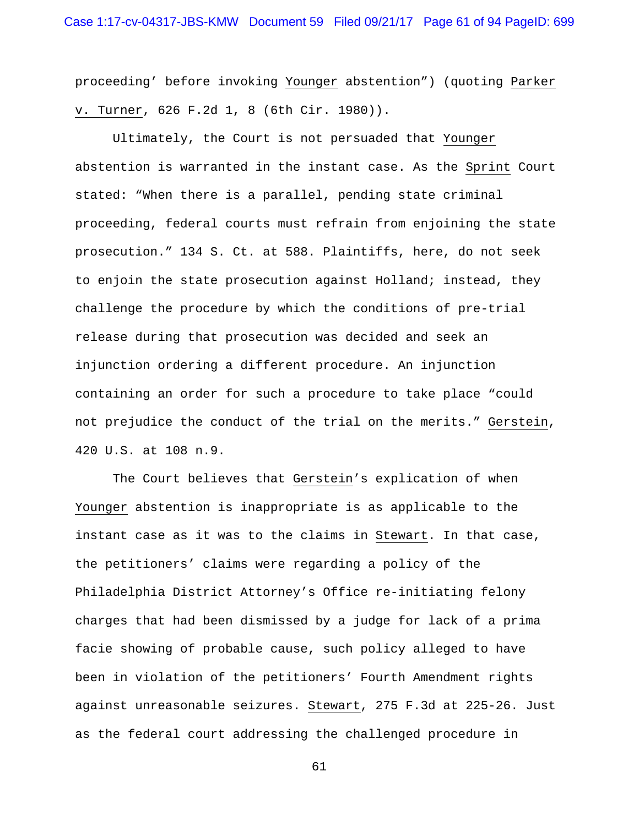proceeding' before invoking Younger abstention") (quoting Parker v. Turner, 626 F.2d 1, 8 (6th Cir. 1980)).

Ultimately, the Court is not persuaded that Younger abstention is warranted in the instant case. As the Sprint Court stated: "When there is a parallel, pending state criminal proceeding, federal courts must refrain from enjoining the state prosecution." 134 S. Ct. at 588. Plaintiffs, here, do not seek to enjoin the state prosecution against Holland; instead, they challenge the procedure by which the conditions of pre-trial release during that prosecution was decided and seek an injunction ordering a different procedure. An injunction containing an order for such a procedure to take place "could not prejudice the conduct of the trial on the merits." Gerstein, 420 U.S. at 108 n.9.

The Court believes that Gerstein's explication of when Younger abstention is inappropriate is as applicable to the instant case as it was to the claims in Stewart. In that case, the petitioners' claims were regarding a policy of the Philadelphia District Attorney's Office re-initiating felony charges that had been dismissed by a judge for lack of a prima facie showing of probable cause, such policy alleged to have been in violation of the petitioners' Fourth Amendment rights against unreasonable seizures. Stewart, 275 F.3d at 225-26. Just as the federal court addressing the challenged procedure in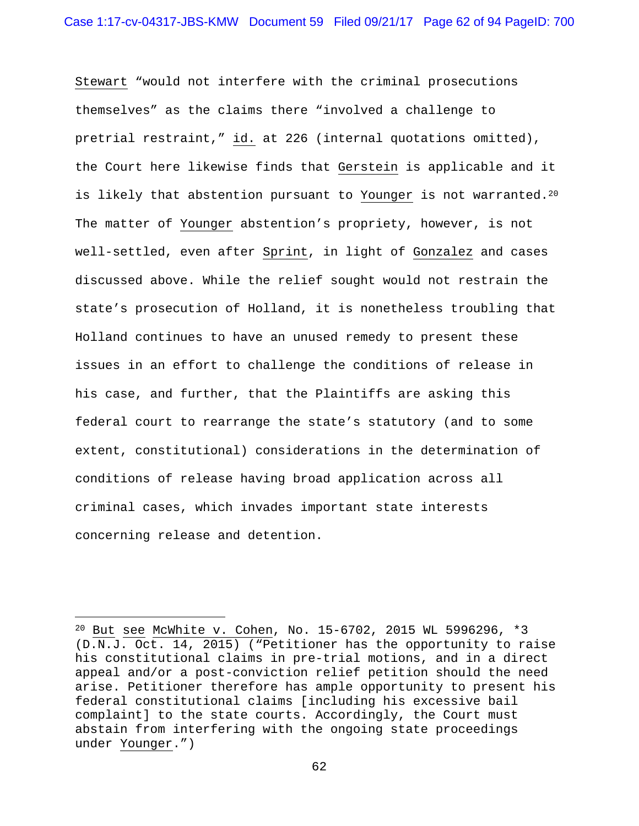Stewart "would not interfere with the criminal prosecutions themselves" as the claims there "involved a challenge to pretrial restraint," id. at 226 (internal quotations omitted), the Court here likewise finds that Gerstein is applicable and it is likely that abstention pursuant to Younger is not warranted.<sup>20</sup> The matter of Younger abstention's propriety, however, is not well-settled, even after Sprint, in light of Gonzalez and cases discussed above. While the relief sought would not restrain the state's prosecution of Holland, it is nonetheless troubling that Holland continues to have an unused remedy to present these issues in an effort to challenge the conditions of release in his case, and further, that the Plaintiffs are asking this federal court to rearrange the state's statutory (and to some extent, constitutional) considerations in the determination of conditions of release having broad application across all criminal cases, which invades important state interests concerning release and detention.

i<br>Li

<sup>20</sup> But see McWhite v. Cohen, No. 15-6702, 2015 WL 5996296, \*3 (D.N.J. Oct. 14, 2015) ("Petitioner has the opportunity to raise his constitutional claims in pre-trial motions, and in a direct appeal and/or a post-conviction relief petition should the need arise. Petitioner therefore has ample opportunity to present his federal constitutional claims [including his excessive bail complaint] to the state courts. Accordingly, the Court must abstain from interfering with the ongoing state proceedings under Younger.")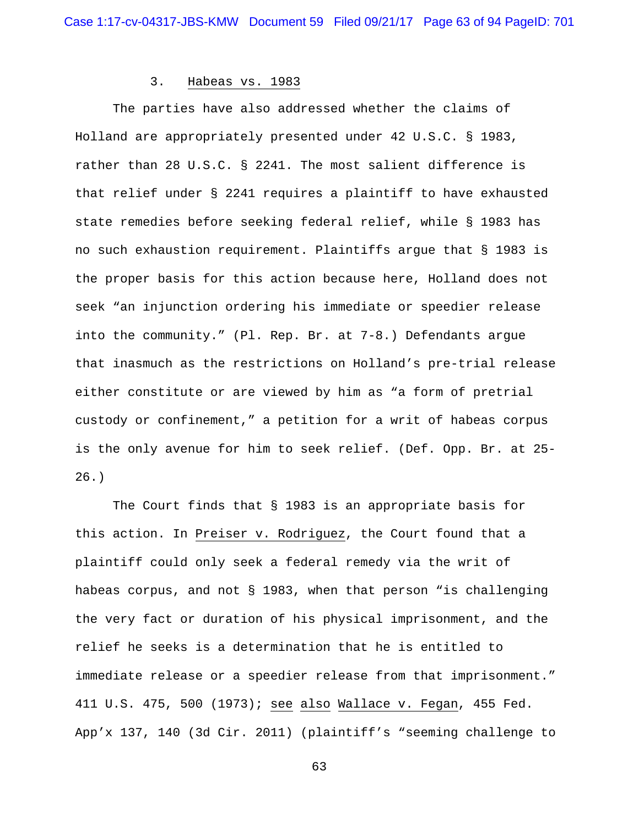#### 3. Habeas vs. 1983

 The parties have also addressed whether the claims of Holland are appropriately presented under 42 U.S.C. § 1983, rather than 28 U.S.C. § 2241. The most salient difference is that relief under § 2241 requires a plaintiff to have exhausted state remedies before seeking federal relief, while § 1983 has no such exhaustion requirement. Plaintiffs argue that § 1983 is the proper basis for this action because here, Holland does not seek "an injunction ordering his immediate or speedier release into the community." (Pl. Rep. Br. at 7-8.) Defendants argue that inasmuch as the restrictions on Holland's pre-trial release either constitute or are viewed by him as "a form of pretrial custody or confinement," a petition for a writ of habeas corpus is the only avenue for him to seek relief. (Def. Opp. Br. at 25- 26.)

 The Court finds that § 1983 is an appropriate basis for this action. In Preiser v. Rodriguez, the Court found that a plaintiff could only seek a federal remedy via the writ of habeas corpus, and not § 1983, when that person "is challenging the very fact or duration of his physical imprisonment, and the relief he seeks is a determination that he is entitled to immediate release or a speedier release from that imprisonment." 411 U.S. 475, 500 (1973); see also Wallace v. Fegan, 455 Fed. App'x 137, 140 (3d Cir. 2011) (plaintiff's "seeming challenge to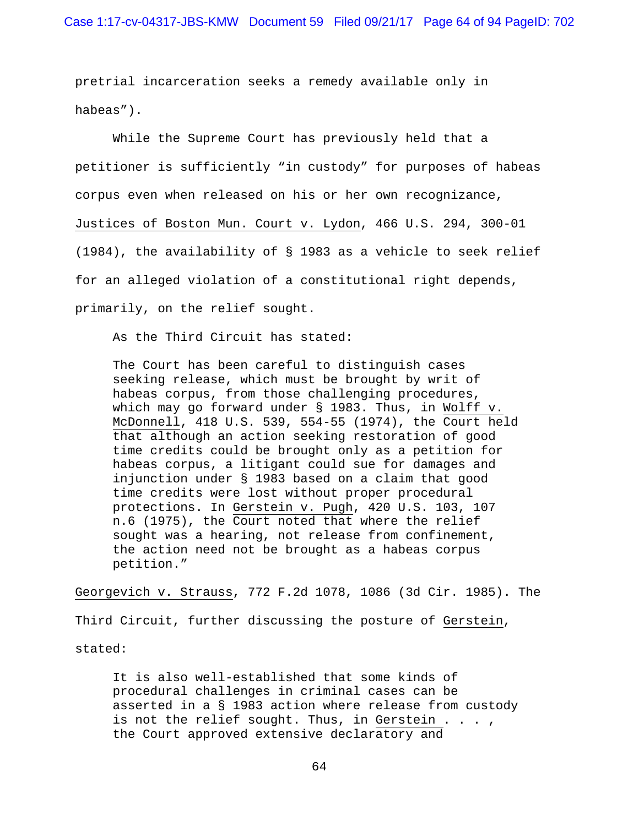pretrial incarceration seeks a remedy available only in habeas").

 While the Supreme Court has previously held that a petitioner is sufficiently "in custody" for purposes of habeas corpus even when released on his or her own recognizance, Justices of Boston Mun. Court v. Lydon, 466 U.S. 294, 300-01 (1984), the availability of § 1983 as a vehicle to seek relief for an alleged violation of a constitutional right depends, primarily, on the relief sought.

As the Third Circuit has stated:

The Court has been careful to distinguish cases seeking release, which must be brought by writ of habeas corpus, from those challenging procedures, which may go forward under § 1983. Thus, in Wolff v. McDonnell, 418 U.S. 539, 554-55 (1974), the Court held that although an action seeking restoration of good time credits could be brought only as a petition for habeas corpus, a litigant could sue for damages and injunction under § 1983 based on a claim that good time credits were lost without proper procedural protections. In Gerstein v. Pugh, 420 U.S. 103, 107 n.6 (1975), the Court noted that where the relief sought was a hearing, not release from confinement, the action need not be brought as a habeas corpus petition."

Georgevich v. Strauss, 772 F.2d 1078, 1086 (3d Cir. 1985). The

Third Circuit, further discussing the posture of Gerstein,

stated:

It is also well-established that some kinds of procedural challenges in criminal cases can be asserted in a § 1983 action where release from custody is not the relief sought. Thus, in Gerstein  $\ldots$ , the Court approved extensive declaratory and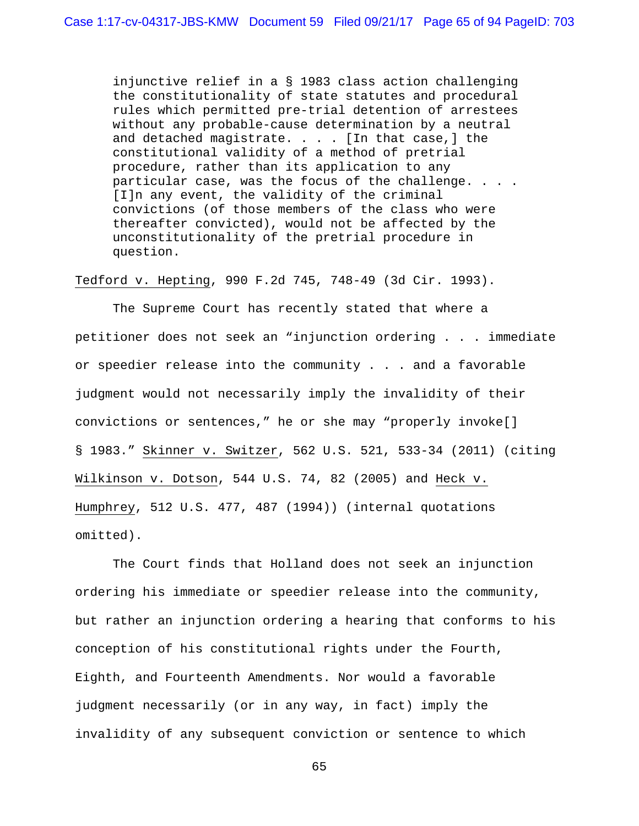injunctive relief in a § 1983 class action challenging the constitutionality of state statutes and procedural rules which permitted pre-trial detention of arrestees without any probable-cause determination by a neutral and detached magistrate. . . . [In that case,] the constitutional validity of a method of pretrial procedure, rather than its application to any particular case, was the focus of the challenge. . . . [I]n any event, the validity of the criminal convictions (of those members of the class who were thereafter convicted), would not be affected by the unconstitutionality of the pretrial procedure in question.

Tedford v. Hepting, 990 F.2d 745, 748-49 (3d Cir. 1993).

 The Supreme Court has recently stated that where a petitioner does not seek an "injunction ordering . . . immediate or speedier release into the community . . . and a favorable judgment would not necessarily imply the invalidity of their convictions or sentences," he or she may "properly invoke[] § 1983." Skinner v. Switzer, 562 U.S. 521, 533-34 (2011) (citing Wilkinson v. Dotson, 544 U.S. 74, 82 (2005) and Heck v. Humphrey, 512 U.S. 477, 487 (1994)) (internal quotations omitted).

 The Court finds that Holland does not seek an injunction ordering his immediate or speedier release into the community, but rather an injunction ordering a hearing that conforms to his conception of his constitutional rights under the Fourth, Eighth, and Fourteenth Amendments. Nor would a favorable judgment necessarily (or in any way, in fact) imply the invalidity of any subsequent conviction or sentence to which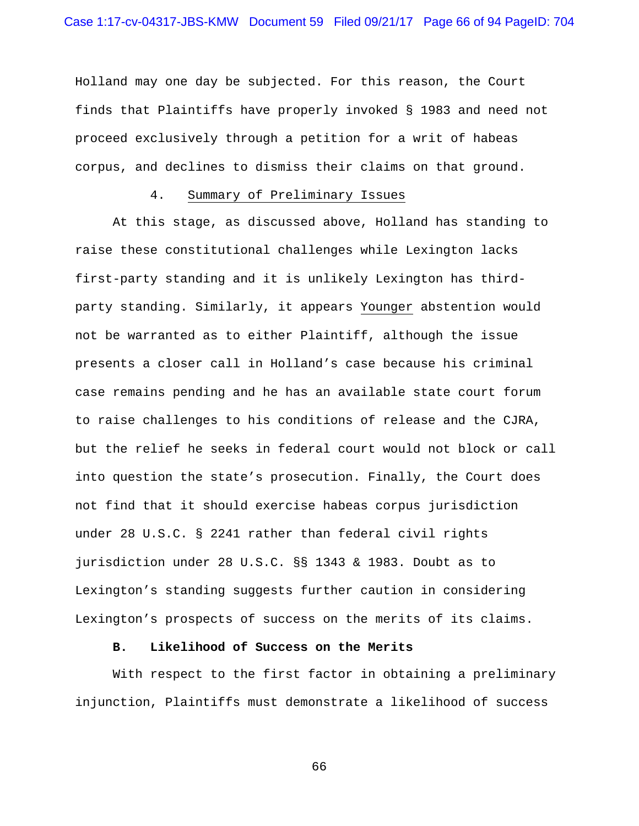Holland may one day be subjected. For this reason, the Court finds that Plaintiffs have properly invoked § 1983 and need not proceed exclusively through a petition for a writ of habeas corpus, and declines to dismiss their claims on that ground.

# 4. Summary of Preliminary Issues

 At this stage, as discussed above, Holland has standing to raise these constitutional challenges while Lexington lacks first-party standing and it is unlikely Lexington has thirdparty standing. Similarly, it appears Younger abstention would not be warranted as to either Plaintiff, although the issue presents a closer call in Holland's case because his criminal case remains pending and he has an available state court forum to raise challenges to his conditions of release and the CJRA, but the relief he seeks in federal court would not block or call into question the state's prosecution. Finally, the Court does not find that it should exercise habeas corpus jurisdiction under 28 U.S.C. § 2241 rather than federal civil rights jurisdiction under 28 U.S.C. §§ 1343 & 1983. Doubt as to Lexington's standing suggests further caution in considering Lexington's prospects of success on the merits of its claims.

#### **B. Likelihood of Success on the Merits**

 With respect to the first factor in obtaining a preliminary injunction, Plaintiffs must demonstrate a likelihood of success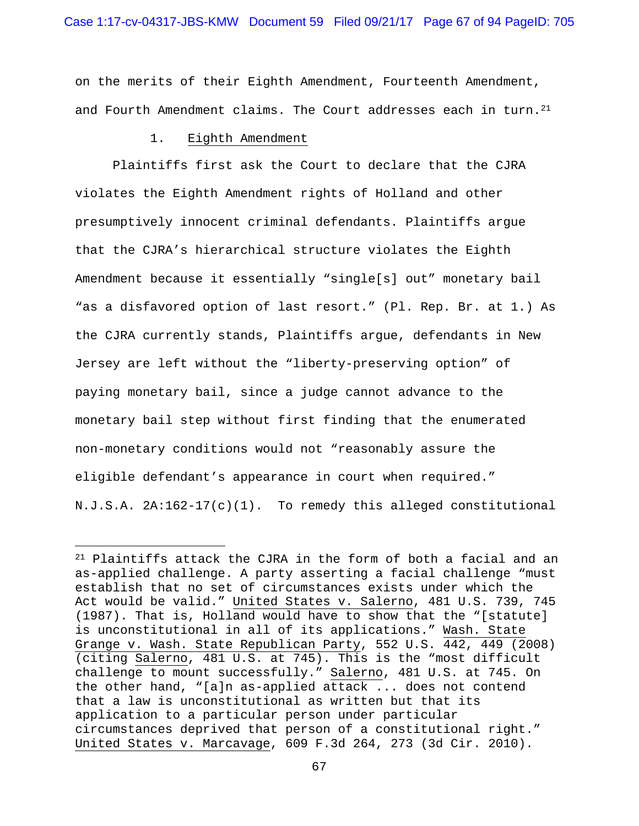on the merits of their Eighth Amendment, Fourteenth Amendment, and Fourth Amendment claims. The Court addresses each in turn.<sup>21</sup>

#### 1. Eighth Amendment

i<br>Li

 Plaintiffs first ask the Court to declare that the CJRA violates the Eighth Amendment rights of Holland and other presumptively innocent criminal defendants. Plaintiffs argue that the CJRA's hierarchical structure violates the Eighth Amendment because it essentially "single[s] out" monetary bail "as a disfavored option of last resort." (Pl. Rep. Br. at 1.) As the CJRA currently stands, Plaintiffs argue, defendants in New Jersey are left without the "liberty-preserving option" of paying monetary bail, since a judge cannot advance to the monetary bail step without first finding that the enumerated non-monetary conditions would not "reasonably assure the eligible defendant's appearance in court when required." N.J.S.A. 2A:162-17(c)(1). To remedy this alleged constitutional

<sup>21</sup> Plaintiffs attack the CJRA in the form of both a facial and an as-applied challenge. A party asserting a facial challenge "must establish that no set of circumstances exists under which the Act would be valid." United States v. Salerno, 481 U.S. 739, 745 (1987). That is, Holland would have to show that the "[statute] is unconstitutional in all of its applications." Wash. State Grange v. Wash. State Republican Party, 552 U.S. 442, 449 (2008) (citing Salerno, 481 U.S. at 745). This is the "most difficult challenge to mount successfully." Salerno, 481 U.S. at 745. On the other hand, "[a]n as-applied attack ... does not contend that a law is unconstitutional as written but that its application to a particular person under particular circumstances deprived that person of a constitutional right." United States v. Marcavage, 609 F.3d 264, 273 (3d Cir. 2010).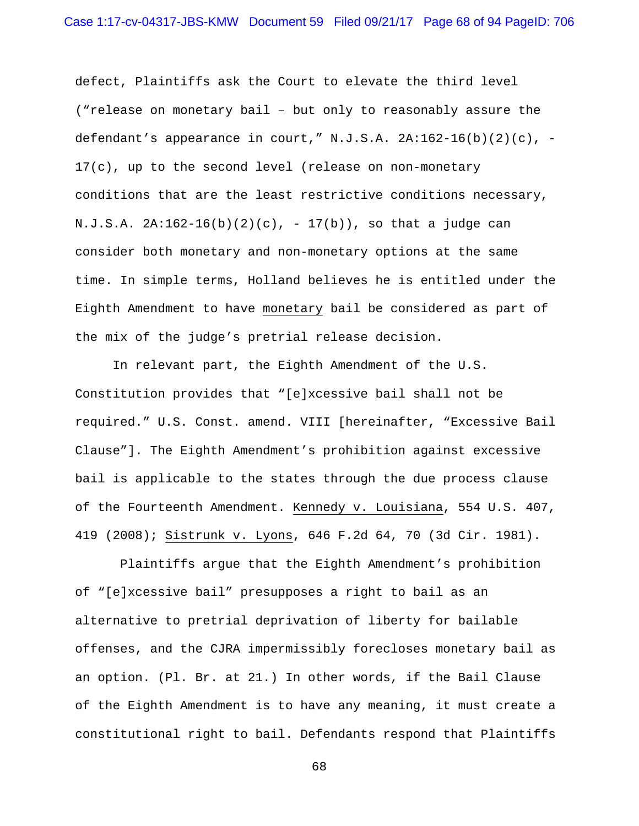defect, Plaintiffs ask the Court to elevate the third level ("release on monetary bail – but only to reasonably assure the defendant's appearance in court,"  $N.J.S.A. 2A:162-16(b)(2)(c)$ , -17(c), up to the second level (release on non-monetary conditions that are the least restrictive conditions necessary,  $N.J.S.A. 2A:162-16(b)(2)(c), -17(b)), so that a judge can$ consider both monetary and non-monetary options at the same time. In simple terms, Holland believes he is entitled under the Eighth Amendment to have monetary bail be considered as part of the mix of the judge's pretrial release decision.

In relevant part, the Eighth Amendment of the U.S. Constitution provides that "[e]xcessive bail shall not be required." U.S. Const. amend. VIII [hereinafter, "Excessive Bail Clause"]. The Eighth Amendment's prohibition against excessive bail is applicable to the states through the due process clause of the Fourteenth Amendment. Kennedy v. Louisiana, 554 U.S. 407, 419 (2008); Sistrunk v. Lyons, 646 F.2d 64, 70 (3d Cir. 1981).

 Plaintiffs argue that the Eighth Amendment's prohibition of "[e]xcessive bail" presupposes a right to bail as an alternative to pretrial deprivation of liberty for bailable offenses, and the CJRA impermissibly forecloses monetary bail as an option. (Pl. Br. at 21.) In other words, if the Bail Clause of the Eighth Amendment is to have any meaning, it must create a constitutional right to bail. Defendants respond that Plaintiffs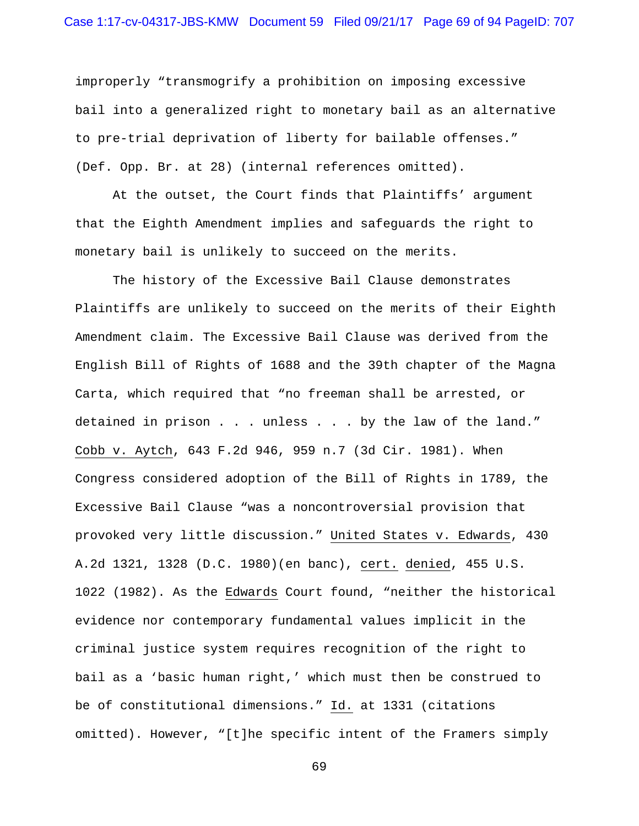## Case 1:17-cv-04317-JBS-KMW Document 59 Filed 09/21/17 Page 69 of 94 PageID: 707

improperly "transmogrify a prohibition on imposing excessive bail into a generalized right to monetary bail as an alternative to pre-trial deprivation of liberty for bailable offenses." (Def. Opp. Br. at 28) (internal references omitted).

At the outset, the Court finds that Plaintiffs' argument that the Eighth Amendment implies and safeguards the right to monetary bail is unlikely to succeed on the merits.

The history of the Excessive Bail Clause demonstrates Plaintiffs are unlikely to succeed on the merits of their Eighth Amendment claim. The Excessive Bail Clause was derived from the English Bill of Rights of 1688 and the 39th chapter of the Magna Carta, which required that "no freeman shall be arrested, or detained in prison . . . unless . . . by the law of the land." Cobb v. Aytch, 643 F.2d 946, 959 n.7 (3d Cir. 1981). When Congress considered adoption of the Bill of Rights in 1789, the Excessive Bail Clause "was a noncontroversial provision that provoked very little discussion." United States v. Edwards, 430 A.2d 1321, 1328 (D.C. 1980)(en banc), cert. denied, 455 U.S. 1022 (1982). As the Edwards Court found, "neither the historical evidence nor contemporary fundamental values implicit in the criminal justice system requires recognition of the right to bail as a 'basic human right,' which must then be construed to be of constitutional dimensions." Id. at 1331 (citations omitted). However, "[t]he specific intent of the Framers simply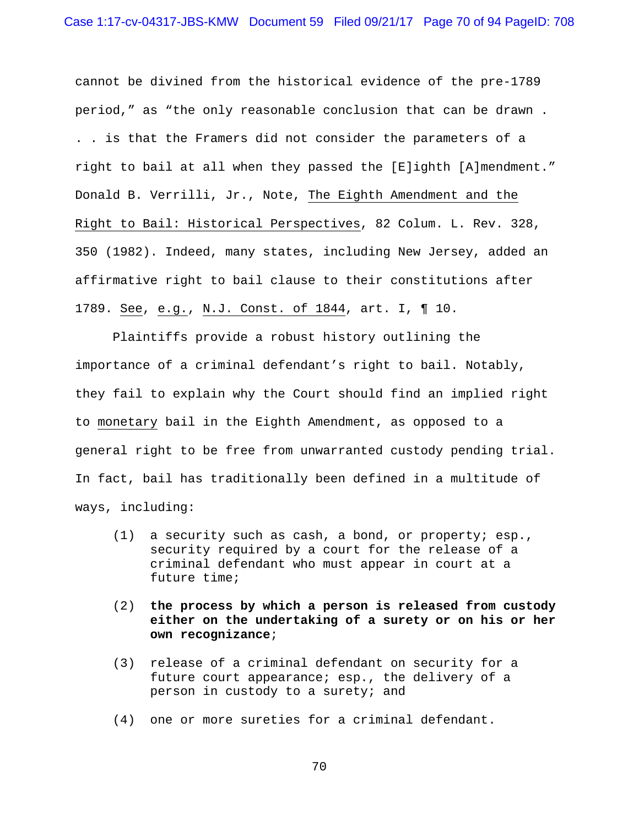cannot be divined from the historical evidence of the pre-1789 period," as "the only reasonable conclusion that can be drawn . . . is that the Framers did not consider the parameters of a right to bail at all when they passed the [E]ighth [A]mendment." Donald B. Verrilli, Jr., Note, The Eighth Amendment and the Right to Bail: Historical Perspectives, 82 Colum. L. Rev. 328, 350 (1982). Indeed, many states, including New Jersey, added an affirmative right to bail clause to their constitutions after 1789. See, e.g., N.J. Const. of 1844, art. I, ¶ 10.

Plaintiffs provide a robust history outlining the importance of a criminal defendant's right to bail. Notably, they fail to explain why the Court should find an implied right to monetary bail in the Eighth Amendment, as opposed to a general right to be free from unwarranted custody pending trial. In fact, bail has traditionally been defined in a multitude of ways, including:

- (1) a security such as cash, a bond, or property; esp., security required by a court for the release of a criminal defendant who must appear in court at a future time;
- (2) **the process by which a person is released from custody either on the undertaking of a surety or on his or her own recognizance**;
- (3) release of a criminal defendant on security for a future court appearance; esp., the delivery of a person in custody to a surety; and
- (4) one or more sureties for a criminal defendant.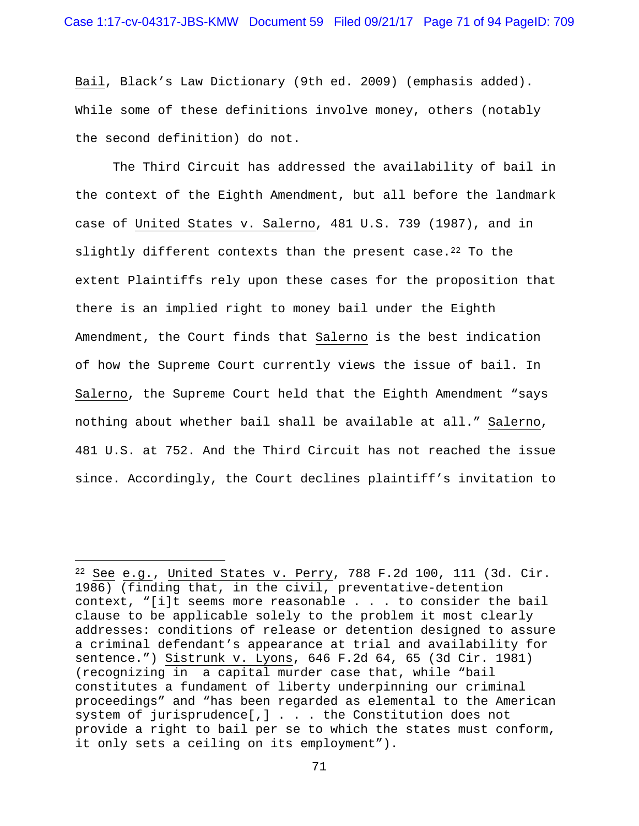Bail, Black's Law Dictionary (9th ed. 2009) (emphasis added). While some of these definitions involve money, others (notably the second definition) do not.

 The Third Circuit has addressed the availability of bail in the context of the Eighth Amendment, but all before the landmark case of United States v. Salerno, 481 U.S. 739 (1987), and in slightly different contexts than the present case.<sup>22</sup> To the extent Plaintiffs rely upon these cases for the proposition that there is an implied right to money bail under the Eighth Amendment, the Court finds that Salerno is the best indication of how the Supreme Court currently views the issue of bail. In Salerno, the Supreme Court held that the Eighth Amendment "says nothing about whether bail shall be available at all." Salerno, 481 U.S. at 752. And the Third Circuit has not reached the issue since. Accordingly, the Court declines plaintiff's invitation to

i<br>Li

 $22$  See e.g., United States v. Perry, 788 F.2d 100, 111 (3d. Cir. 1986) (finding that, in the civil, preventative-detention context, "[i]t seems more reasonable . . . to consider the bail clause to be applicable solely to the problem it most clearly addresses: conditions of release or detention designed to assure a criminal defendant's appearance at trial and availability for sentence.") Sistrunk v. Lyons, 646 F.2d 64, 65 (3d Cir. 1981) (recognizing in a capital murder case that, while "bail constitutes a fundament of liberty underpinning our criminal proceedings" and "has been regarded as elemental to the American system of jurisprudence[,] . . . the Constitution does not provide a right to bail per se to which the states must conform, it only sets a ceiling on its employment").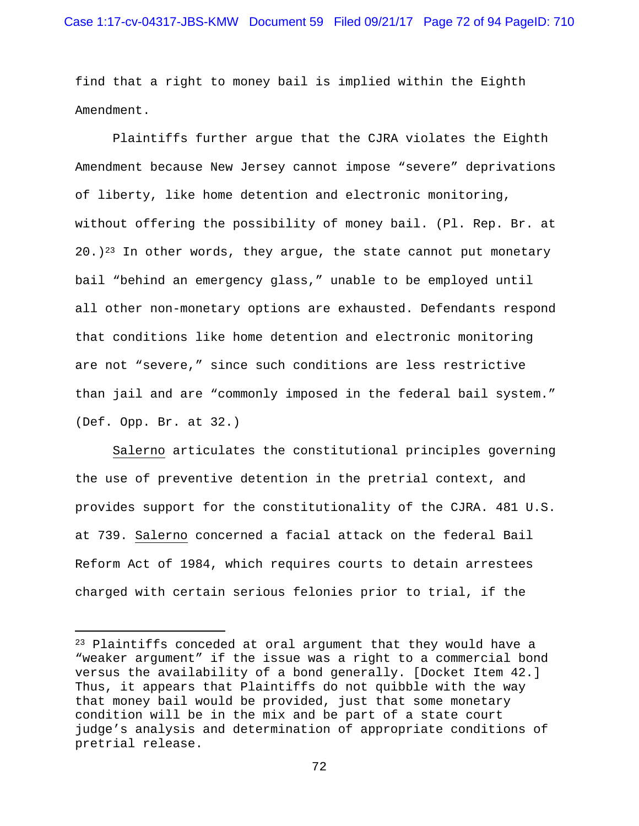find that a right to money bail is implied within the Eighth Amendment.

 Plaintiffs further argue that the CJRA violates the Eighth Amendment because New Jersey cannot impose "severe" deprivations of liberty, like home detention and electronic monitoring, without offering the possibility of money bail. (Pl. Rep. Br. at  $20.$ )<sup>23</sup> In other words, they argue, the state cannot put monetary bail "behind an emergency glass," unable to be employed until all other non-monetary options are exhausted. Defendants respond that conditions like home detention and electronic monitoring are not "severe," since such conditions are less restrictive than jail and are "commonly imposed in the federal bail system." (Def. Opp. Br. at 32.)

Salerno articulates the constitutional principles governing the use of preventive detention in the pretrial context, and provides support for the constitutionality of the CJRA. 481 U.S. at 739. Salerno concerned a facial attack on the federal Bail Reform Act of 1984, which requires courts to detain arrestees charged with certain serious felonies prior to trial, if the

i

<sup>23</sup> Plaintiffs conceded at oral argument that they would have a "weaker argument" if the issue was a right to a commercial bond versus the availability of a bond generally. [Docket Item 42.] Thus, it appears that Plaintiffs do not quibble with the way that money bail would be provided, just that some monetary condition will be in the mix and be part of a state court judge's analysis and determination of appropriate conditions of pretrial release.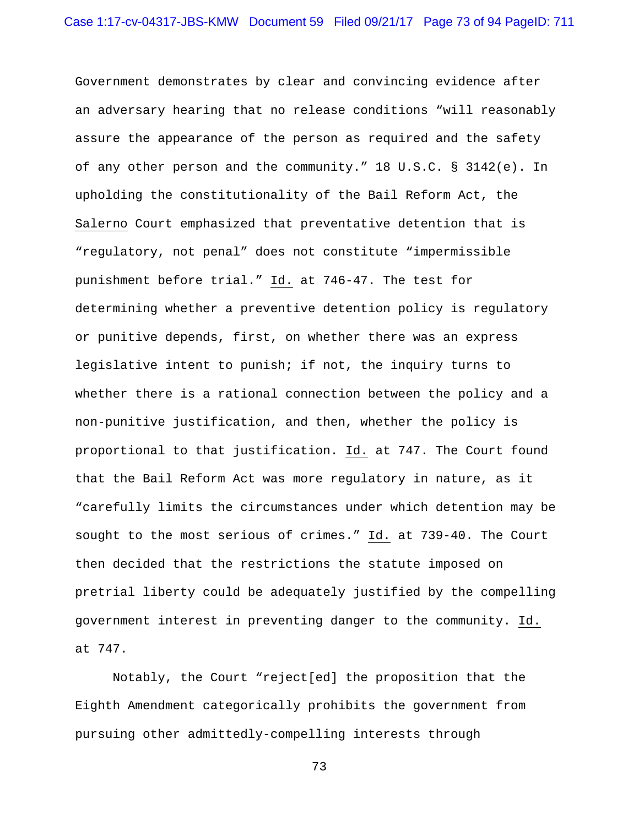Government demonstrates by clear and convincing evidence after an adversary hearing that no release conditions "will reasonably assure the appearance of the person as required and the safety of any other person and the community."  $18 \text{ U.S.C. }$  §  $3142(e)$ . In upholding the constitutionality of the Bail Reform Act, the Salerno Court emphasized that preventative detention that is "regulatory, not penal" does not constitute "impermissible punishment before trial." Id. at 746-47. The test for determining whether a preventive detention policy is regulatory or punitive depends, first, on whether there was an express legislative intent to punish; if not, the inquiry turns to whether there is a rational connection between the policy and a non-punitive justification, and then, whether the policy is proportional to that justification. Id. at 747. The Court found that the Bail Reform Act was more regulatory in nature, as it "carefully limits the circumstances under which detention may be sought to the most serious of crimes." Id. at 739-40. The Court then decided that the restrictions the statute imposed on pretrial liberty could be adequately justified by the compelling government interest in preventing danger to the community. Id. at 747.

 Notably, the Court "reject[ed] the proposition that the Eighth Amendment categorically prohibits the government from pursuing other admittedly-compelling interests through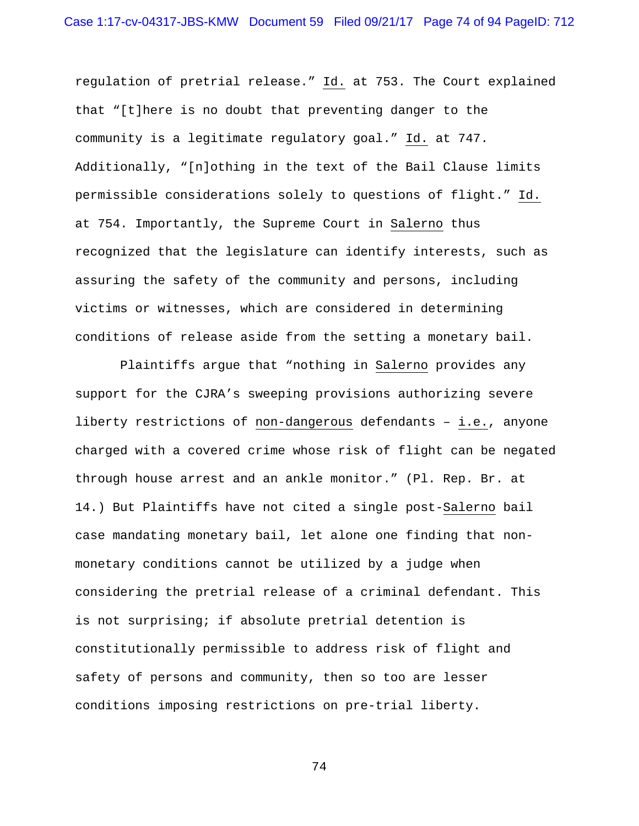regulation of pretrial release." Id. at 753. The Court explained that "[t]here is no doubt that preventing danger to the community is a legitimate regulatory goal." Id. at 747. Additionally, "[n]othing in the text of the Bail Clause limits permissible considerations solely to questions of flight." Id. at 754. Importantly, the Supreme Court in Salerno thus recognized that the legislature can identify interests, such as assuring the safety of the community and persons, including victims or witnesses, which are considered in determining conditions of release aside from the setting a monetary bail.

 Plaintiffs argue that "nothing in Salerno provides any support for the CJRA's sweeping provisions authorizing severe liberty restrictions of non-dangerous defendants – i.e., anyone charged with a covered crime whose risk of flight can be negated through house arrest and an ankle monitor." (Pl. Rep. Br. at 14.) But Plaintiffs have not cited a single post-Salerno bail case mandating monetary bail, let alone one finding that nonmonetary conditions cannot be utilized by a judge when considering the pretrial release of a criminal defendant. This is not surprising; if absolute pretrial detention is constitutionally permissible to address risk of flight and safety of persons and community, then so too are lesser conditions imposing restrictions on pre-trial liberty.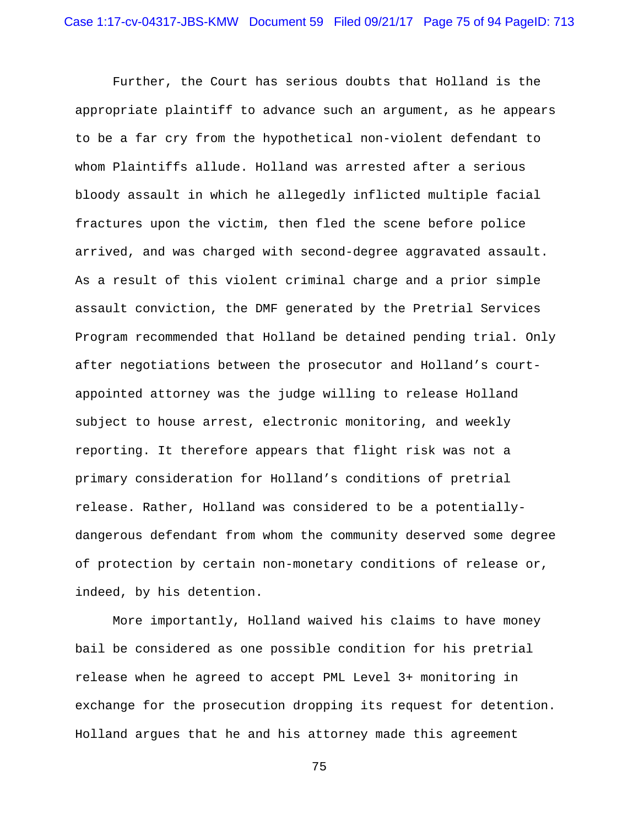Further, the Court has serious doubts that Holland is the appropriate plaintiff to advance such an argument, as he appears to be a far cry from the hypothetical non-violent defendant to whom Plaintiffs allude. Holland was arrested after a serious bloody assault in which he allegedly inflicted multiple facial fractures upon the victim, then fled the scene before police arrived, and was charged with second-degree aggravated assault. As a result of this violent criminal charge and a prior simple assault conviction, the DMF generated by the Pretrial Services Program recommended that Holland be detained pending trial. Only after negotiations between the prosecutor and Holland's courtappointed attorney was the judge willing to release Holland subject to house arrest, electronic monitoring, and weekly reporting. It therefore appears that flight risk was not a primary consideration for Holland's conditions of pretrial release. Rather, Holland was considered to be a potentiallydangerous defendant from whom the community deserved some degree of protection by certain non-monetary conditions of release or, indeed, by his detention.

More importantly, Holland waived his claims to have money bail be considered as one possible condition for his pretrial release when he agreed to accept PML Level 3+ monitoring in exchange for the prosecution dropping its request for detention. Holland argues that he and his attorney made this agreement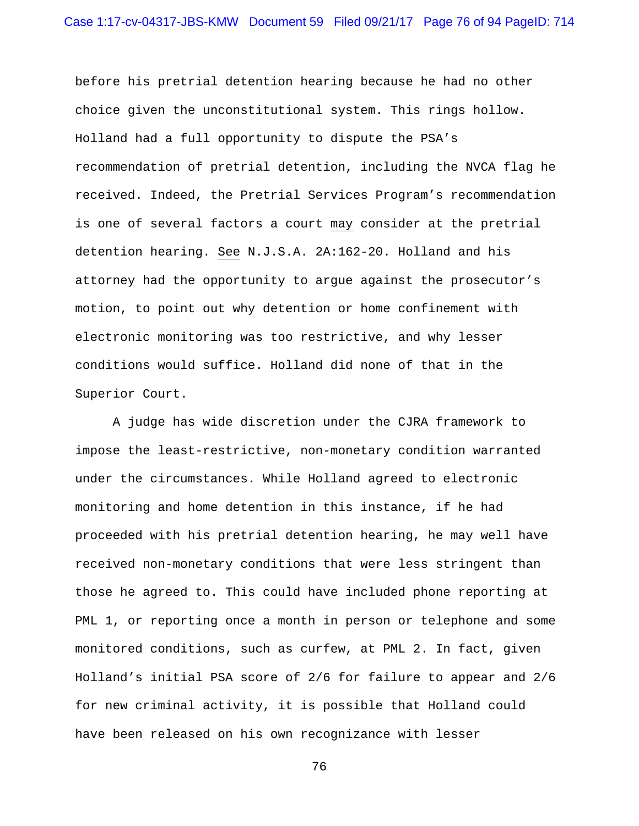before his pretrial detention hearing because he had no other choice given the unconstitutional system. This rings hollow. Holland had a full opportunity to dispute the PSA's recommendation of pretrial detention, including the NVCA flag he received. Indeed, the Pretrial Services Program's recommendation is one of several factors a court may consider at the pretrial detention hearing. See N.J.S.A. 2A:162-20. Holland and his attorney had the opportunity to argue against the prosecutor's motion, to point out why detention or home confinement with electronic monitoring was too restrictive, and why lesser conditions would suffice. Holland did none of that in the Superior Court.

A judge has wide discretion under the CJRA framework to impose the least-restrictive, non-monetary condition warranted under the circumstances. While Holland agreed to electronic monitoring and home detention in this instance, if he had proceeded with his pretrial detention hearing, he may well have received non-monetary conditions that were less stringent than those he agreed to. This could have included phone reporting at PML 1, or reporting once a month in person or telephone and some monitored conditions, such as curfew, at PML 2. In fact, given Holland's initial PSA score of 2/6 for failure to appear and 2/6 for new criminal activity, it is possible that Holland could have been released on his own recognizance with lesser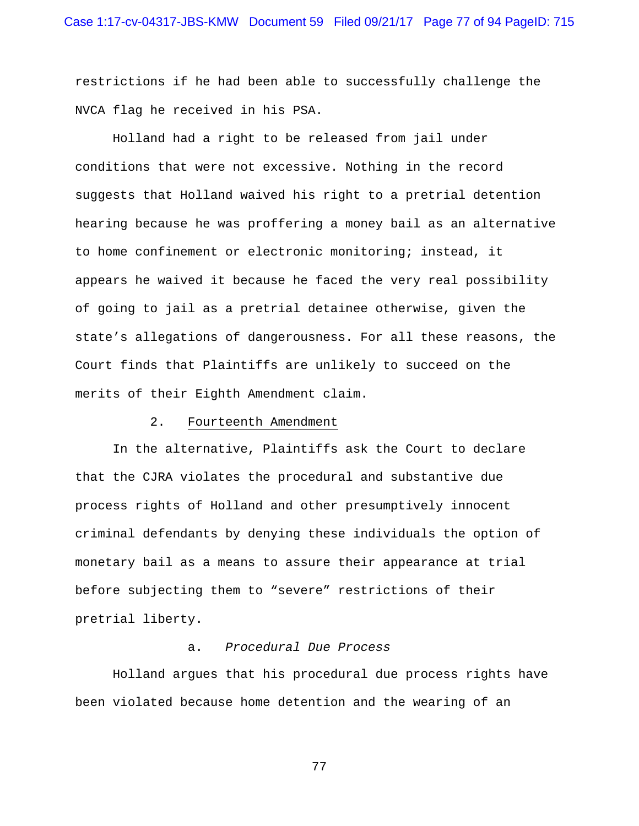restrictions if he had been able to successfully challenge the NVCA flag he received in his PSA.

Holland had a right to be released from jail under conditions that were not excessive. Nothing in the record suggests that Holland waived his right to a pretrial detention hearing because he was proffering a money bail as an alternative to home confinement or electronic monitoring; instead, it appears he waived it because he faced the very real possibility of going to jail as a pretrial detainee otherwise, given the state's allegations of dangerousness. For all these reasons, the Court finds that Plaintiffs are unlikely to succeed on the merits of their Eighth Amendment claim.

#### 2. Fourteenth Amendment

 In the alternative, Plaintiffs ask the Court to declare that the CJRA violates the procedural and substantive due process rights of Holland and other presumptively innocent criminal defendants by denying these individuals the option of monetary bail as a means to assure their appearance at trial before subjecting them to "severe" restrictions of their pretrial liberty.

# a. *Procedural Due Process*

Holland argues that his procedural due process rights have been violated because home detention and the wearing of an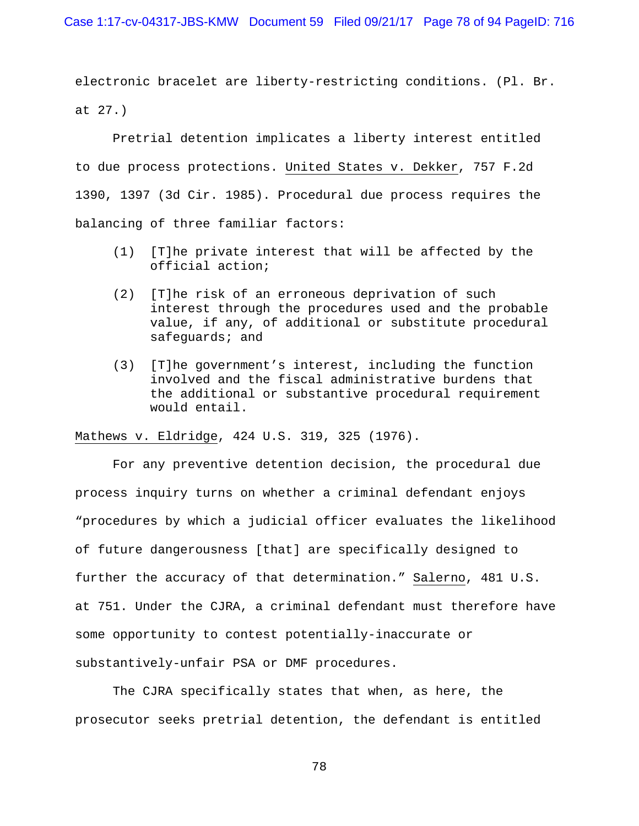Case 1:17-cv-04317-JBS-KMW Document 59 Filed 09/21/17 Page 78 of 94 PageID: 716

electronic bracelet are liberty-restricting conditions. (Pl. Br. at 27.)

 Pretrial detention implicates a liberty interest entitled to due process protections. United States v. Dekker, 757 F.2d 1390, 1397 (3d Cir. 1985). Procedural due process requires the balancing of three familiar factors:

- (1) [T]he private interest that will be affected by the official action;
- (2) [T]he risk of an erroneous deprivation of such interest through the procedures used and the probable value, if any, of additional or substitute procedural safeguards; and
- (3) [T]he government's interest, including the function involved and the fiscal administrative burdens that the additional or substantive procedural requirement would entail.

Mathews v. Eldridge, 424 U.S. 319, 325 (1976).

 For any preventive detention decision, the procedural due process inquiry turns on whether a criminal defendant enjoys "procedures by which a judicial officer evaluates the likelihood of future dangerousness [that] are specifically designed to further the accuracy of that determination." Salerno, 481 U.S. at 751. Under the CJRA, a criminal defendant must therefore have some opportunity to contest potentially-inaccurate or substantively-unfair PSA or DMF procedures.

 The CJRA specifically states that when, as here, the prosecutor seeks pretrial detention, the defendant is entitled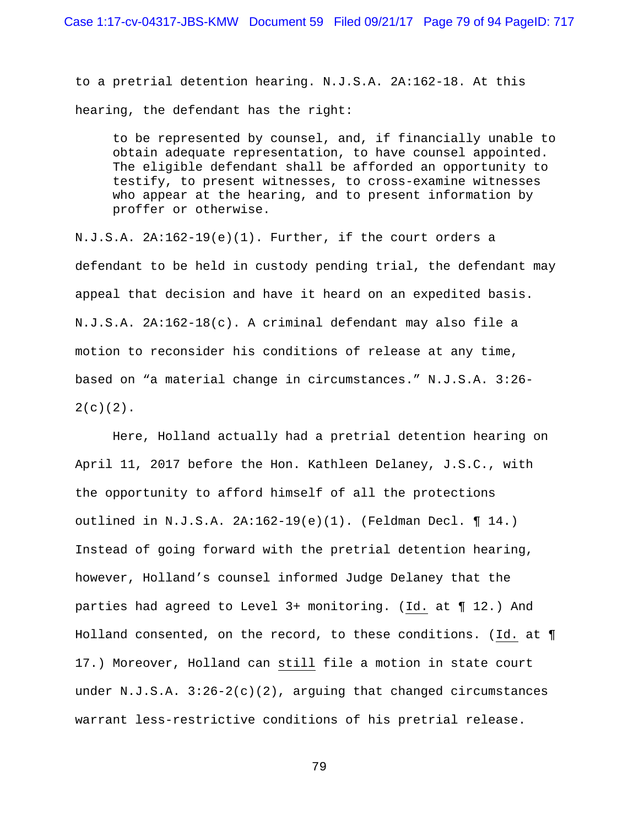to a pretrial detention hearing. N.J.S.A. 2A:162-18. At this hearing, the defendant has the right:

to be represented by counsel, and, if financially unable to obtain adequate representation, to have counsel appointed. The eligible defendant shall be afforded an opportunity to testify, to present witnesses, to cross-examine witnesses who appear at the hearing, and to present information by proffer or otherwise.

N.J.S.A. 2A:162-19(e)(1). Further, if the court orders a defendant to be held in custody pending trial, the defendant may appeal that decision and have it heard on an expedited basis. N.J.S.A. 2A:162-18(c). A criminal defendant may also file a motion to reconsider his conditions of release at any time, based on "a material change in circumstances." N.J.S.A. 3:26-  $2(c)(2)$ .

 Here, Holland actually had a pretrial detention hearing on April 11, 2017 before the Hon. Kathleen Delaney, J.S.C., with the opportunity to afford himself of all the protections outlined in N.J.S.A. 2A:162-19(e)(1). (Feldman Decl. ¶ 14.) Instead of going forward with the pretrial detention hearing, however, Holland's counsel informed Judge Delaney that the parties had agreed to Level 3+ monitoring. (Id. at ¶ 12.) And Holland consented, on the record, to these conditions. (Id. at ¶ 17.) Moreover, Holland can still file a motion in state court under  $N.J.S.A. 3:26-2(c)(2)$ , arguing that changed circumstances warrant less-restrictive conditions of his pretrial release.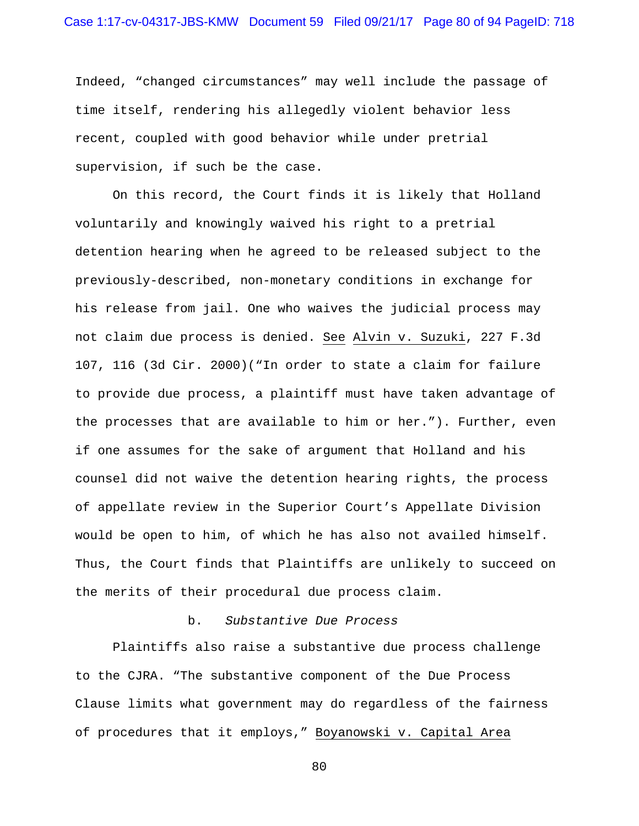Indeed, "changed circumstances" may well include the passage of time itself, rendering his allegedly violent behavior less recent, coupled with good behavior while under pretrial supervision, if such be the case.

 On this record, the Court finds it is likely that Holland voluntarily and knowingly waived his right to a pretrial detention hearing when he agreed to be released subject to the previously-described, non-monetary conditions in exchange for his release from jail. One who waives the judicial process may not claim due process is denied. See Alvin v. Suzuki, 227 F.3d 107, 116 (3d Cir. 2000)("In order to state a claim for failure to provide due process, a plaintiff must have taken advantage of the processes that are available to him or her."). Further, even if one assumes for the sake of argument that Holland and his counsel did not waive the detention hearing rights, the process of appellate review in the Superior Court's Appellate Division would be open to him, of which he has also not availed himself. Thus, the Court finds that Plaintiffs are unlikely to succeed on the merits of their procedural due process claim.

## b. *Substantive Due Process*

Plaintiffs also raise a substantive due process challenge to the CJRA. "The substantive component of the Due Process Clause limits what government may do regardless of the fairness of procedures that it employs," Boyanowski v. Capital Area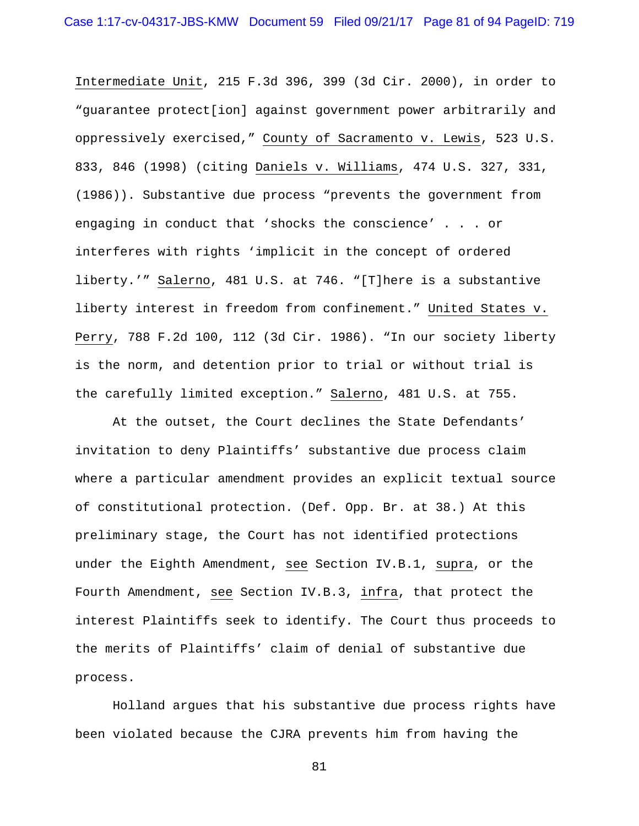Intermediate Unit, 215 F.3d 396, 399 (3d Cir. 2000), in order to "guarantee protect[ion] against government power arbitrarily and oppressively exercised," County of Sacramento v. Lewis, 523 U.S. 833, 846 (1998) (citing Daniels v. Williams, 474 U.S. 327, 331, (1986)). Substantive due process "prevents the government from engaging in conduct that 'shocks the conscience' . . . or interferes with rights 'implicit in the concept of ordered liberty.'" Salerno, 481 U.S. at 746. "[T]here is a substantive liberty interest in freedom from confinement." United States v. Perry, 788 F.2d 100, 112 (3d Cir. 1986). "In our society liberty is the norm, and detention prior to trial or without trial is the carefully limited exception." Salerno, 481 U.S. at 755.

At the outset, the Court declines the State Defendants' invitation to deny Plaintiffs' substantive due process claim where a particular amendment provides an explicit textual source of constitutional protection. (Def. Opp. Br. at 38.) At this preliminary stage, the Court has not identified protections under the Eighth Amendment, see Section IV.B.1, supra, or the Fourth Amendment, see Section IV.B.3, infra, that protect the interest Plaintiffs seek to identify. The Court thus proceeds to the merits of Plaintiffs' claim of denial of substantive due process.

Holland argues that his substantive due process rights have been violated because the CJRA prevents him from having the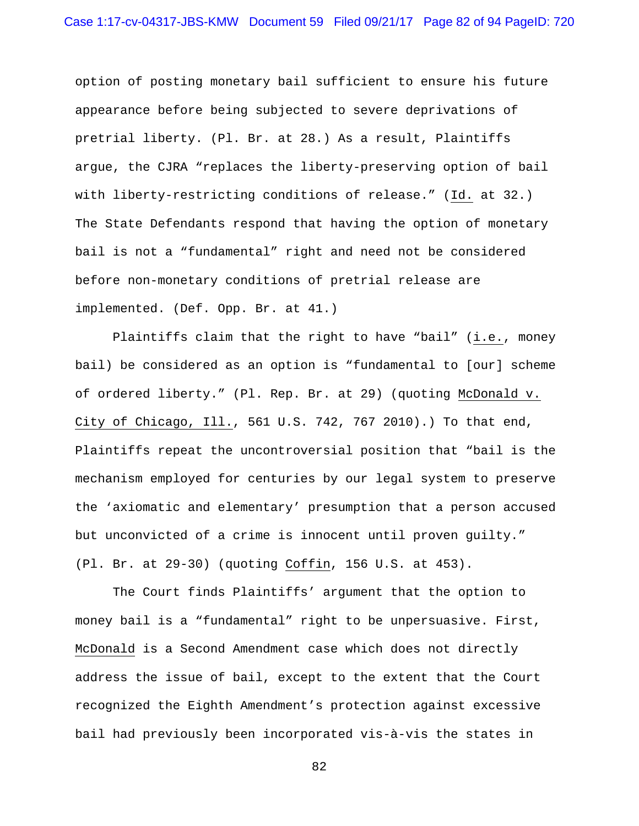option of posting monetary bail sufficient to ensure his future appearance before being subjected to severe deprivations of pretrial liberty. (Pl. Br. at 28.) As a result, Plaintiffs argue, the CJRA "replaces the liberty-preserving option of bail with liberty-restricting conditions of release." (Id. at 32.) The State Defendants respond that having the option of monetary bail is not a "fundamental" right and need not be considered before non-monetary conditions of pretrial release are implemented. (Def. Opp. Br. at 41.)

 Plaintiffs claim that the right to have "bail" (i.e., money bail) be considered as an option is "fundamental to [our] scheme of ordered liberty." (Pl. Rep. Br. at 29) (quoting McDonald v. City of Chicago, Ill., 561 U.S. 742, 767 2010).) To that end, Plaintiffs repeat the uncontroversial position that "bail is the mechanism employed for centuries by our legal system to preserve the 'axiomatic and elementary' presumption that a person accused but unconvicted of a crime is innocent until proven guilty." (Pl. Br. at 29-30) (quoting Coffin, 156 U.S. at 453).

 The Court finds Plaintiffs' argument that the option to money bail is a "fundamental" right to be unpersuasive. First, McDonald is a Second Amendment case which does not directly address the issue of bail, except to the extent that the Court recognized the Eighth Amendment's protection against excessive bail had previously been incorporated vis-à-vis the states in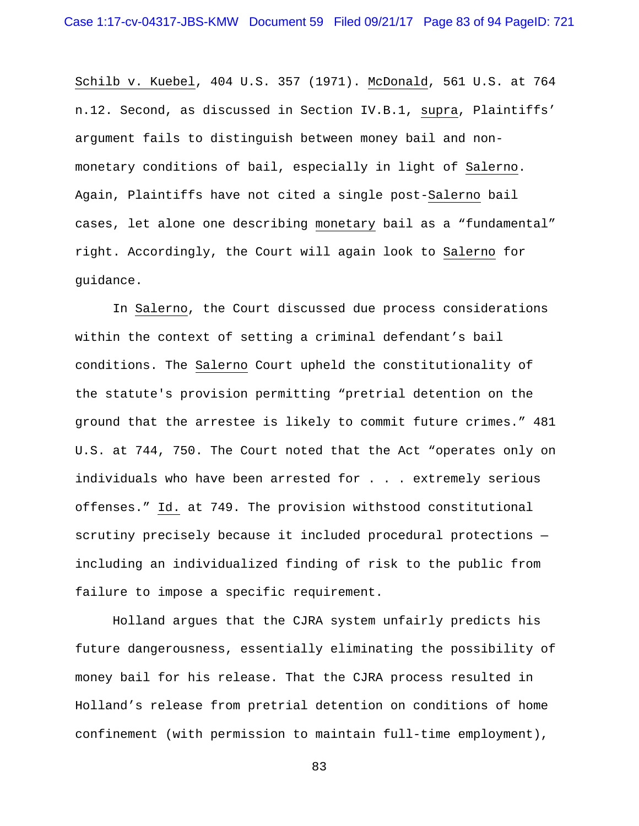Schilb v. Kuebel, 404 U.S. 357 (1971). McDonald, 561 U.S. at 764 n.12. Second, as discussed in Section IV.B.1, supra, Plaintiffs' argument fails to distinguish between money bail and nonmonetary conditions of bail, especially in light of Salerno. Again, Plaintiffs have not cited a single post-Salerno bail cases, let alone one describing monetary bail as a "fundamental" right. Accordingly, the Court will again look to Salerno for guidance.

In Salerno, the Court discussed due process considerations within the context of setting a criminal defendant's bail conditions. The Salerno Court upheld the constitutionality of the statute's provision permitting "pretrial detention on the ground that the arrestee is likely to commit future crimes." 481 U.S. at 744, 750. The Court noted that the Act "operates only on individuals who have been arrested for . . . extremely serious offenses." Id. at 749. The provision withstood constitutional scrutiny precisely because it included procedural protections including an individualized finding of risk to the public from failure to impose a specific requirement.

 Holland argues that the CJRA system unfairly predicts his future dangerousness, essentially eliminating the possibility of money bail for his release. That the CJRA process resulted in Holland's release from pretrial detention on conditions of home confinement (with permission to maintain full-time employment),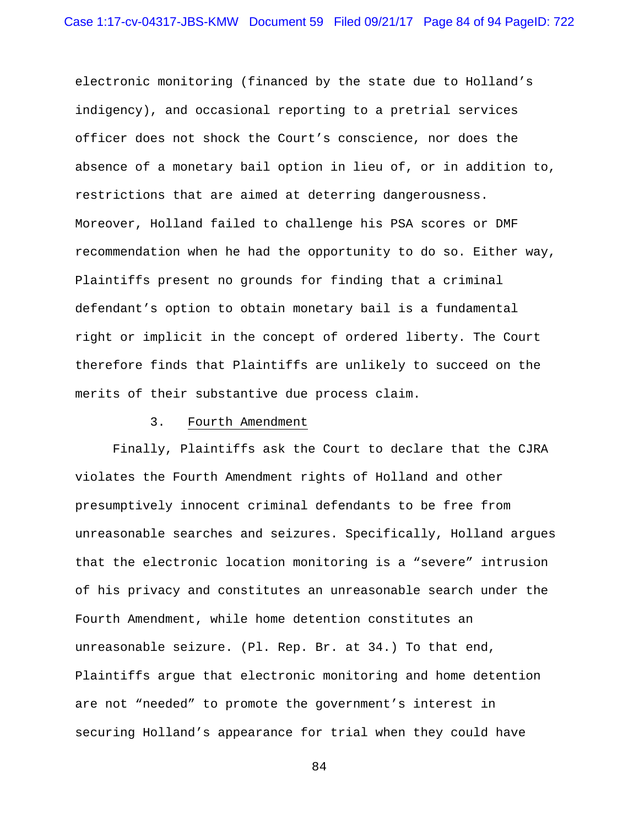electronic monitoring (financed by the state due to Holland's indigency), and occasional reporting to a pretrial services officer does not shock the Court's conscience, nor does the absence of a monetary bail option in lieu of, or in addition to, restrictions that are aimed at deterring dangerousness. Moreover, Holland failed to challenge his PSA scores or DMF recommendation when he had the opportunity to do so. Either way, Plaintiffs present no grounds for finding that a criminal defendant's option to obtain monetary bail is a fundamental right or implicit in the concept of ordered liberty. The Court therefore finds that Plaintiffs are unlikely to succeed on the merits of their substantive due process claim.

#### 3. Fourth Amendment

 Finally, Plaintiffs ask the Court to declare that the CJRA violates the Fourth Amendment rights of Holland and other presumptively innocent criminal defendants to be free from unreasonable searches and seizures. Specifically, Holland argues that the electronic location monitoring is a "severe" intrusion of his privacy and constitutes an unreasonable search under the Fourth Amendment, while home detention constitutes an unreasonable seizure. (Pl. Rep. Br. at 34.) To that end, Plaintiffs argue that electronic monitoring and home detention are not "needed" to promote the government's interest in securing Holland's appearance for trial when they could have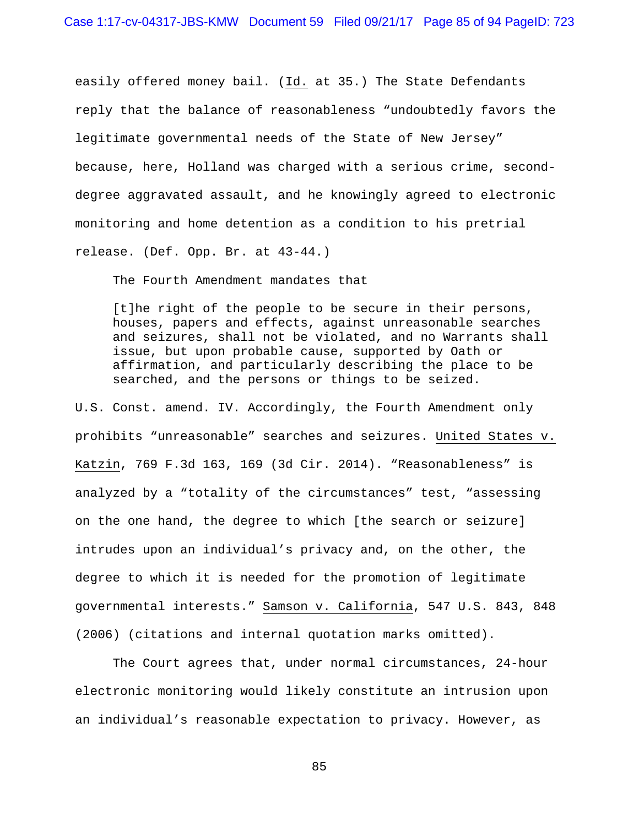easily offered money bail. (Id. at 35.) The State Defendants reply that the balance of reasonableness "undoubtedly favors the legitimate governmental needs of the State of New Jersey" because, here, Holland was charged with a serious crime, seconddegree aggravated assault, and he knowingly agreed to electronic monitoring and home detention as a condition to his pretrial release. (Def. Opp. Br. at 43-44.)

The Fourth Amendment mandates that

[t]he right of the people to be secure in their persons, houses, papers and effects, against unreasonable searches and seizures, shall not be violated, and no Warrants shall issue, but upon probable cause, supported by Oath or affirmation, and particularly describing the place to be searched, and the persons or things to be seized.

U.S. Const. amend. IV. Accordingly, the Fourth Amendment only prohibits "unreasonable" searches and seizures. United States v. Katzin, 769 F.3d 163, 169 (3d Cir. 2014). "Reasonableness" is analyzed by a "totality of the circumstances" test, "assessing on the one hand, the degree to which [the search or seizure] intrudes upon an individual's privacy and, on the other, the degree to which it is needed for the promotion of legitimate governmental interests." Samson v. California, 547 U.S. 843, 848 (2006) (citations and internal quotation marks omitted).

The Court agrees that, under normal circumstances, 24-hour electronic monitoring would likely constitute an intrusion upon an individual's reasonable expectation to privacy. However, as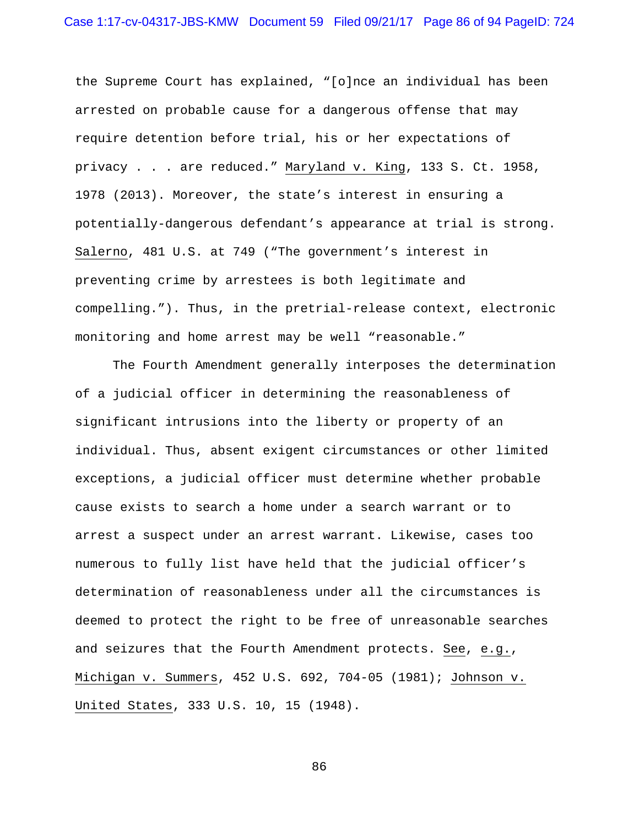the Supreme Court has explained, "[o]nce an individual has been arrested on probable cause for a dangerous offense that may require detention before trial, his or her expectations of privacy . . . are reduced." Maryland v. King, 133 S. Ct. 1958, 1978 (2013). Moreover, the state's interest in ensuring a potentially-dangerous defendant's appearance at trial is strong. Salerno, 481 U.S. at 749 ("The government's interest in preventing crime by arrestees is both legitimate and compelling."). Thus, in the pretrial-release context, electronic monitoring and home arrest may be well "reasonable."

The Fourth Amendment generally interposes the determination of a judicial officer in determining the reasonableness of significant intrusions into the liberty or property of an individual. Thus, absent exigent circumstances or other limited exceptions, a judicial officer must determine whether probable cause exists to search a home under a search warrant or to arrest a suspect under an arrest warrant. Likewise, cases too numerous to fully list have held that the judicial officer's determination of reasonableness under all the circumstances is deemed to protect the right to be free of unreasonable searches and seizures that the Fourth Amendment protects. See, e.g., Michigan v. Summers, 452 U.S. 692, 704-05 (1981); Johnson v. United States, 333 U.S. 10, 15 (1948).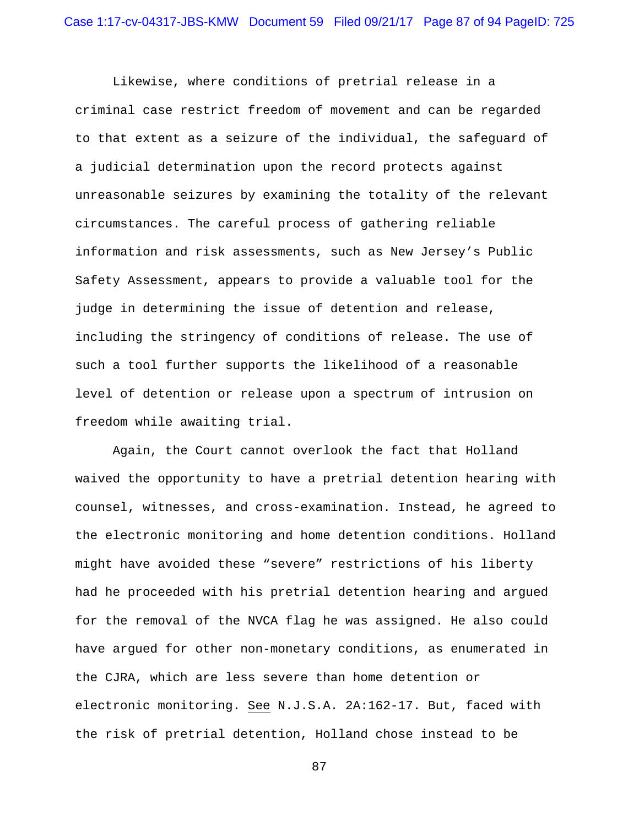Likewise, where conditions of pretrial release in a criminal case restrict freedom of movement and can be regarded to that extent as a seizure of the individual, the safeguard of a judicial determination upon the record protects against unreasonable seizures by examining the totality of the relevant circumstances. The careful process of gathering reliable information and risk assessments, such as New Jersey's Public Safety Assessment, appears to provide a valuable tool for the judge in determining the issue of detention and release, including the stringency of conditions of release. The use of such a tool further supports the likelihood of a reasonable level of detention or release upon a spectrum of intrusion on freedom while awaiting trial.

Again, the Court cannot overlook the fact that Holland waived the opportunity to have a pretrial detention hearing with counsel, witnesses, and cross-examination. Instead, he agreed to the electronic monitoring and home detention conditions. Holland might have avoided these "severe" restrictions of his liberty had he proceeded with his pretrial detention hearing and argued for the removal of the NVCA flag he was assigned. He also could have argued for other non-monetary conditions, as enumerated in the CJRA, which are less severe than home detention or electronic monitoring. See N.J.S.A. 2A:162-17. But, faced with the risk of pretrial detention, Holland chose instead to be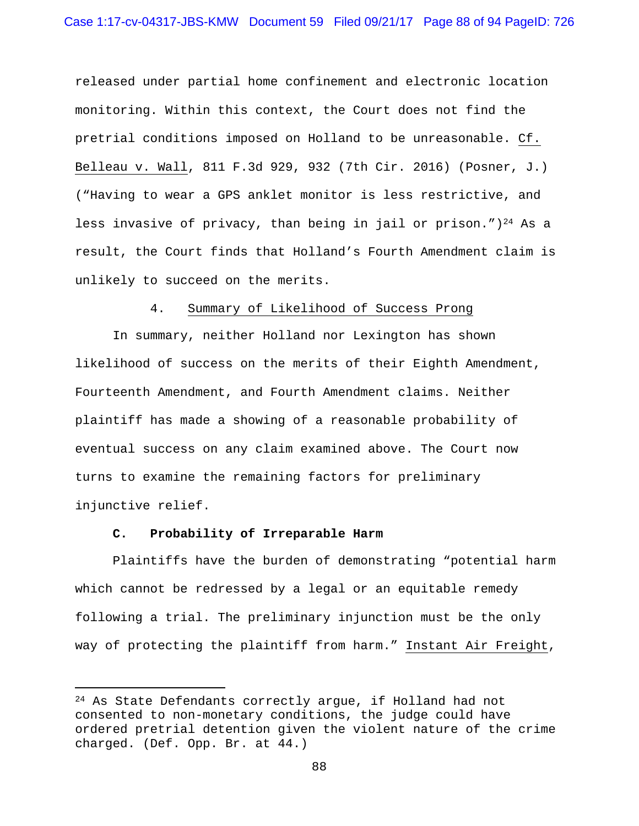released under partial home confinement and electronic location monitoring. Within this context, the Court does not find the pretrial conditions imposed on Holland to be unreasonable. Cf. Belleau v. Wall, 811 F.3d 929, 932 (7th Cir. 2016) (Posner, J.) ("Having to wear a GPS anklet monitor is less restrictive, and less invasive of privacy, than being in jail or prison.")<sup>24</sup> As a result, the Court finds that Holland's Fourth Amendment claim is unlikely to succeed on the merits.

## 4. Summary of Likelihood of Success Prong

In summary, neither Holland nor Lexington has shown likelihood of success on the merits of their Eighth Amendment, Fourteenth Amendment, and Fourth Amendment claims. Neither plaintiff has made a showing of a reasonable probability of eventual success on any claim examined above. The Court now turns to examine the remaining factors for preliminary injunctive relief.

## **C. Probability of Irreparable Harm**

i

Plaintiffs have the burden of demonstrating "potential harm which cannot be redressed by a legal or an equitable remedy following a trial. The preliminary injunction must be the only way of protecting the plaintiff from harm." Instant Air Freight,

<sup>&</sup>lt;sup>24</sup> As State Defendants correctly arque, if Holland had not consented to non-monetary conditions, the judge could have ordered pretrial detention given the violent nature of the crime charged. (Def. Opp. Br. at 44.)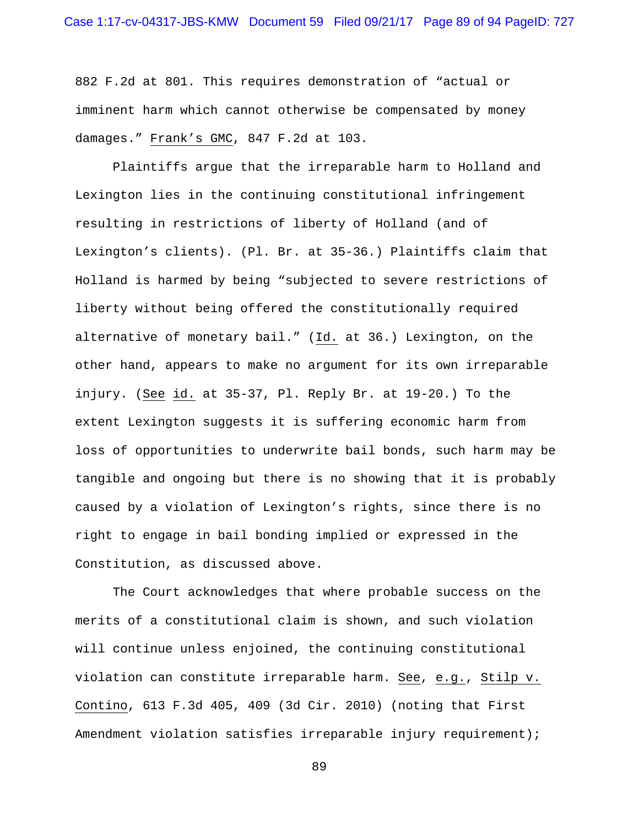882 F.2d at 801. This requires demonstration of "actual or imminent harm which cannot otherwise be compensated by money damages." Frank's GMC, 847 F.2d at 103.

Plaintiffs argue that the irreparable harm to Holland and Lexington lies in the continuing constitutional infringement resulting in restrictions of liberty of Holland (and of Lexington's clients). (Pl. Br. at 35-36.) Plaintiffs claim that Holland is harmed by being "subjected to severe restrictions of liberty without being offered the constitutionally required alternative of monetary bail." (Id. at 36.) Lexington, on the other hand, appears to make no argument for its own irreparable injury. (See id. at 35-37, Pl. Reply Br. at 19-20.) To the extent Lexington suggests it is suffering economic harm from loss of opportunities to underwrite bail bonds, such harm may be tangible and ongoing but there is no showing that it is probably caused by a violation of Lexington's rights, since there is no right to engage in bail bonding implied or expressed in the Constitution, as discussed above.

The Court acknowledges that where probable success on the merits of a constitutional claim is shown, and such violation will continue unless enjoined, the continuing constitutional violation can constitute irreparable harm. See, e.g., Stilp v. Contino, 613 F.3d 405, 409 (3d Cir. 2010) (noting that First Amendment violation satisfies irreparable injury requirement);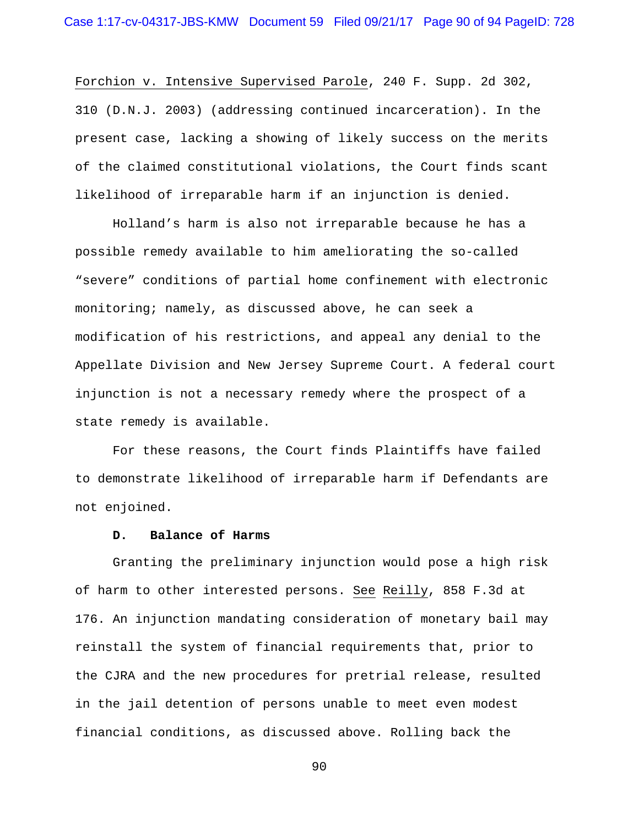Forchion v. Intensive Supervised Parole, 240 F. Supp. 2d 302, 310 (D.N.J. 2003) (addressing continued incarceration). In the present case, lacking a showing of likely success on the merits of the claimed constitutional violations, the Court finds scant likelihood of irreparable harm if an injunction is denied.

Holland's harm is also not irreparable because he has a possible remedy available to him ameliorating the so-called "severe" conditions of partial home confinement with electronic monitoring; namely, as discussed above, he can seek a modification of his restrictions, and appeal any denial to the Appellate Division and New Jersey Supreme Court. A federal court injunction is not a necessary remedy where the prospect of a state remedy is available.

For these reasons, the Court finds Plaintiffs have failed to demonstrate likelihood of irreparable harm if Defendants are not enjoined.

## **D. Balance of Harms**

Granting the preliminary injunction would pose a high risk of harm to other interested persons. See Reilly, 858 F.3d at 176. An injunction mandating consideration of monetary bail may reinstall the system of financial requirements that, prior to the CJRA and the new procedures for pretrial release, resulted in the jail detention of persons unable to meet even modest financial conditions, as discussed above. Rolling back the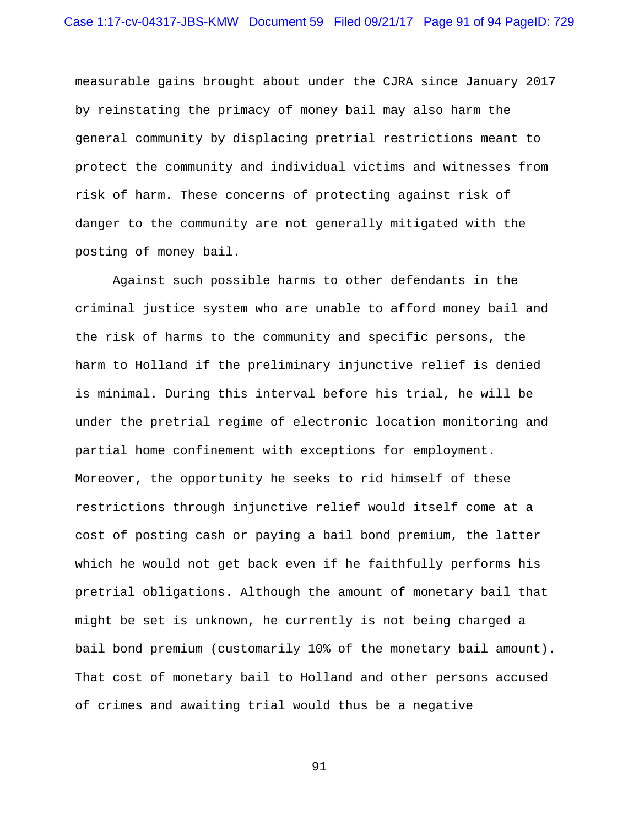measurable gains brought about under the CJRA since January 2017 by reinstating the primacy of money bail may also harm the general community by displacing pretrial restrictions meant to protect the community and individual victims and witnesses from risk of harm. These concerns of protecting against risk of danger to the community are not generally mitigated with the posting of money bail.

Against such possible harms to other defendants in the criminal justice system who are unable to afford money bail and the risk of harms to the community and specific persons, the harm to Holland if the preliminary injunctive relief is denied is minimal. During this interval before his trial, he will be under the pretrial regime of electronic location monitoring and partial home confinement with exceptions for employment. Moreover, the opportunity he seeks to rid himself of these restrictions through injunctive relief would itself come at a cost of posting cash or paying a bail bond premium, the latter which he would not get back even if he faithfully performs his pretrial obligations. Although the amount of monetary bail that might be set is unknown, he currently is not being charged a bail bond premium (customarily 10% of the monetary bail amount). That cost of monetary bail to Holland and other persons accused of crimes and awaiting trial would thus be a negative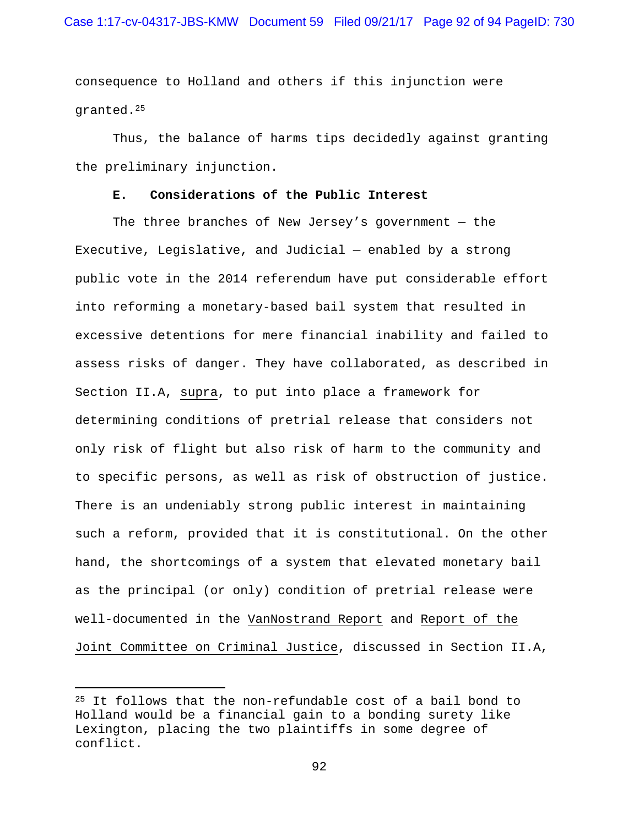consequence to Holland and others if this injunction were granted.25

Thus, the balance of harms tips decidedly against granting the preliminary injunction.

## **E. Considerations of the Public Interest**

The three branches of New Jersey's government  $-$  the Executive, Legislative, and Judicial — enabled by a strong public vote in the 2014 referendum have put considerable effort into reforming a monetary-based bail system that resulted in excessive detentions for mere financial inability and failed to assess risks of danger. They have collaborated, as described in Section II.A, supra, to put into place a framework for determining conditions of pretrial release that considers not only risk of flight but also risk of harm to the community and to specific persons, as well as risk of obstruction of justice. There is an undeniably strong public interest in maintaining such a reform, provided that it is constitutional. On the other hand, the shortcomings of a system that elevated monetary bail as the principal (or only) condition of pretrial release were well-documented in the VanNostrand Report and Report of the Joint Committee on Criminal Justice, discussed in Section II.A,

i

<sup>25</sup> It follows that the non-refundable cost of a bail bond to Holland would be a financial gain to a bonding surety like Lexington, placing the two plaintiffs in some degree of conflict.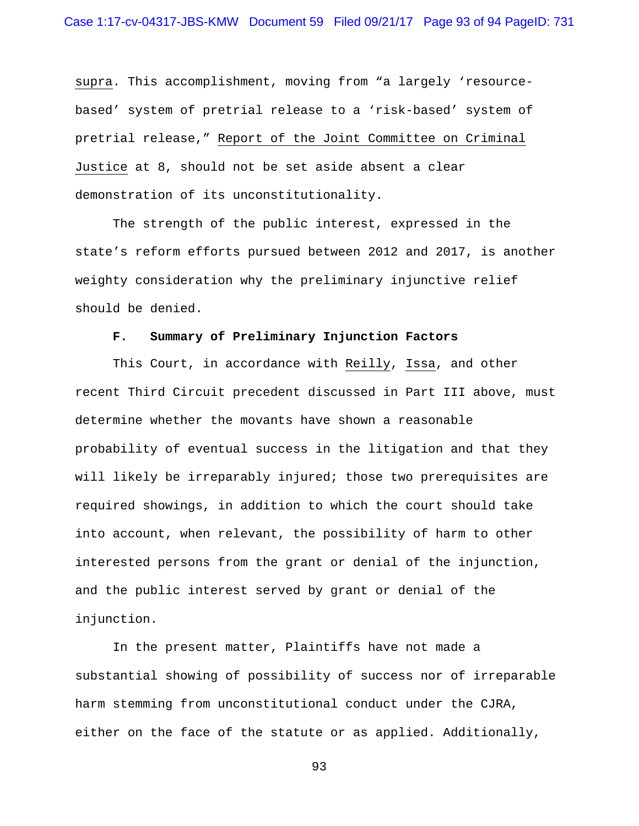supra. This accomplishment, moving from "a largely 'resourcebased' system of pretrial release to a 'risk-based' system of pretrial release," Report of the Joint Committee on Criminal Justice at 8, should not be set aside absent a clear demonstration of its unconstitutionality.

The strength of the public interest, expressed in the state's reform efforts pursued between 2012 and 2017, is another weighty consideration why the preliminary injunctive relief should be denied.

## **F. Summary of Preliminary Injunction Factors**

This Court, in accordance with Reilly, Issa, and other recent Third Circuit precedent discussed in Part III above, must determine whether the movants have shown a reasonable probability of eventual success in the litigation and that they will likely be irreparably injured; those two prerequisites are required showings, in addition to which the court should take into account, when relevant, the possibility of harm to other interested persons from the grant or denial of the injunction, and the public interest served by grant or denial of the injunction.

In the present matter, Plaintiffs have not made a substantial showing of possibility of success nor of irreparable harm stemming from unconstitutional conduct under the CJRA, either on the face of the statute or as applied. Additionally,